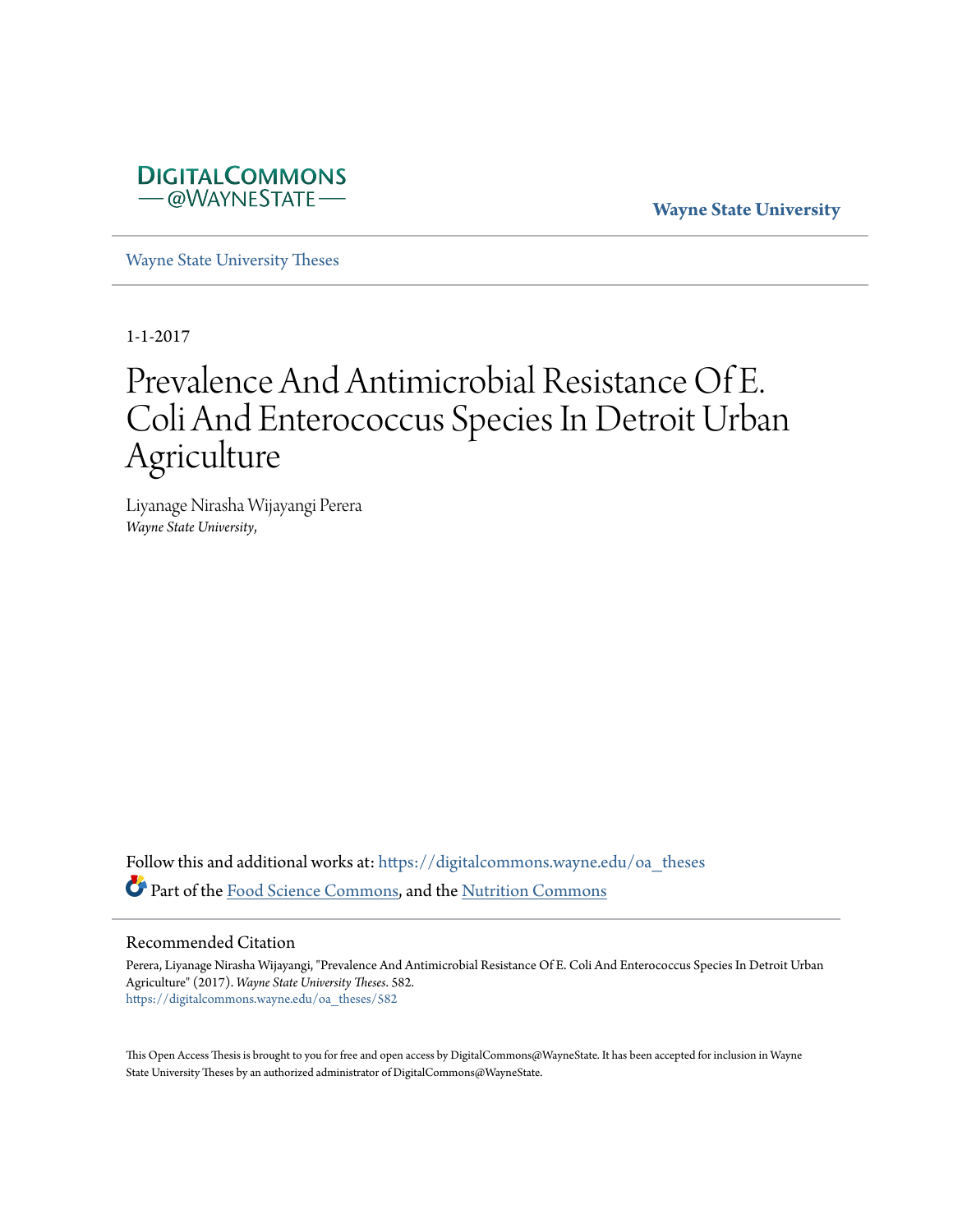

**Wayne State University**

[Wayne State University Theses](https://digitalcommons.wayne.edu/oa_theses?utm_source=digitalcommons.wayne.edu%2Foa_theses%2F582&utm_medium=PDF&utm_campaign=PDFCoverPages)

1-1-2017

# Prevalence And Antimicrobial Resistance Of E. Coli And Enterococcus Species In Detroit Urban Agriculture

Liyanage Nirasha Wijayangi Perera *Wayne State University*,

Follow this and additional works at: [https://digitalcommons.wayne.edu/oa\\_theses](https://digitalcommons.wayne.edu/oa_theses?utm_source=digitalcommons.wayne.edu%2Foa_theses%2F582&utm_medium=PDF&utm_campaign=PDFCoverPages) Part of the [Food Science Commons](http://network.bepress.com/hgg/discipline/84?utm_source=digitalcommons.wayne.edu%2Foa_theses%2F582&utm_medium=PDF&utm_campaign=PDFCoverPages), and the [Nutrition Commons](http://network.bepress.com/hgg/discipline/95?utm_source=digitalcommons.wayne.edu%2Foa_theses%2F582&utm_medium=PDF&utm_campaign=PDFCoverPages)

#### Recommended Citation

Perera, Liyanage Nirasha Wijayangi, "Prevalence And Antimicrobial Resistance Of E. Coli And Enterococcus Species In Detroit Urban Agriculture" (2017). *Wayne State University Theses*. 582. [https://digitalcommons.wayne.edu/oa\\_theses/582](https://digitalcommons.wayne.edu/oa_theses/582?utm_source=digitalcommons.wayne.edu%2Foa_theses%2F582&utm_medium=PDF&utm_campaign=PDFCoverPages)

This Open Access Thesis is brought to you for free and open access by DigitalCommons@WayneState. It has been accepted for inclusion in Wayne State University Theses by an authorized administrator of DigitalCommons@WayneState.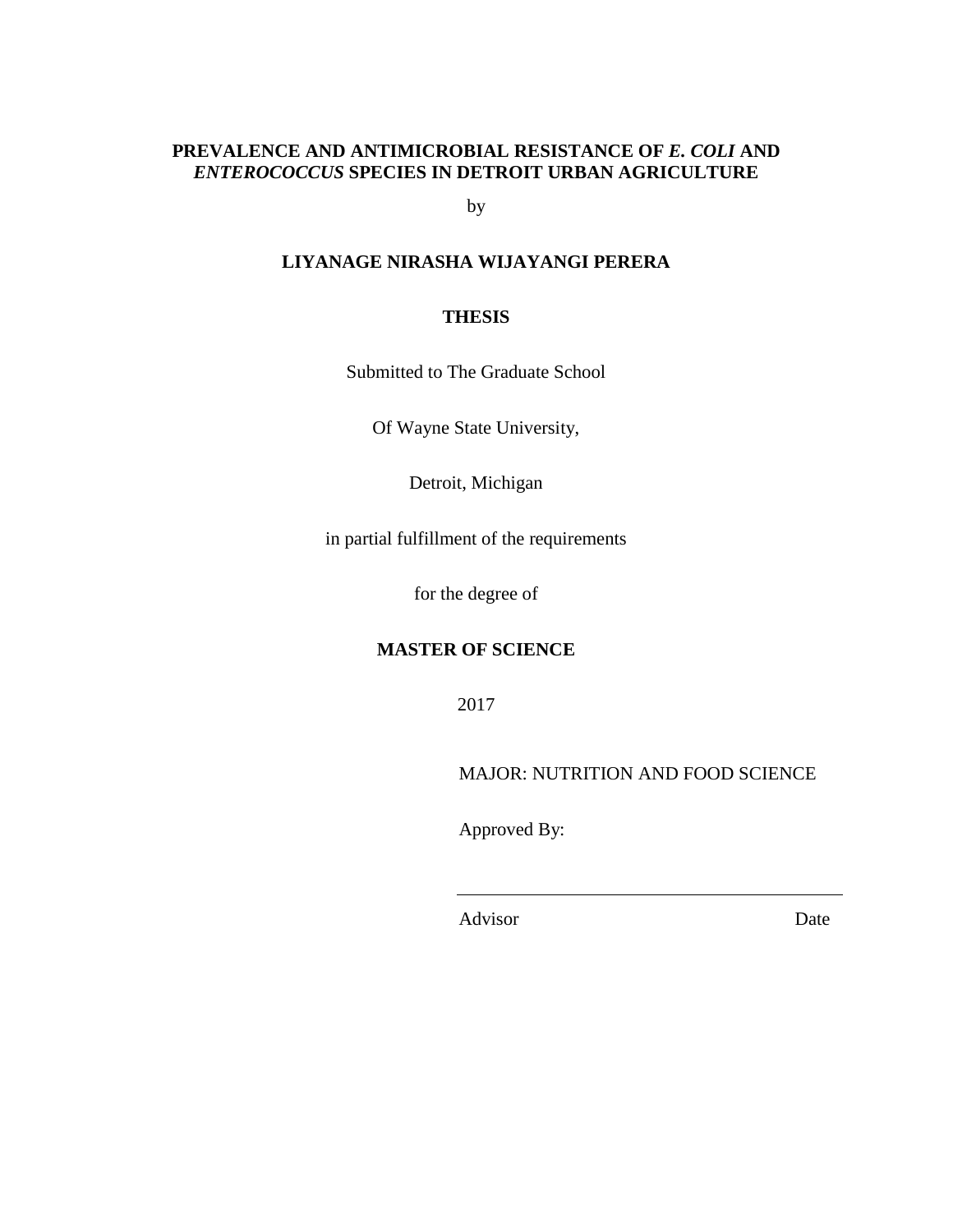# **PREVALENCE AND ANTIMICROBIAL RESISTANCE OF** *E. COLI* **AND**  *ENTEROCOCCUS* **SPECIES IN DETROIT URBAN AGRICULTURE**

by

# **LIYANAGE NIRASHA WIJAYANGI PERERA**

## **THESIS**

Submitted to The Graduate School

Of Wayne State University,

Detroit, Michigan

in partial fulfillment of the requirements

for the degree of

## **MASTER OF SCIENCE**

2017

MAJOR: NUTRITION AND FOOD SCIENCE

Approved By:

Advisor Date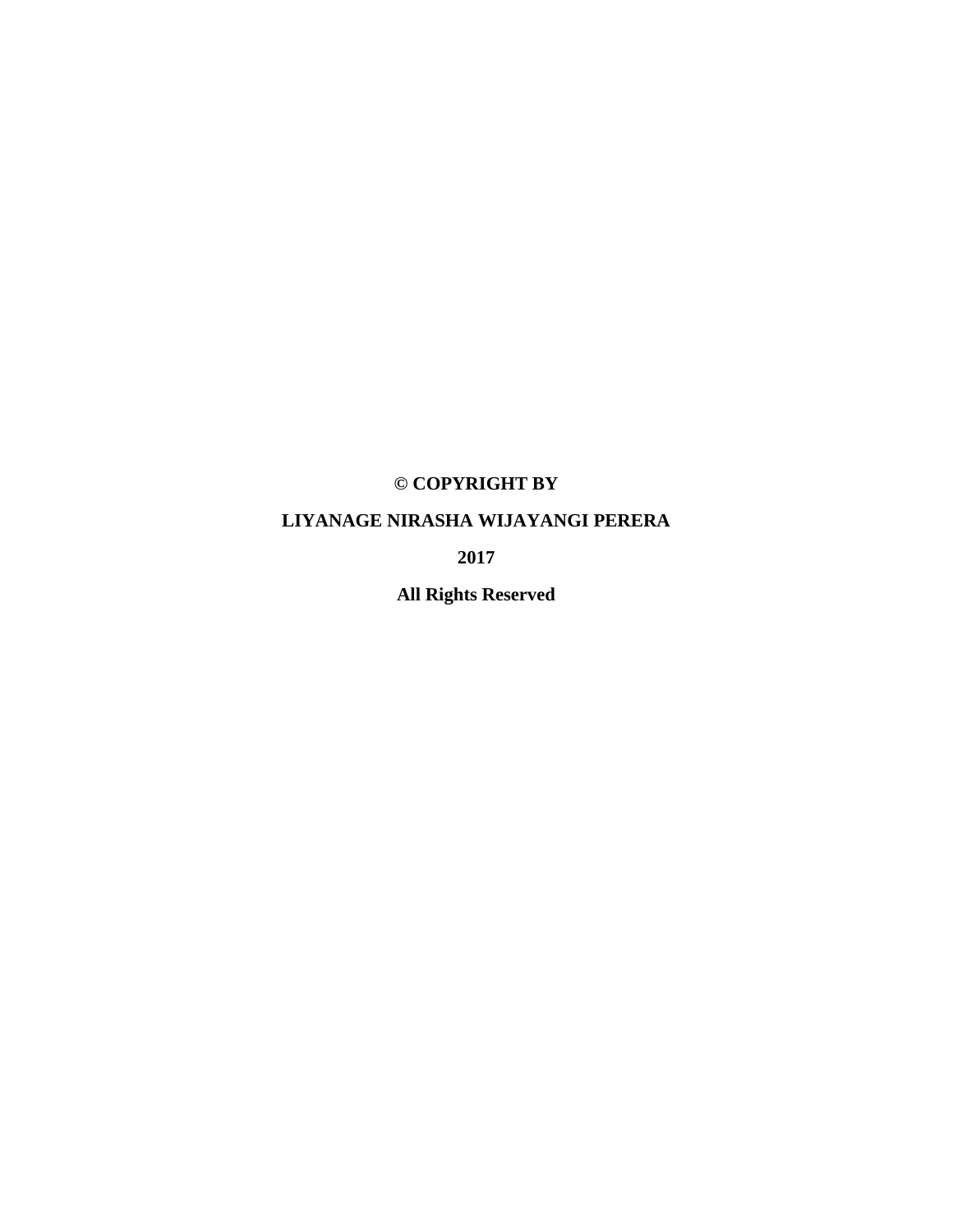# **© COPYRIGHT BY**

# **LIYANAGE NIRASHA WIJAYANGI PERERA**

**2017**

**All Rights Reserved**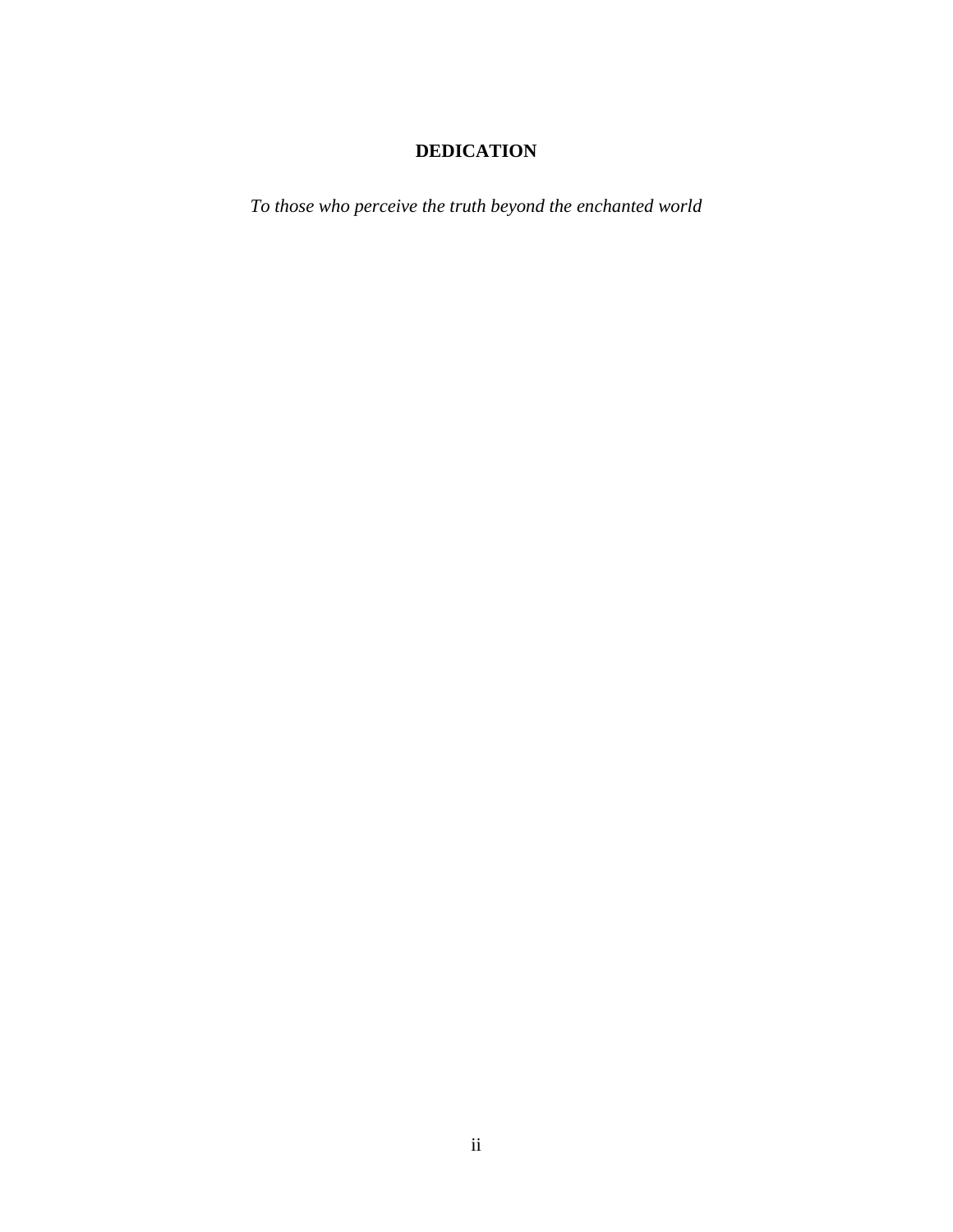# **DEDICATION**

*To those who perceive the truth beyond the enchanted world*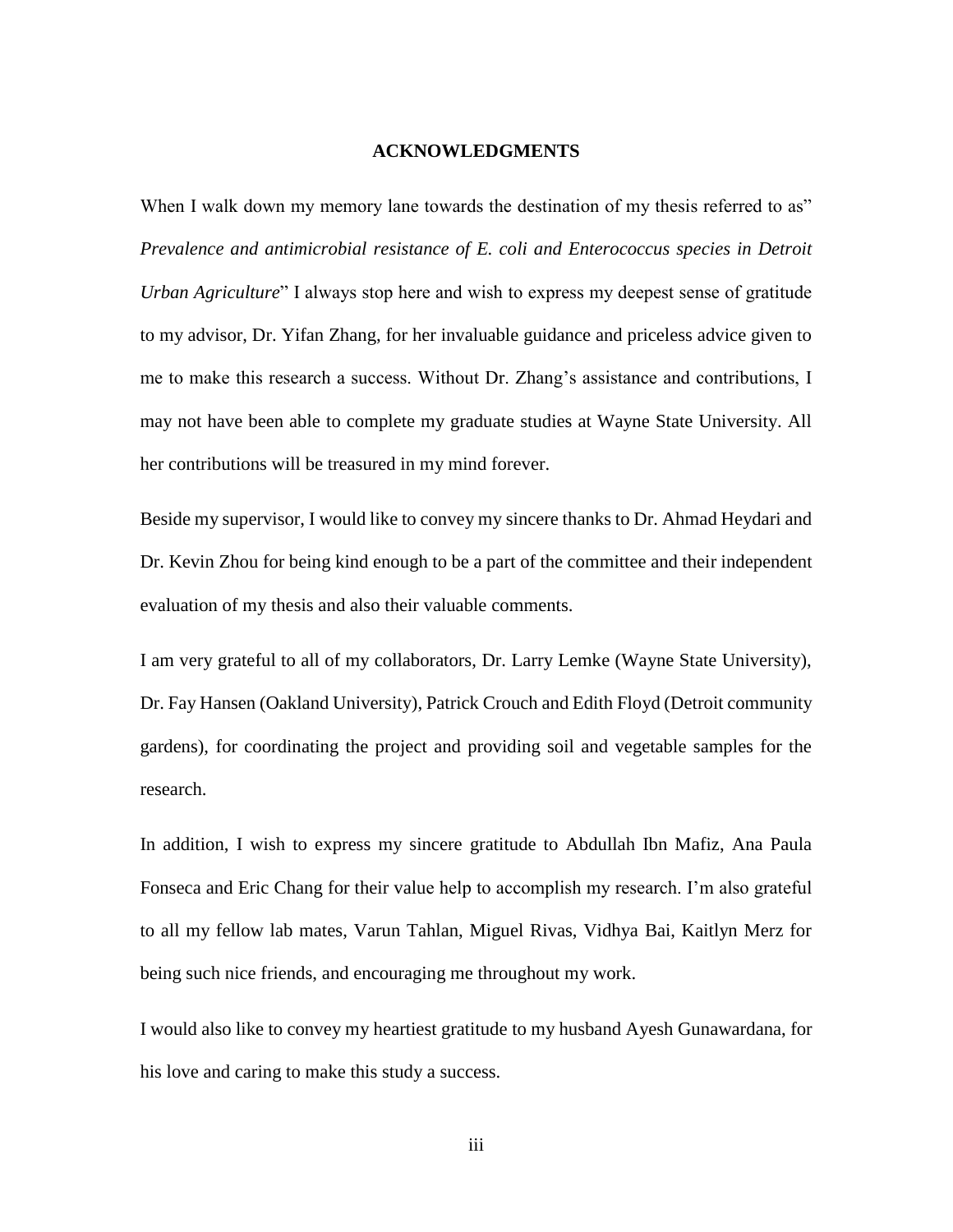#### **ACKNOWLEDGMENTS**

When I walk down my memory lane towards the destination of my thesis referred to as" *Prevalence and antimicrobial resistance of E. coli and Enterococcus species in Detroit Urban Agriculture*" I always stop here and wish to express my deepest sense of gratitude to my advisor, Dr. Yifan Zhang, for her invaluable guidance and priceless advice given to me to make this research a success. Without Dr. Zhang's assistance and contributions, I may not have been able to complete my graduate studies at Wayne State University. All her contributions will be treasured in my mind forever.

Beside my supervisor, I would like to convey my sincere thanks to Dr. Ahmad Heydari and Dr. Kevin Zhou for being kind enough to be a part of the committee and their independent evaluation of my thesis and also their valuable comments.

I am very grateful to all of my collaborators, Dr. Larry Lemke (Wayne State University), Dr. Fay Hansen (Oakland University), Patrick Crouch and Edith Floyd (Detroit community gardens), for coordinating the project and providing soil and vegetable samples for the research.

In addition, I wish to express my sincere gratitude to Abdullah Ibn Mafiz, Ana Paula Fonseca and Eric Chang for their value help to accomplish my research. I'm also grateful to all my fellow lab mates, Varun Tahlan, Miguel Rivas, Vidhya Bai, Kaitlyn Merz for being such nice friends, and encouraging me throughout my work.

I would also like to convey my heartiest gratitude to my husband Ayesh Gunawardana, for his love and caring to make this study a success.

iii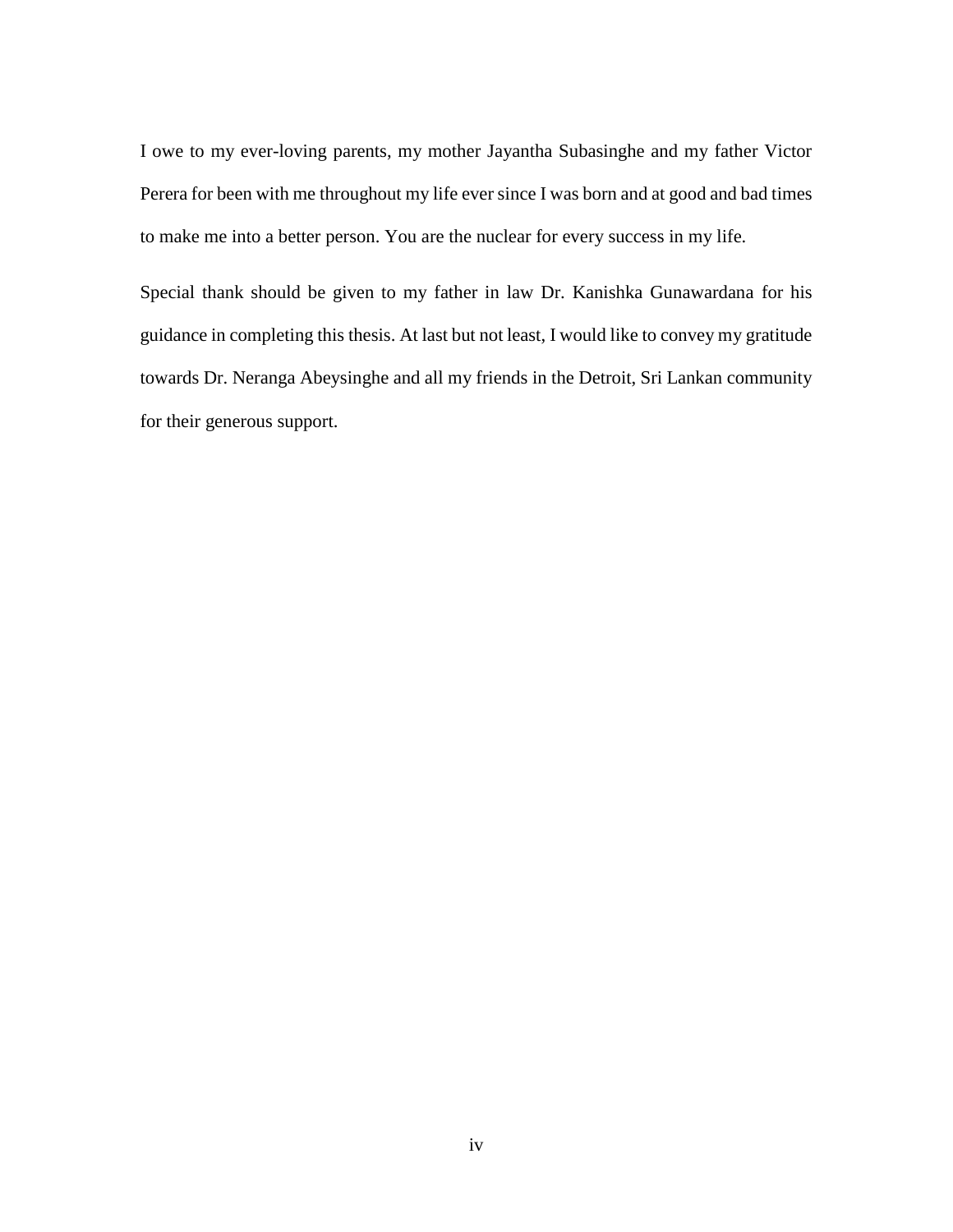I owe to my ever-loving parents, my mother Jayantha Subasinghe and my father Victor Perera for been with me throughout my life ever since I was born and at good and bad times to make me into a better person. You are the nuclear for every success in my life.

Special thank should be given to my father in law Dr. Kanishka Gunawardana for his guidance in completing this thesis. At last but not least, I would like to convey my gratitude towards Dr. Neranga Abeysinghe and all my friends in the Detroit, Sri Lankan community for their generous support.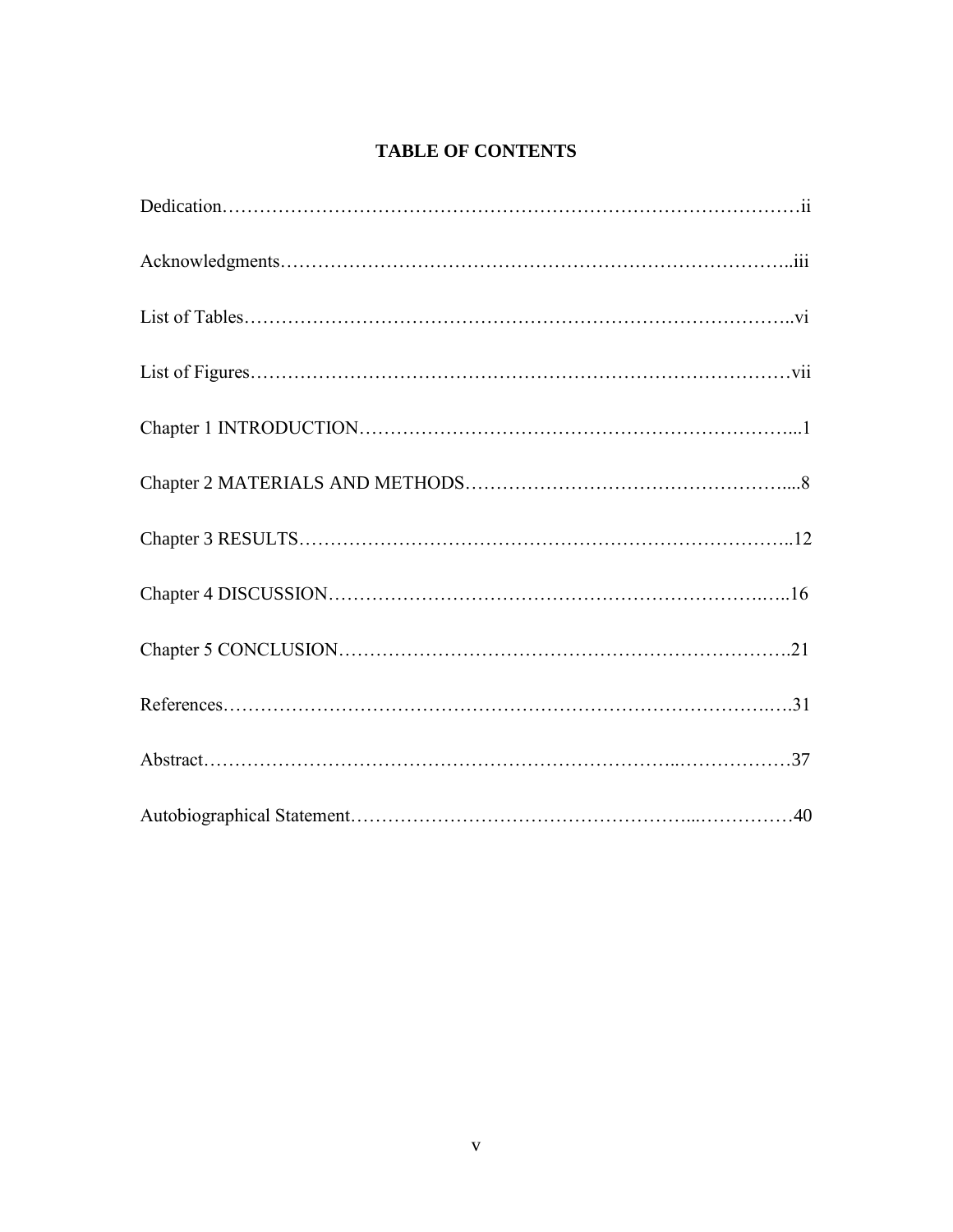# **TABLE OF CONTENTS**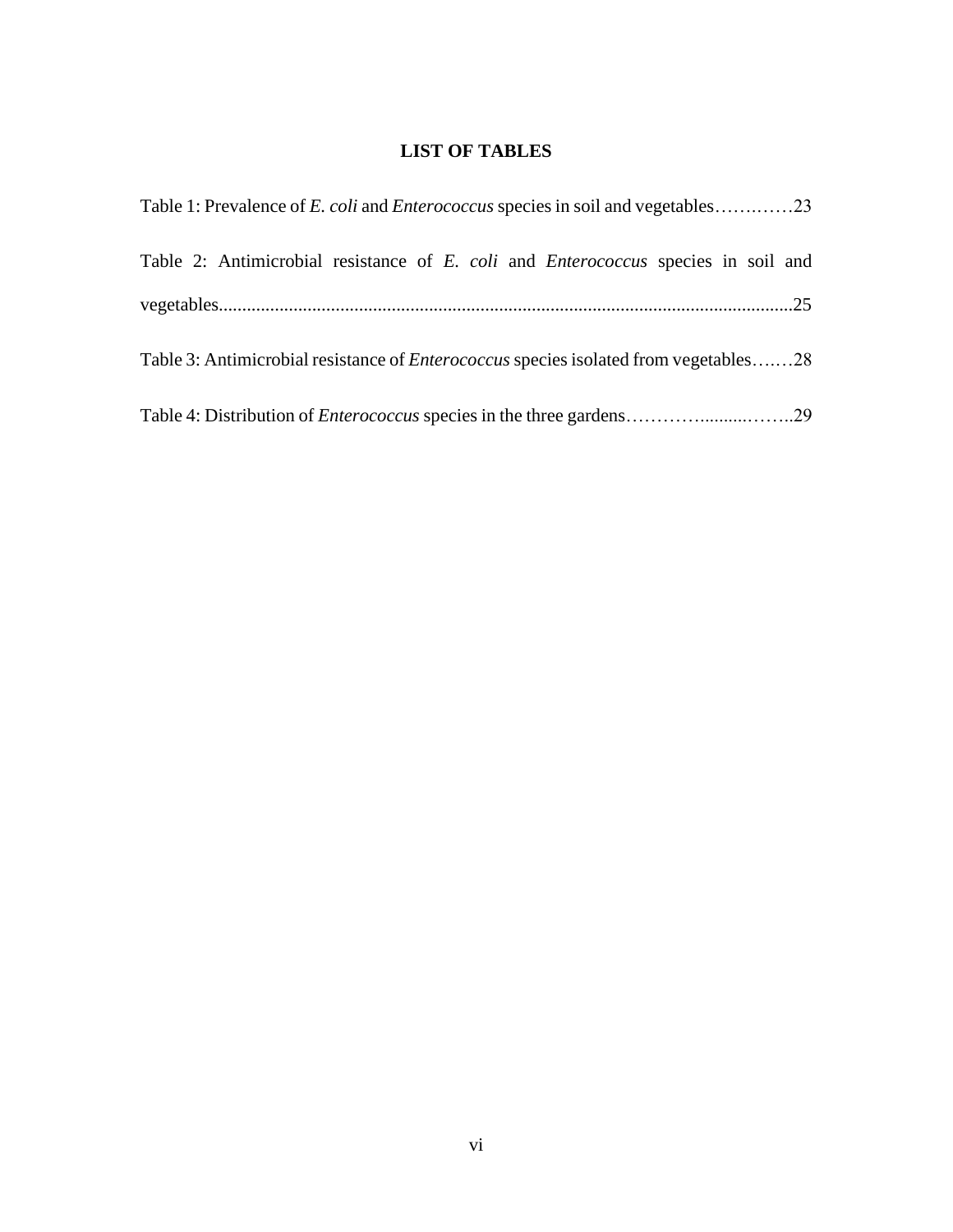# **LIST OF TABLES**

| Table 1: Prevalence of <i>E. coli</i> and <i>Enterococcus</i> species in soil and vegetables23 |
|------------------------------------------------------------------------------------------------|
| Table 2: Antimicrobial resistance of E. coli and Enterococcus species in soil and              |
|                                                                                                |
| Table 3: Antimicrobial resistance of <i>Enterococcus</i> species isolated from vegetables28    |
|                                                                                                |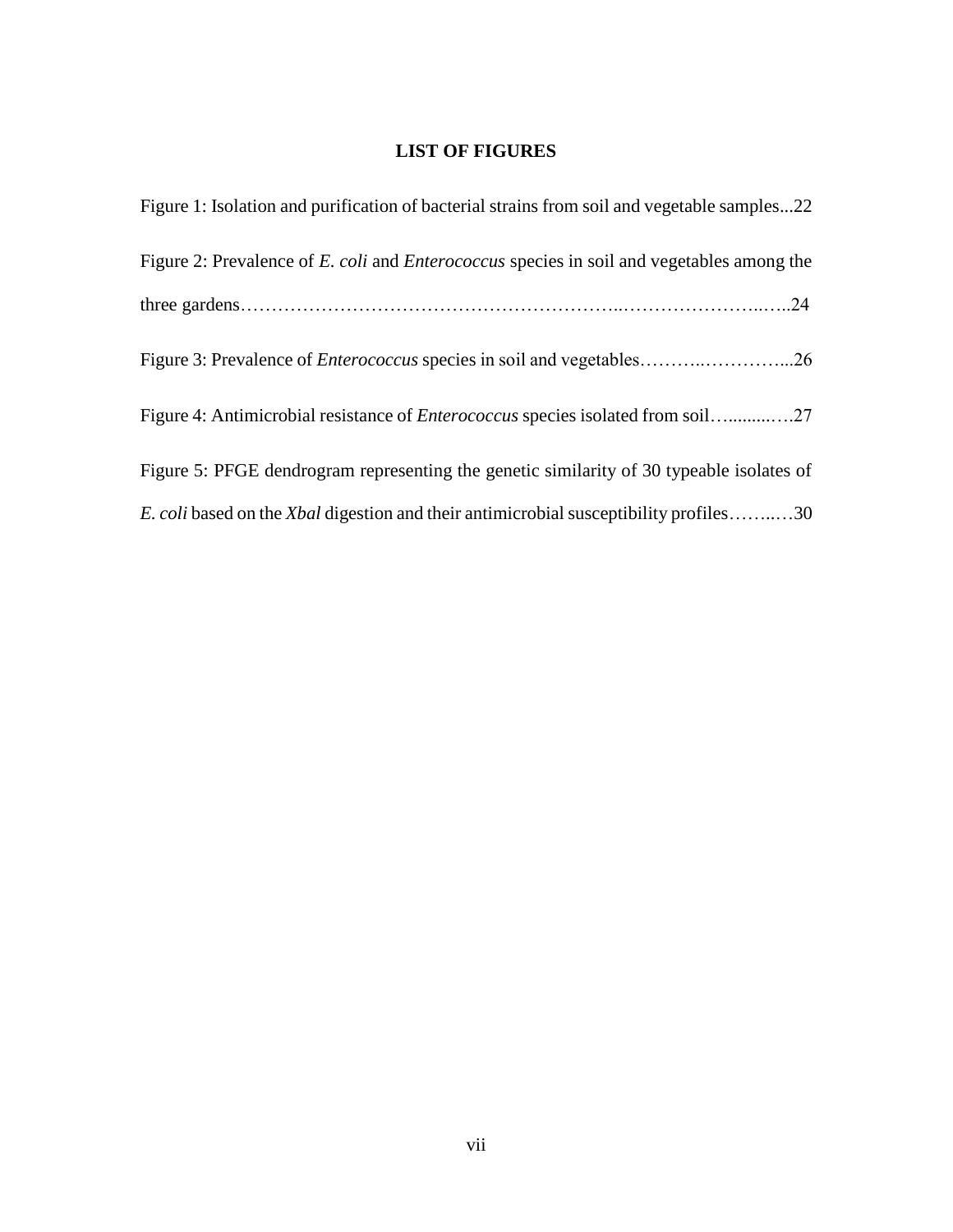# **LIST OF FIGURES**

| Figure 1: Isolation and purification of bacterial strains from soil and vegetable samples22         |
|-----------------------------------------------------------------------------------------------------|
| Figure 2: Prevalence of E. coli and <i>Enterococcus</i> species in soil and vegetables among the    |
|                                                                                                     |
|                                                                                                     |
|                                                                                                     |
| Figure 5: PFGE dendrogram representing the genetic similarity of 30 typeable isolates of            |
| <i>E. coli</i> based on the <i>Xbal</i> digestion and their antimicrobial susceptibility profiles30 |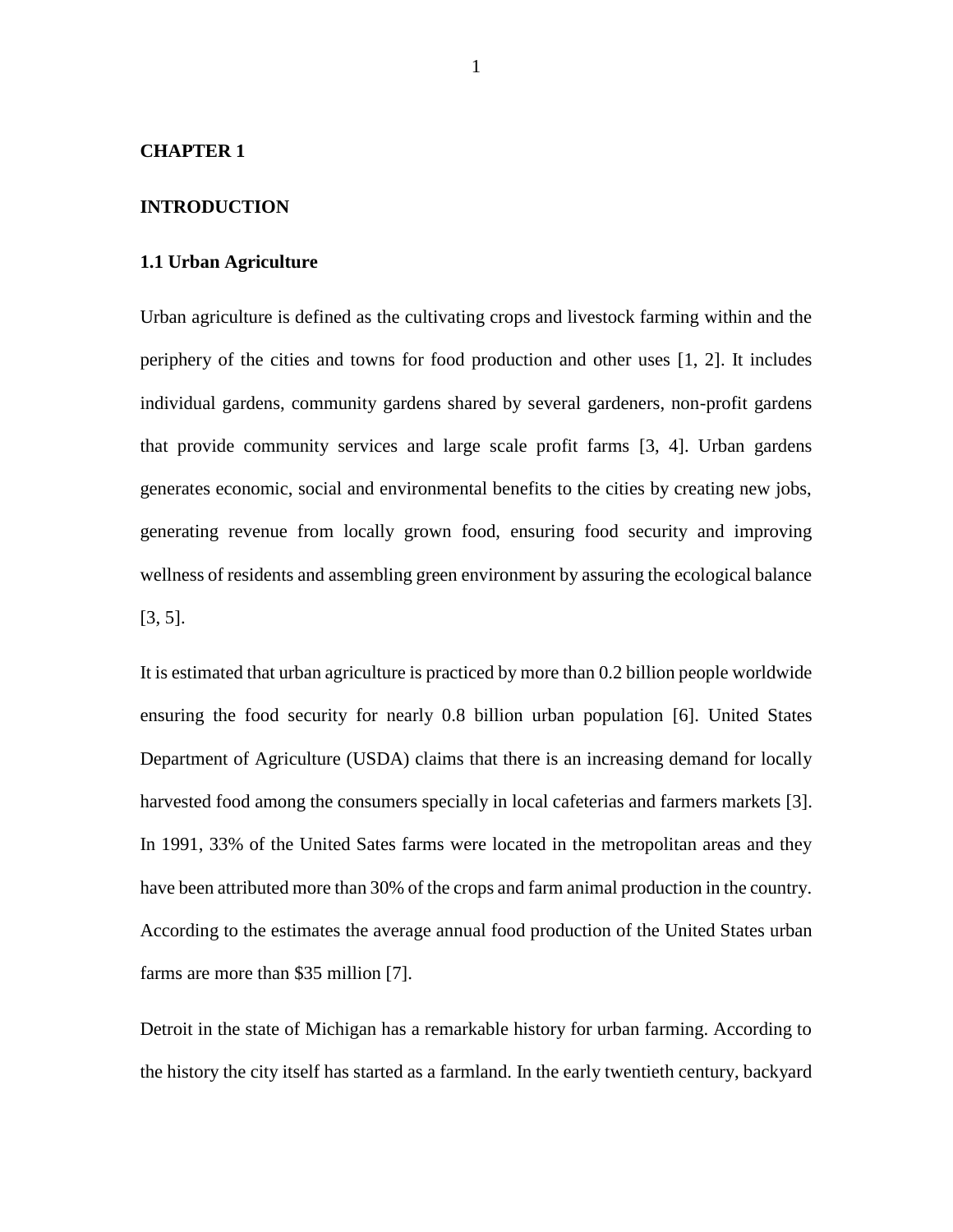#### **CHAPTER 1**

#### **INTRODUCTION**

#### **1.1 Urban Agriculture**

Urban agriculture is defined as the cultivating crops and livestock farming within and the periphery of the cities and towns for food production and other uses [1, 2]. It includes individual gardens, community gardens shared by several gardeners, non-profit gardens that provide community services and large scale profit farms [3, 4]. Urban gardens generates economic, social and environmental benefits to the cities by creating new jobs, generating revenue from locally grown food, ensuring food security and improving wellness of residents and assembling green environment by assuring the ecological balance [3, 5].

It is estimated that urban agriculture is practiced by more than 0.2 billion people worldwide ensuring the food security for nearly 0.8 billion urban population [6]. United States Department of Agriculture (USDA) claims that there is an increasing demand for locally harvested food among the consumers specially in local cafeterias and farmers markets [3]. In 1991, 33% of the United Sates farms were located in the metropolitan areas and they have been attributed more than 30% of the crops and farm animal production in the country. According to the estimates the average annual food production of the United States urban farms are more than \$35 million [7].

Detroit in the state of Michigan has a remarkable history for urban farming. According to the history the city itself has started as a farmland. In the early twentieth century, backyard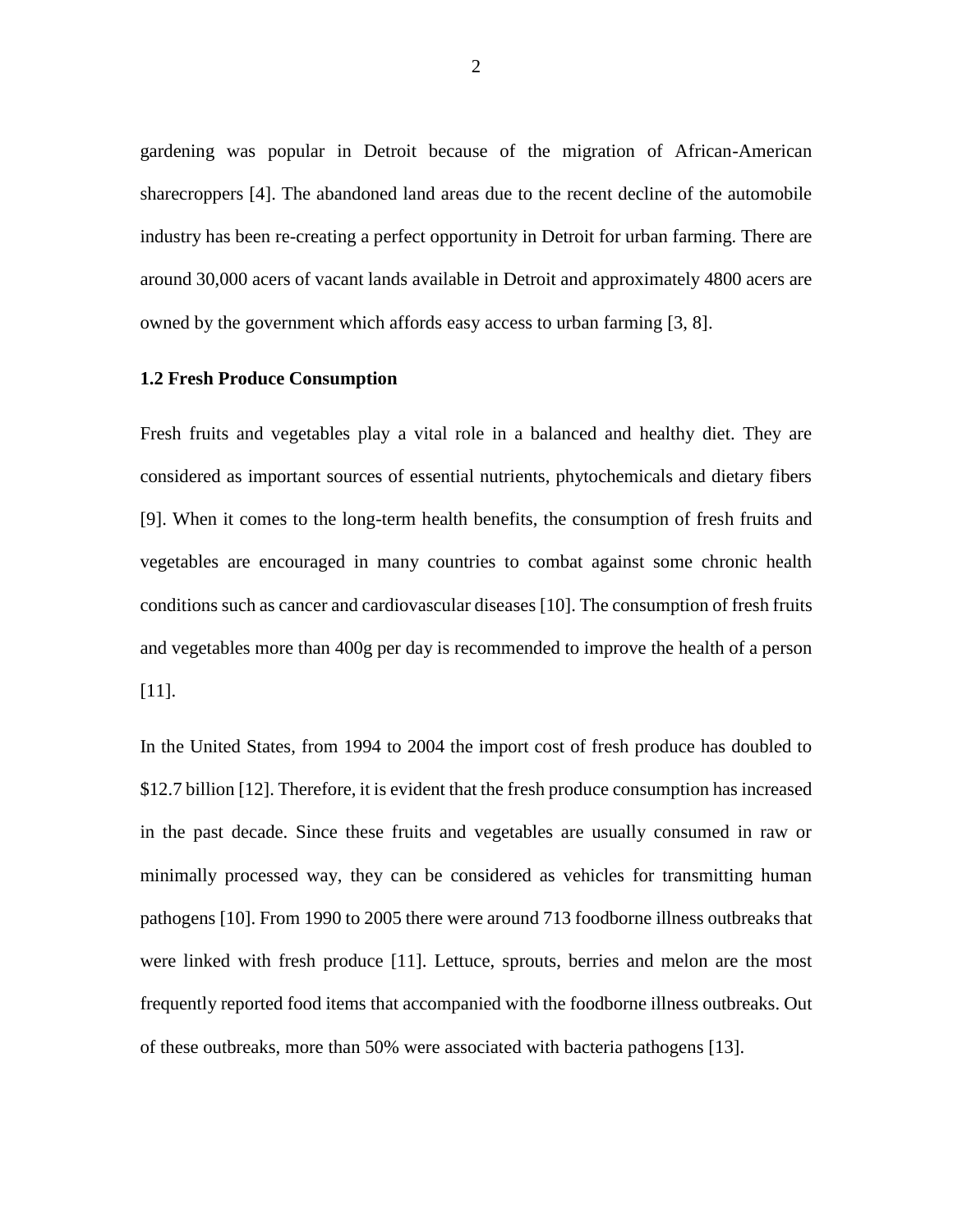gardening was popular in Detroit because of the migration of African-American sharecroppers [4]. The abandoned land areas due to the recent decline of the automobile industry has been re-creating a perfect opportunity in Detroit for urban farming. There are around 30,000 acers of vacant lands available in Detroit and approximately 4800 acers are owned by the government which affords easy access to urban farming [3, 8].

#### **1.2 Fresh Produce Consumption**

Fresh fruits and vegetables play a vital role in a balanced and healthy diet. They are considered as important sources of essential nutrients, phytochemicals and dietary fibers [9]. When it comes to the long-term health benefits, the consumption of fresh fruits and vegetables are encouraged in many countries to combat against some chronic health conditions such as cancer and cardiovascular diseases [10]. The consumption of fresh fruits and vegetables more than 400g per day is recommended to improve the health of a person [11].

In the United States, from 1994 to 2004 the import cost of fresh produce has doubled to \$12.7 billion [12]. Therefore, it is evident that the fresh produce consumption has increased in the past decade. Since these fruits and vegetables are usually consumed in raw or minimally processed way, they can be considered as vehicles for transmitting human pathogens [10]. From 1990 to 2005 there were around 713 foodborne illness outbreaks that were linked with fresh produce [11]. Lettuce, sprouts, berries and melon are the most frequently reported food items that accompanied with the foodborne illness outbreaks. Out of these outbreaks, more than 50% were associated with bacteria pathogens [13].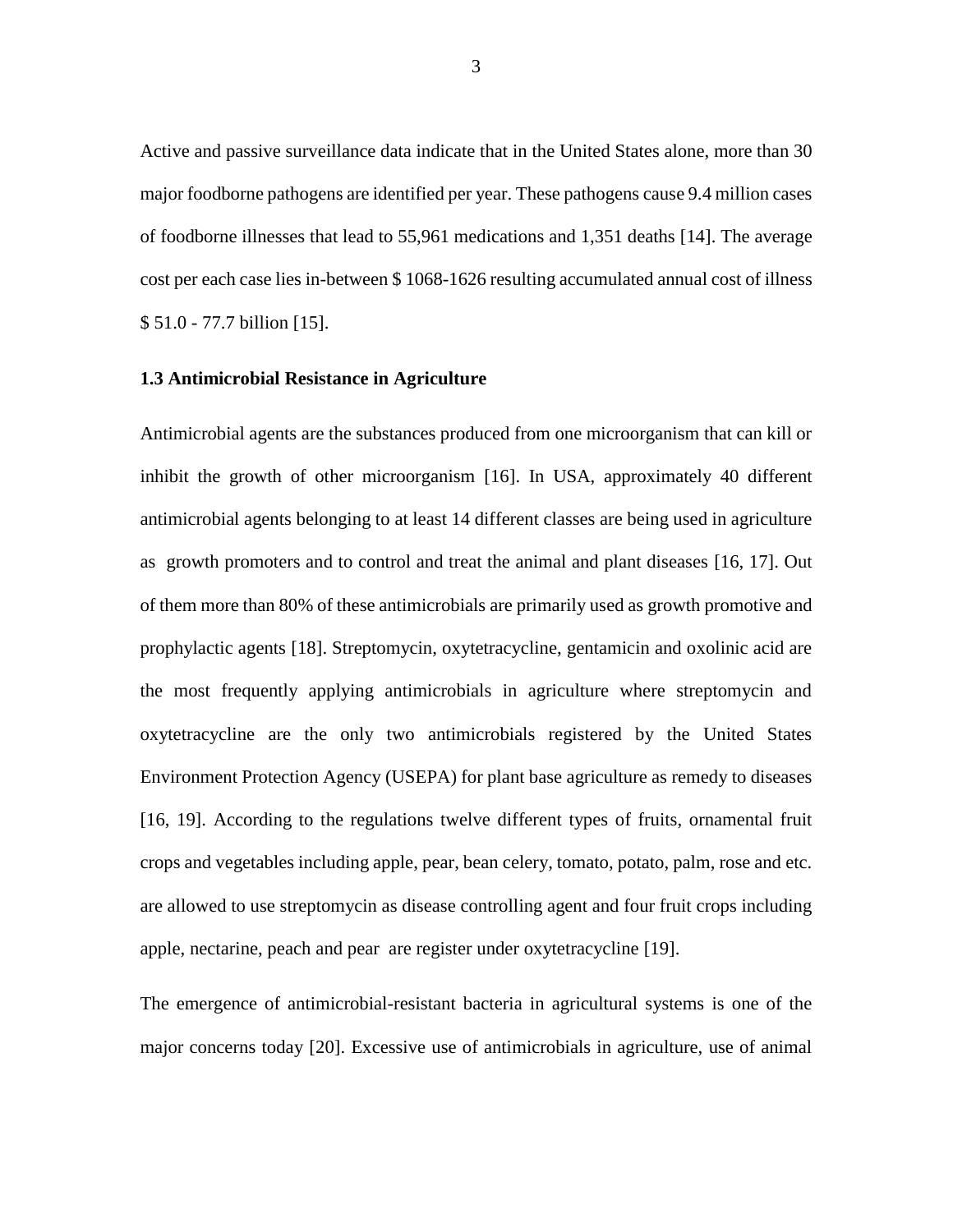Active and passive surveillance data indicate that in the United States alone, more than 30 major foodborne pathogens are identified per year. These pathogens cause 9.4 million cases of foodborne illnesses that lead to 55,961 medications and 1,351 deaths [14]. The average cost per each case lies in-between \$ 1068-1626 resulting accumulated annual cost of illness \$ 51.0 - 77.7 billion [15].

#### **1.3 Antimicrobial Resistance in Agriculture**

Antimicrobial agents are the substances produced from one microorganism that can kill or inhibit the growth of other microorganism [16]. In USA, approximately 40 different antimicrobial agents belonging to at least 14 different classes are being used in agriculture as growth promoters and to control and treat the animal and plant diseases [16, 17]. Out of them more than 80% of these antimicrobials are primarily used as growth promotive and prophylactic agents [18]. Streptomycin, oxytetracycline, gentamicin and oxolinic acid are the most frequently applying antimicrobials in agriculture where streptomycin and oxytetracycline are the only two antimicrobials registered by the United States Environment Protection Agency (USEPA) for plant base agriculture as remedy to diseases [16, 19]. According to the regulations twelve different types of fruits, ornamental fruit crops and vegetables including apple, pear, bean celery, tomato, potato, palm, rose and etc. are allowed to use streptomycin as disease controlling agent and four fruit crops including apple, nectarine, peach and pear are register under oxytetracycline [19].

The emergence of antimicrobial-resistant bacteria in agricultural systems is one of the major concerns today [20]. Excessive use of antimicrobials in agriculture, use of animal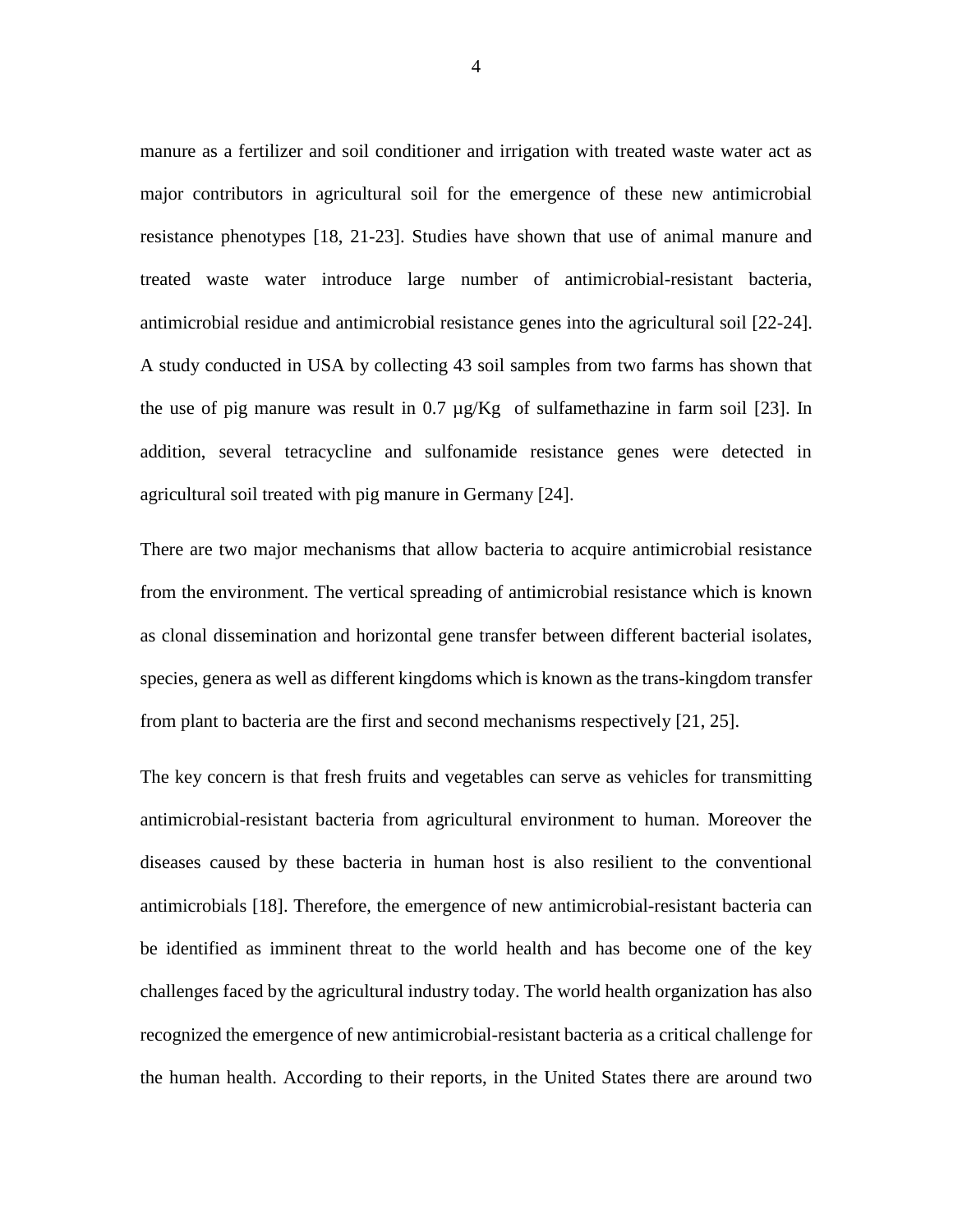manure as a fertilizer and soil conditioner and irrigation with treated waste water act as major contributors in agricultural soil for the emergence of these new antimicrobial resistance phenotypes [18, 21-23]. Studies have shown that use of animal manure and treated waste water introduce large number of antimicrobial-resistant bacteria, antimicrobial residue and antimicrobial resistance genes into the agricultural soil [22-24]. A study conducted in USA by collecting 43 soil samples from two farms has shown that the use of pig manure was result in 0.7 µg/Kg of sulfamethazine in farm soil [23]. In addition, several tetracycline and sulfonamide resistance genes were detected in agricultural soil treated with pig manure in Germany [24].

There are two major mechanisms that allow bacteria to acquire antimicrobial resistance from the environment. The vertical spreading of antimicrobial resistance which is known as clonal dissemination and horizontal gene transfer between different bacterial isolates, species, genera as well as different kingdoms which is known as the trans-kingdom transfer from plant to bacteria are the first and second mechanisms respectively [21, 25].

The key concern is that fresh fruits and vegetables can serve as vehicles for transmitting antimicrobial-resistant bacteria from agricultural environment to human. Moreover the diseases caused by these bacteria in human host is also resilient to the conventional antimicrobials [18]. Therefore, the emergence of new antimicrobial-resistant bacteria can be identified as imminent threat to the world health and has become one of the key challenges faced by the agricultural industry today. The world health organization has also recognized the emergence of new antimicrobial-resistant bacteria as a critical challenge for the human health. According to their reports, in the United States there are around two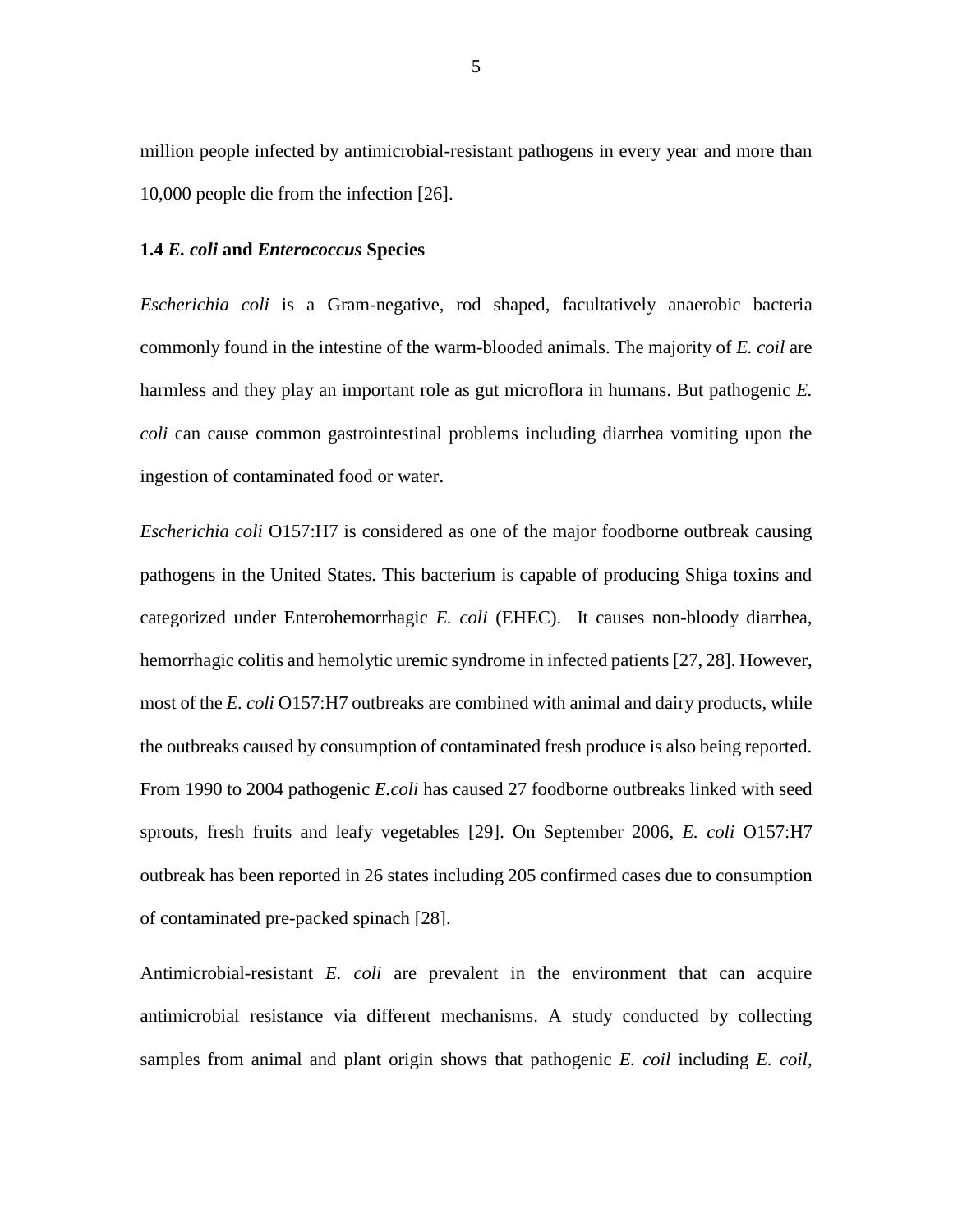million people infected by antimicrobial-resistant pathogens in every year and more than 10,000 people die from the infection [26].

#### **1.4** *E. coli* **and** *Enterococcus* **Species**

*Escherichia coli* is a Gram-negative, rod shaped, facultatively anaerobic bacteria commonly found in the intestine of the warm-blooded animals. The majority of *E. coil* are harmless and they play an important role as gut microflora in humans. But pathogenic *E. coli* can cause common gastrointestinal problems including diarrhea vomiting upon the ingestion of contaminated food or water.

*Escherichia coli* O157:H7 is considered as one of the major foodborne outbreak causing pathogens in the United States. This bacterium is capable of producing Shiga toxins and categorized under Enterohemorrhagic *E. coli* (EHEC). It causes non-bloody diarrhea, hemorrhagic colitis and hemolytic uremic syndrome in infected patients [27, 28]. However, most of the *E. coli* O157:H7 outbreaks are combined with animal and dairy products, while the outbreaks caused by consumption of contaminated fresh produce is also being reported. From 1990 to 2004 pathogenic *E.coli* has caused 27 foodborne outbreaks linked with seed sprouts, fresh fruits and leafy vegetables [29]. On September 2006, *E. coli* O157:H7 outbreak has been reported in 26 states including 205 confirmed cases due to consumption of contaminated pre-packed spinach [28].

Antimicrobial-resistant *E. coli* are prevalent in the environment that can acquire antimicrobial resistance via different mechanisms. A study conducted by collecting samples from animal and plant origin shows that pathogenic *E. coil* including *E. coil*,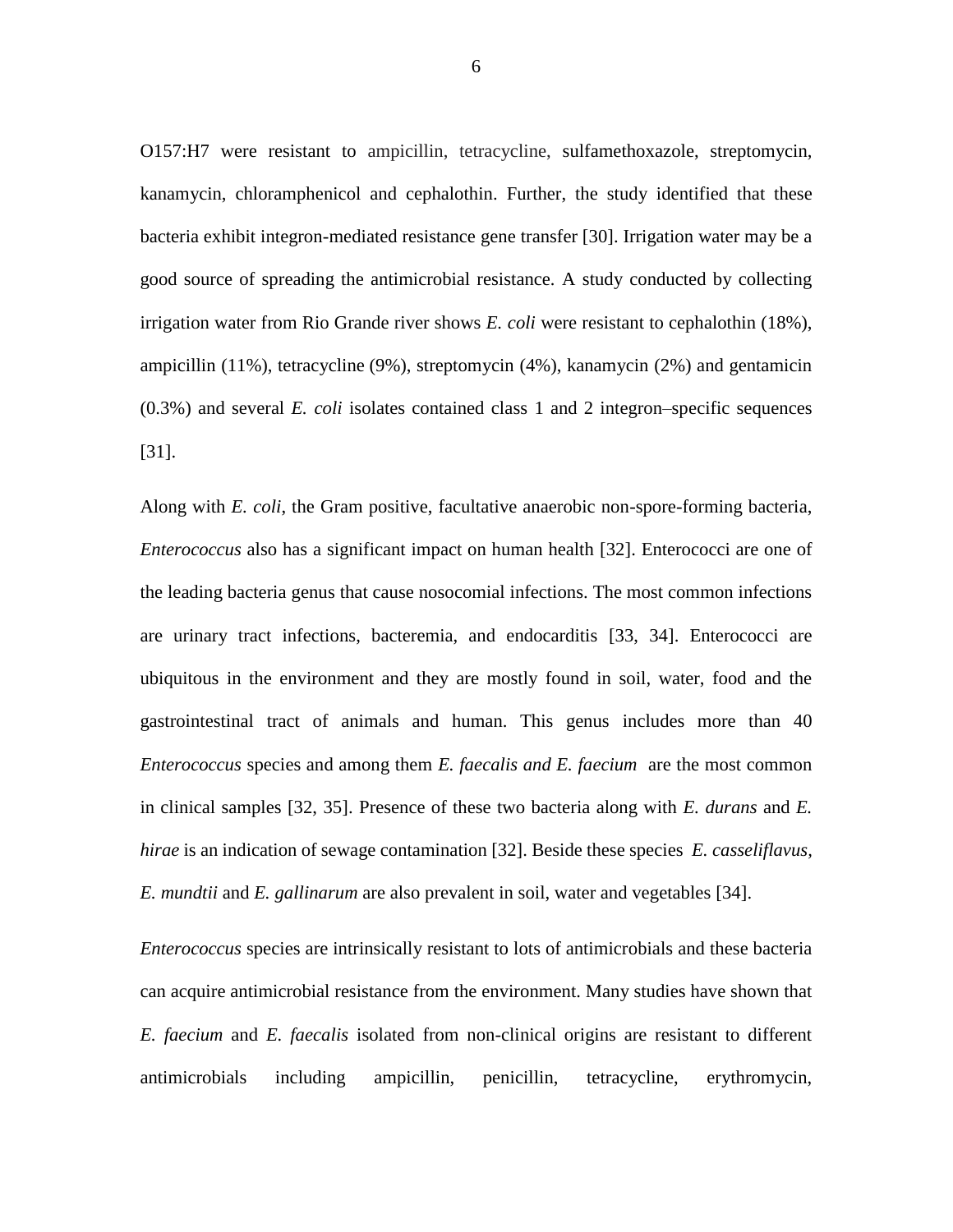O157:H7 were resistant to ampicillin, tetracycline, sulfamethoxazole, streptomycin, kanamycin, chloramphenicol and cephalothin. Further, the study identified that these bacteria exhibit integron-mediated resistance gene transfer [30]. Irrigation water may be a good source of spreading the antimicrobial resistance*.* A study conducted by collecting irrigation water from Rio Grande river shows *E. coli* were resistant to cephalothin (18%), ampicillin (11%), tetracycline (9%), streptomycin (4%), kanamycin (2%) and gentamicin (0.3%) and several *E. coli* isolates contained class 1 and 2 integron–specific sequences [31].

Along with *E. coli*, the Gram positive, facultative anaerobic non-spore-forming bacteria, *Enterococcus* also has a significant impact on human health [32]. Enterococci are one of the leading bacteria genus that cause nosocomial infections. The most common infections are urinary tract infections, bacteremia, and endocarditis [33, 34]. Enterococci are ubiquitous in the environment and they are mostly found in soil, water, food and the gastrointestinal tract of animals and human. This genus includes more than 40 *Enterococcus* species and among them *E. faecalis and E. faecium* are the most common in clinical samples [32, 35]. Presence of these two bacteria along with *E. durans* and *E. hirae* is an indication of sewage contamination [32]. Beside these species *E. casseliflavus, E. mundtii* and *E. gallinarum* are also prevalent in soil, water and vegetables [34].

*Enterococcus* species are intrinsically resistant to lots of antimicrobials and these bacteria can acquire antimicrobial resistance from the environment. Many studies have shown that *E. faecium* and *E. faecalis* isolated from non-clinical origins are resistant to different antimicrobials including ampicillin, penicillin, tetracycline, erythromycin,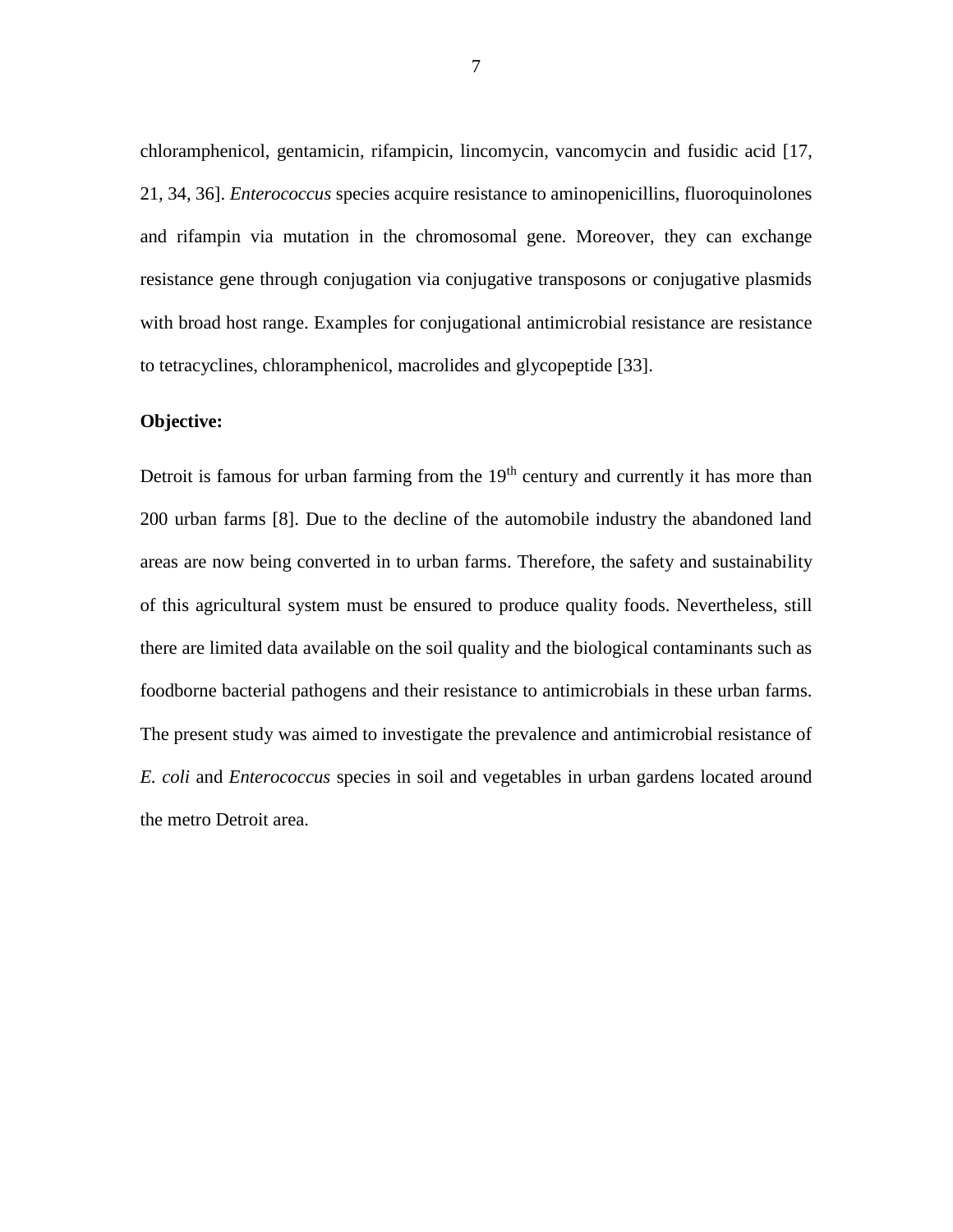chloramphenicol, gentamicin, rifampicin, lincomycin, vancomycin and fusidic acid [17, 21, 34, 36]. *Enterococcus* species acquire resistance to aminopenicillins, fluoroquinolones and rifampin via mutation in the chromosomal gene. Moreover, they can exchange resistance gene through conjugation via conjugative transposons or conjugative plasmids with broad host range. Examples for conjugational antimicrobial resistance are resistance to tetracyclines, chloramphenicol, macrolides and glycopeptide [33].

### **Objective:**

Detroit is famous for urban farming from the  $19<sup>th</sup>$  century and currently it has more than 200 urban farms [8]. Due to the decline of the automobile industry the abandoned land areas are now being converted in to urban farms. Therefore, the safety and sustainability of this agricultural system must be ensured to produce quality foods. Nevertheless, still there are limited data available on the soil quality and the biological contaminants such as foodborne bacterial pathogens and their resistance to antimicrobials in these urban farms. The present study was aimed to investigate the prevalence and antimicrobial resistance of *E. coli* and *Enterococcus* species in soil and vegetables in urban gardens located around the metro Detroit area.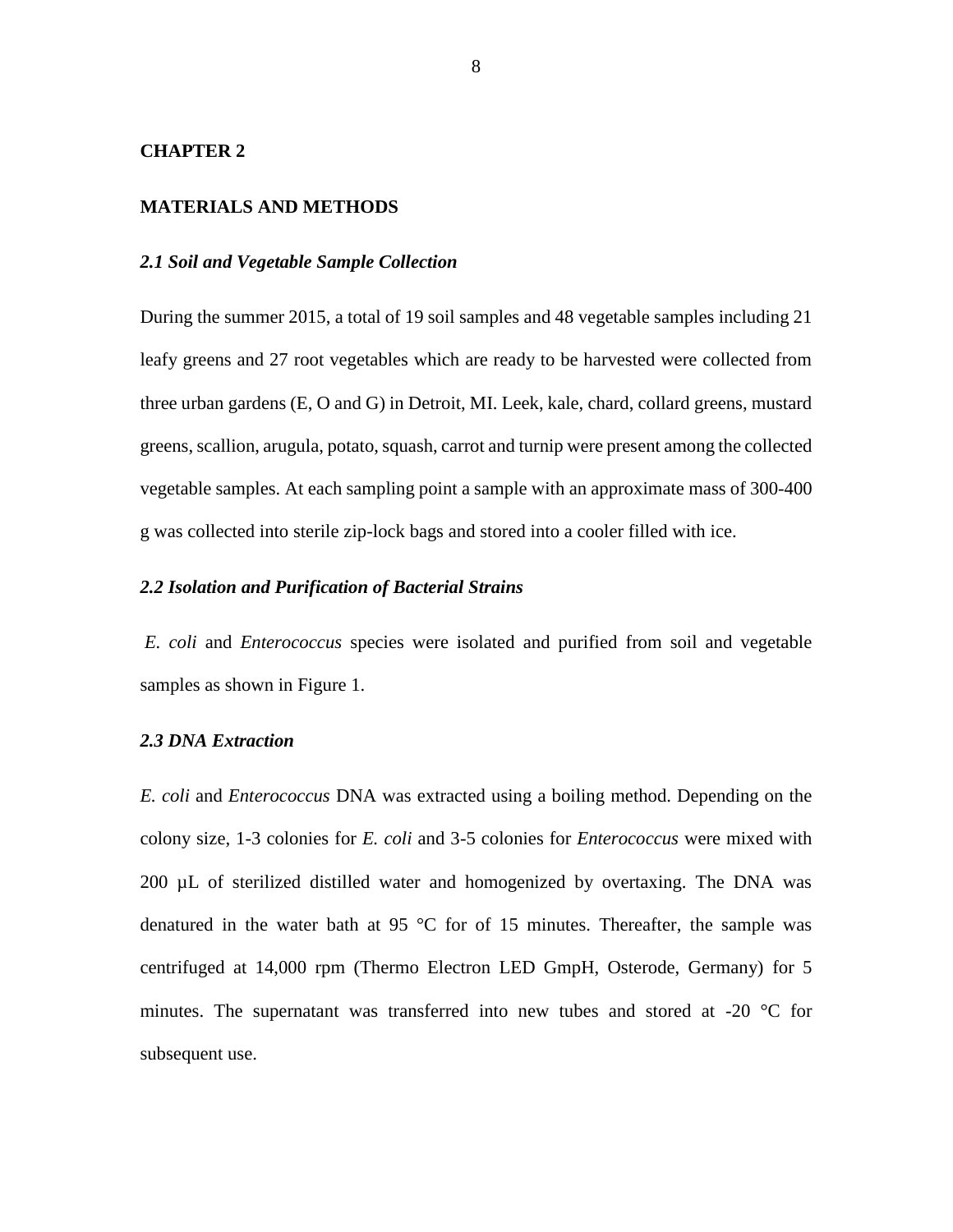#### **CHAPTER 2**

## **MATERIALS AND METHODS**

#### *2.1 Soil and Vegetable Sample Collection*

During the summer 2015, a total of 19 soil samples and 48 vegetable samples including 21 leafy greens and 27 root vegetables which are ready to be harvested were collected from three urban gardens (E, O and G) in Detroit, MI. Leek, kale, chard, collard greens, mustard greens, scallion, arugula, potato, squash, carrot and turnip were present among the collected vegetable samples. At each sampling point a sample with an approximate mass of 300-400 g was collected into sterile zip-lock bags and stored into a cooler filled with ice.

#### *2.2 Isolation and Purification of Bacterial Strains*

*E. coli* and *Enterococcus* species were isolated and purified from soil and vegetable samples as shown in Figure 1.

#### *2.3 DNA Extraction*

*E. coli* and *Enterococcus* DNA was extracted using a boiling method. Depending on the colony size, 1-3 colonies for *E. coli* and 3-5 colonies for *Enterococcus* were mixed with 200 µL of sterilized distilled water and homogenized by overtaxing. The DNA was denatured in the water bath at 95  $\degree$ C for of 15 minutes. Thereafter, the sample was centrifuged at 14,000 rpm (Thermo Electron LED GmpH, Osterode, Germany) for 5 minutes. The supernatant was transferred into new tubes and stored at -20 °C for subsequent use.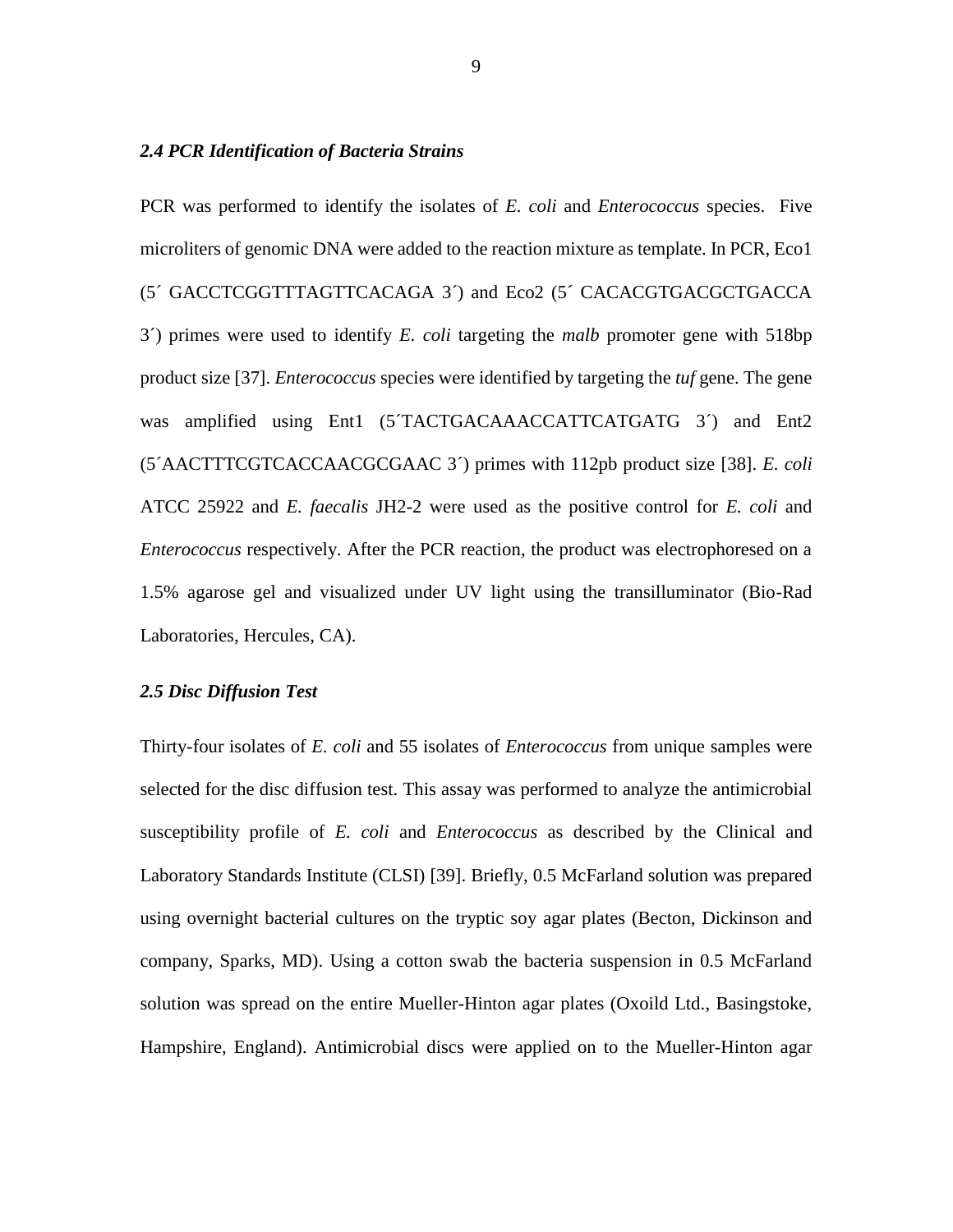#### *2.4 PCR Identification of Bacteria Strains*

PCR was performed to identify the isolates of *E. coli* and *Enterococcus* species. Five microliters of genomic DNA were added to the reaction mixture as template. In PCR, Eco1 (5´ GACCTCGGTTTAGTTCACAGA 3´) and Eco2 (5´ CACACGTGACGCTGACCA 3´) primes were used to identify *E. coli* targeting the *malb* promoter gene with 518bp product size [37]. *Enterococcus* species were identified by targeting the *tuf* gene. The gene was amplified using Ent1 (5<sup>T</sup>ACTGACAAACCATTCATGATG 3<sup>^</sup>) and Ent2 (5´AACTTTCGTCACCAACGCGAAC 3´) primes with 112pb product size [38]. *E. coli* ATCC 25922 and *E. faecalis* JH2-2 were used as the positive control for *E. coli* and *Enterococcus* respectively. After the PCR reaction, the product was electrophoresed on a 1.5% agarose gel and visualized under UV light using the transilluminator (Bio-Rad Laboratories, Hercules, CA).

#### *2.5 Disc Diffusion Test*

Thirty-four isolates of *E. coli* and 55 isolates of *Enterococcus* from unique samples were selected for the disc diffusion test. This assay was performed to analyze the antimicrobial susceptibility profile of *E. coli* and *Enterococcus* as described by the Clinical and Laboratory Standards Institute (CLSI) [39]. Briefly, 0.5 McFarland solution was prepared using overnight bacterial cultures on the tryptic soy agar plates (Becton, Dickinson and company, Sparks, MD). Using a cotton swab the bacteria suspension in 0.5 McFarland solution was spread on the entire Mueller-Hinton agar plates (Oxoild Ltd., Basingstoke, Hampshire, England). Antimicrobial discs were applied on to the Mueller-Hinton agar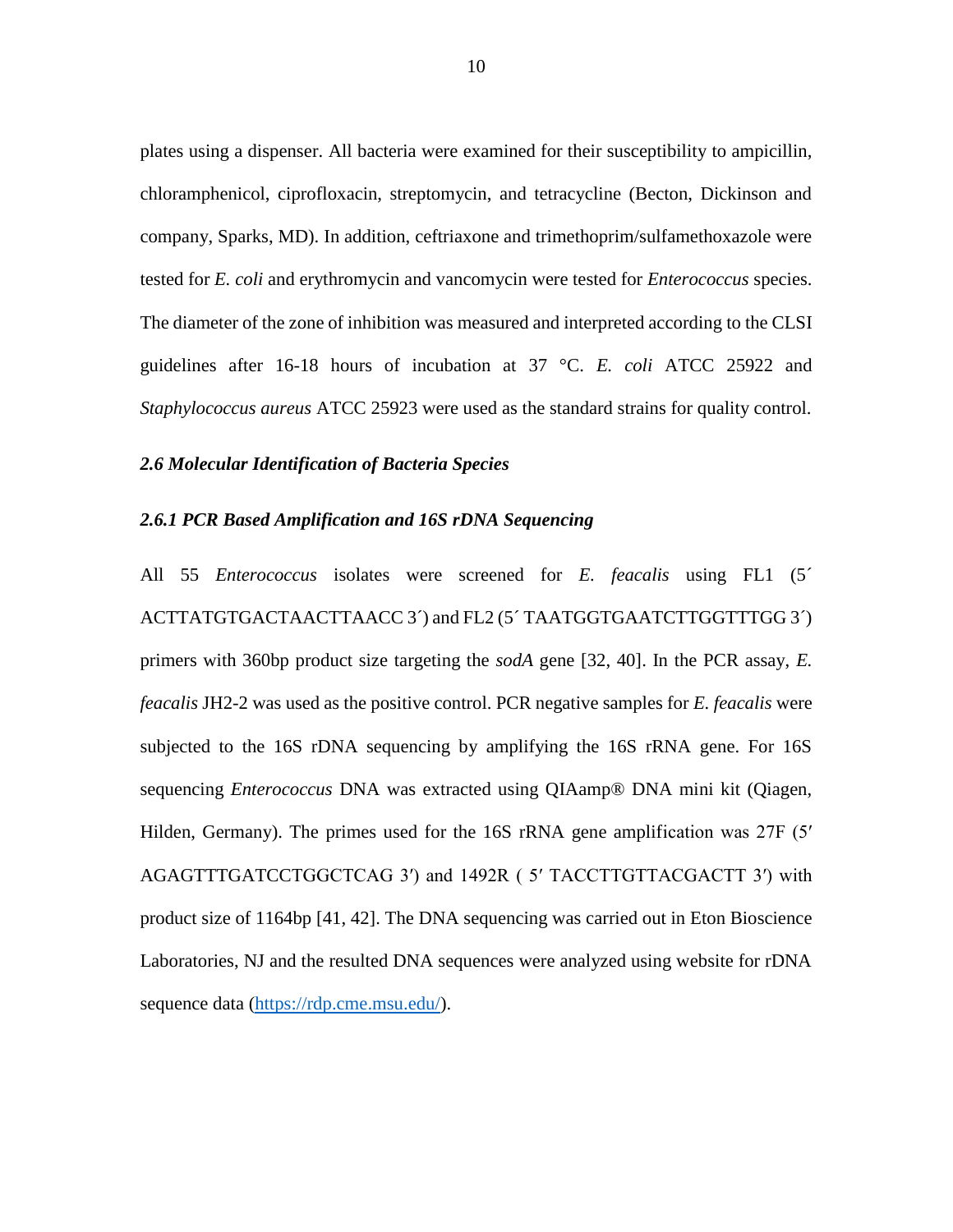plates using a dispenser. All bacteria were examined for their susceptibility to ampicillin, chloramphenicol, ciprofloxacin, streptomycin, and tetracycline (Becton, Dickinson and company, Sparks, MD). In addition, ceftriaxone and trimethoprim/sulfamethoxazole were tested for *E. coli* and erythromycin and vancomycin were tested for *Enterococcus* species. The diameter of the zone of inhibition was measured and interpreted according to the CLSI guidelines after 16-18 hours of incubation at 37 °C. *E. coli* ATCC 25922 and *Staphylococcus aureus* ATCC 25923 were used as the standard strains for quality control.

#### *2.6 Molecular Identification of Bacteria Species*

#### *2.6.1 PCR Based Amplification and 16S rDNA Sequencing*

All 55 *Enterococcus* isolates were screened for *E. feacalis* using FL1 (5´ ACTTATGTGACTAACTTAACC 3´) and FL2 (5´ TAATGGTGAATCTTGGTTTGG 3´) primers with 360bp product size targeting the *sodA* gene [32, 40]. In the PCR assay, *E. feacalis* JH2-2 was used as the positive control. PCR negative samples for *E. feacalis* were subjected to the 16S rDNA sequencing by amplifying the 16S rRNA gene. For 16S sequencing *Enterococcus* DNA was extracted using QIAamp® DNA mini kit (Qiagen, Hilden, Germany). The primes used for the 16S rRNA gene amplification was 27F (5' AGAGTTTGATCCTGGCTCAG 3′) and 1492R ( 5′ TACCTTGTTACGACTT 3′) with product size of 1164bp [41, 42]. The DNA sequencing was carried out in Eton Bioscience Laboratories, NJ and the resulted DNA sequences were analyzed using website for rDNA sequence data [\(https://rdp.cme.msu.edu/\)](https://rdp.cme.msu.edu/).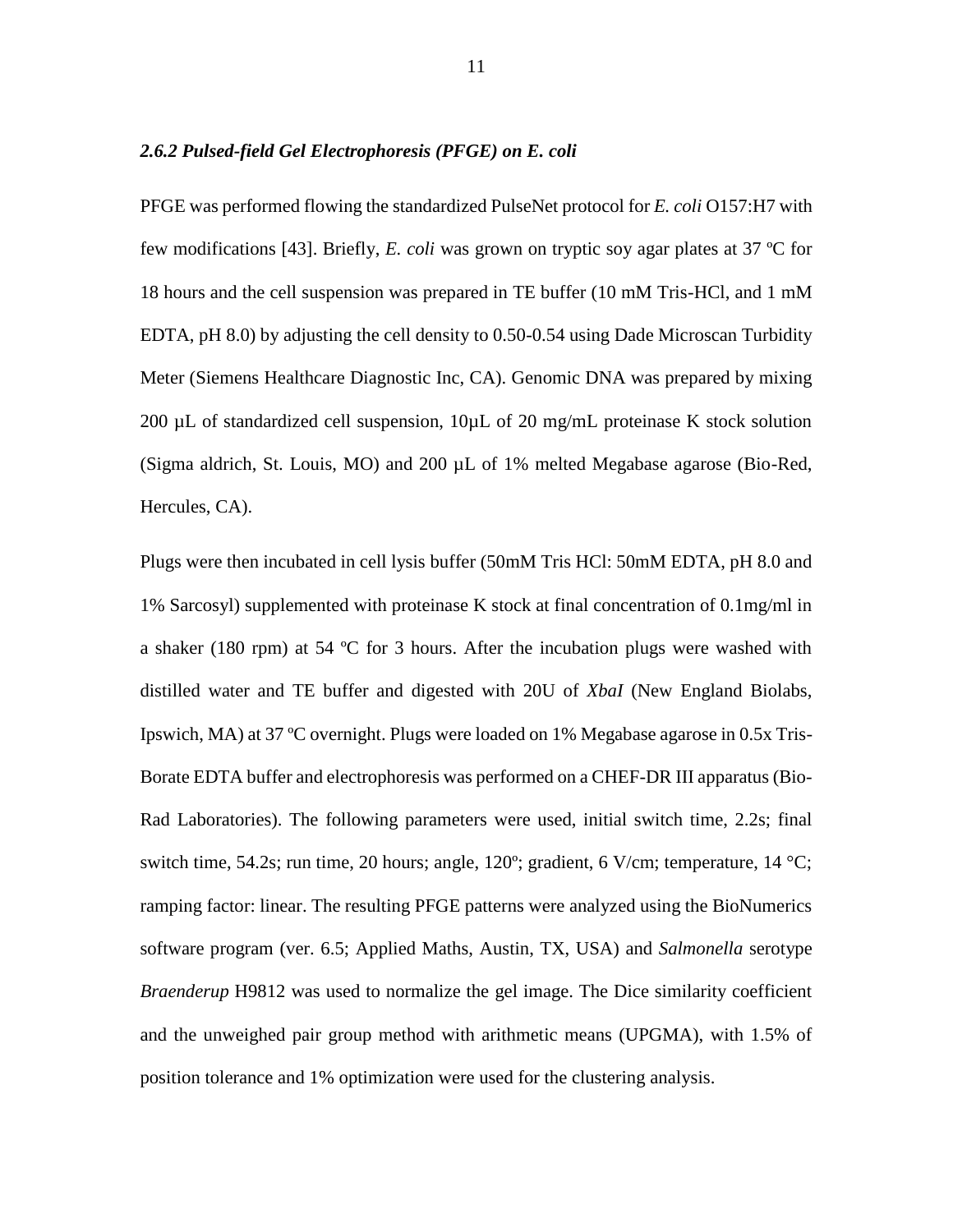#### *2.6.2 Pulsed-field Gel Electrophoresis (PFGE) on E. coli*

PFGE was performed flowing the standardized PulseNet protocol for *E. coli* O157:H7 with few modifications [43]. Briefly, *E. coli* was grown on tryptic soy agar plates at 37 ºC for 18 hours and the cell suspension was prepared in TE buffer (10 mM Tris-HCl, and 1 mM EDTA, pH 8.0) by adjusting the cell density to 0.50-0.54 using Dade Microscan Turbidity Meter (Siemens Healthcare Diagnostic Inc, CA). Genomic DNA was prepared by mixing 200  $\mu$ L of standardized cell suspension, 10 $\mu$ L of 20 mg/mL proteinase K stock solution (Sigma aldrich, St. Louis, MO) and 200 µL of 1% melted Megabase agarose (Bio-Red, Hercules, CA).

Plugs were then incubated in cell lysis buffer (50mM Tris HCl: 50mM EDTA, pH 8.0 and 1% Sarcosyl) supplemented with proteinase K stock at final concentration of 0.1mg/ml in a shaker (180 rpm) at 54 ºC for 3 hours. After the incubation plugs were washed with distilled water and TE buffer and digested with 20U of *XbaI* (New England Biolabs, Ipswich, MA) at 37 ºC overnight. Plugs were loaded on 1% Megabase agarose in 0.5x Tris-Borate EDTA buffer and electrophoresis was performed on a CHEF-DR III apparatus (Bio-Rad Laboratories). The following parameters were used, initial switch time, 2.2s; final switch time, 54.2s; run time, 20 hours; angle, 120°; gradient, 6 V/cm; temperature, 14 °C; ramping factor: linear. The resulting PFGE patterns were analyzed using the BioNumerics software program (ver. 6.5; Applied Maths, Austin, TX, USA) and *Salmonella* serotype *Braenderup* H9812 was used to normalize the gel image. The Dice similarity coefficient and the unweighed pair group method with arithmetic means (UPGMA), with 1.5% of position tolerance and 1% optimization were used for the clustering analysis.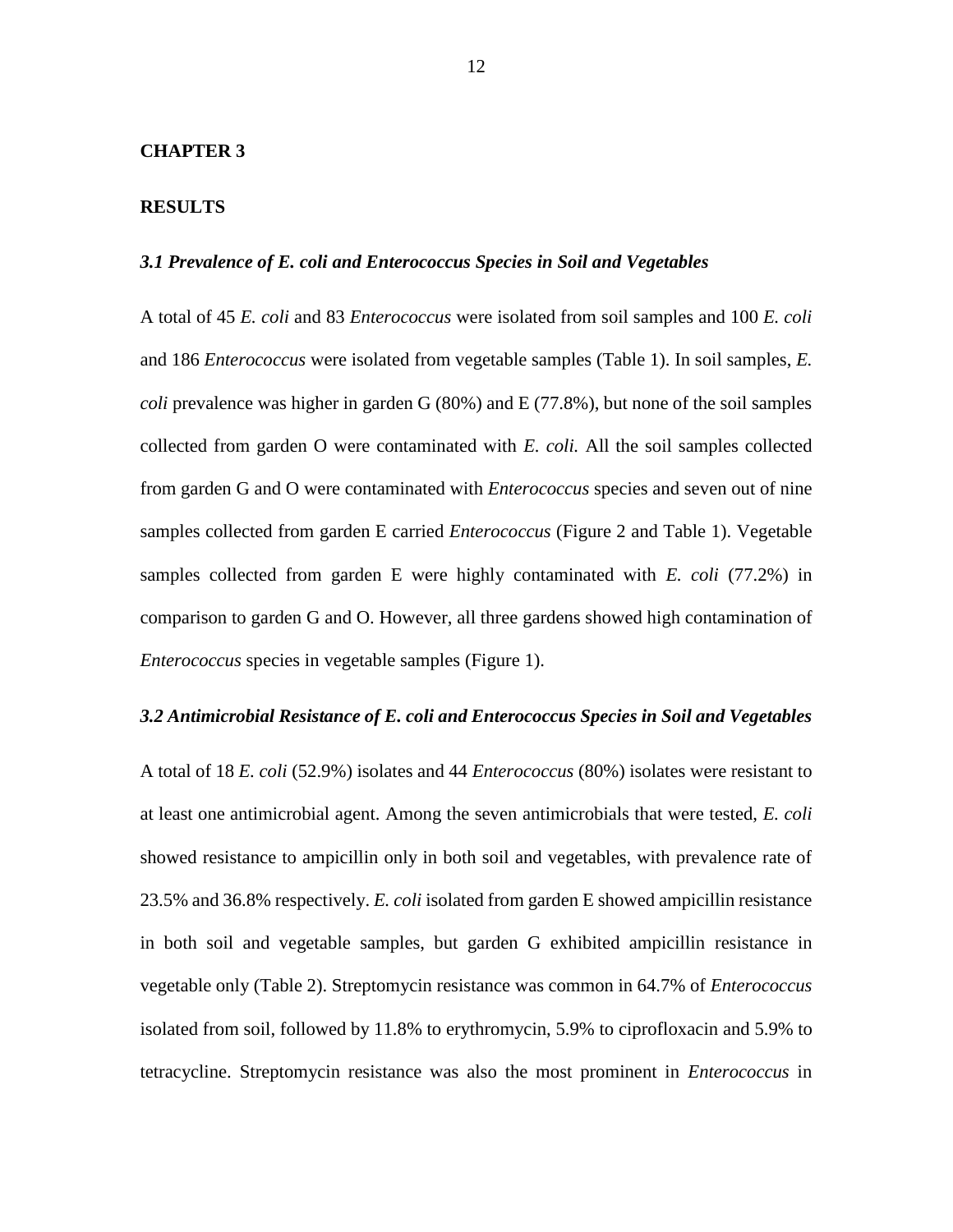#### **CHAPTER 3**

#### **RESULTS**

#### *3.1 Prevalence of E. coli and Enterococcus Species in Soil and Vegetables*

A total of 45 *E. coli* and 83 *Enterococcus* were isolated from soil samples and 100 *E. coli* and 186 *Enterococcus* were isolated from vegetable samples (Table 1). In soil samples, *E. coli* prevalence was higher in garden G (80%) and E (77.8%), but none of the soil samples collected from garden O were contaminated with *E. coli.* All the soil samples collected from garden G and O were contaminated with *Enterococcus* species and seven out of nine samples collected from garden E carried *Enterococcus* (Figure 2 and Table 1). Vegetable samples collected from garden E were highly contaminated with *E. coli* (77.2%) in comparison to garden G and O. However, all three gardens showed high contamination of *Enterococcus* species in vegetable samples (Figure 1).

#### *3.2 Antimicrobial Resistance of E. coli and Enterococcus Species in Soil and Vegetables*

A total of 18 *E. coli* (52.9%) isolates and 44 *Enterococcus* (80%) isolates were resistant to at least one antimicrobial agent. Among the seven antimicrobials that were tested, *E. coli* showed resistance to ampicillin only in both soil and vegetables, with prevalence rate of 23.5% and 36.8% respectively. *E. coli* isolated from garden E showed ampicillin resistance in both soil and vegetable samples, but garden G exhibited ampicillin resistance in vegetable only (Table 2). Streptomycin resistance was common in 64.7% of *Enterococcus* isolated from soil, followed by 11.8% to erythromycin, 5.9% to ciprofloxacin and 5.9% to tetracycline. Streptomycin resistance was also the most prominent in *Enterococcus* in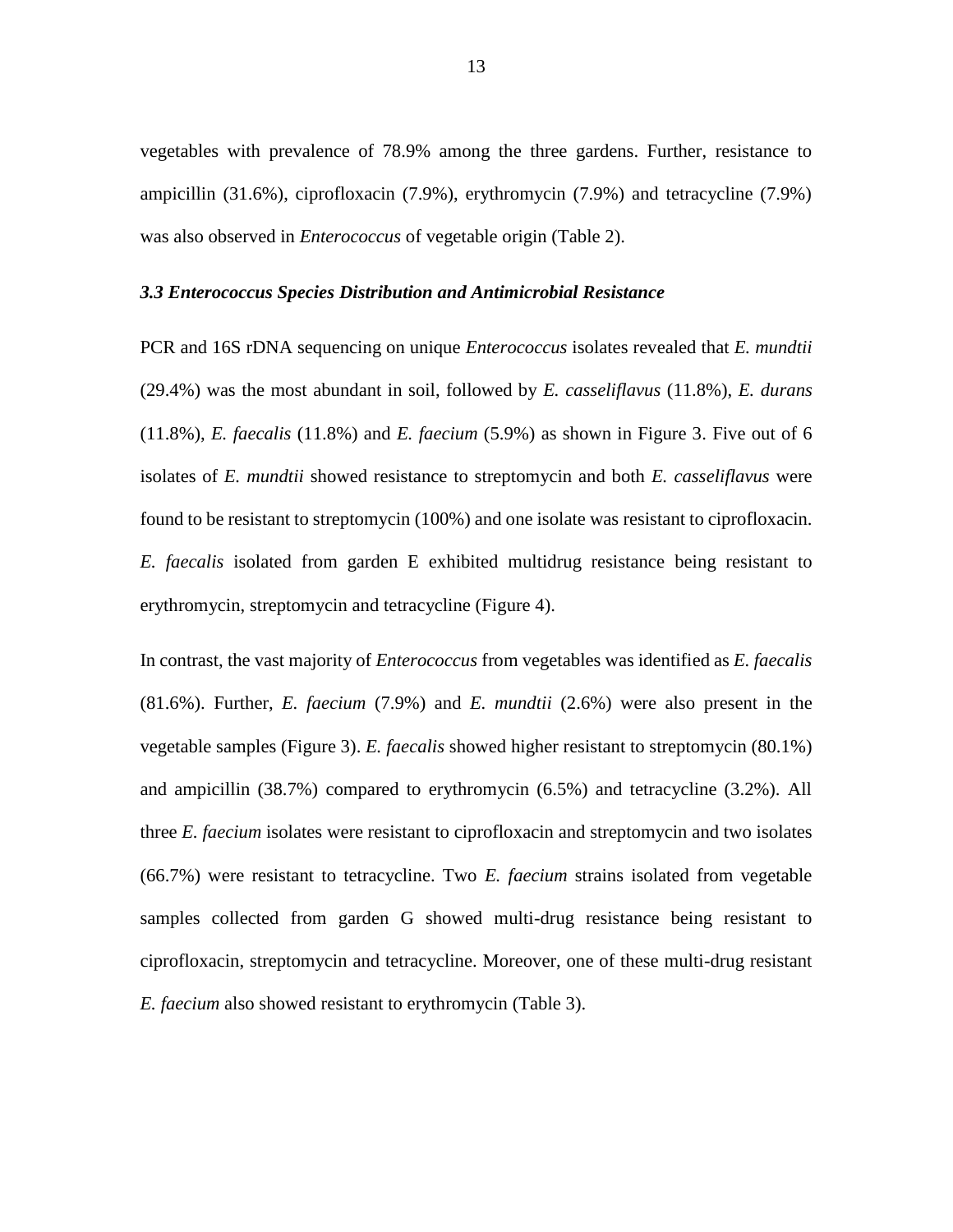vegetables with prevalence of 78.9% among the three gardens. Further, resistance to ampicillin (31.6%), ciprofloxacin (7.9%), erythromycin (7.9%) and tetracycline (7.9%) was also observed in *Enterococcus* of vegetable origin (Table 2).

#### *3.3 Enterococcus Species Distribution and Antimicrobial Resistance*

PCR and 16S rDNA sequencing on unique *Enterococcus* isolates revealed that *E. mundtii* (29.4%) was the most abundant in soil, followed by *E. casseliflavus* (11.8%), *E. durans* (11.8%), *E. faecalis* (11.8%) and *E. faecium* (5.9%) as shown in Figure 3. Five out of 6 isolates of *E. mundtii* showed resistance to streptomycin and both *E. casseliflavus* were found to be resistant to streptomycin (100%) and one isolate was resistant to ciprofloxacin. *E. faecalis* isolated from garden E exhibited multidrug resistance being resistant to erythromycin, streptomycin and tetracycline (Figure 4).

In contrast, the vast majority of *Enterococcus* from vegetables was identified as *E. faecalis*  (81.6%). Further, *E. faecium* (7.9%) and *E. mundtii* (2.6%) were also present in the vegetable samples (Figure 3). *E. faecalis* showed higher resistant to streptomycin (80.1%) and ampicillin (38.7%) compared to erythromycin (6.5%) and tetracycline (3.2%). All three *E. faecium* isolates were resistant to ciprofloxacin and streptomycin and two isolates (66.7%) were resistant to tetracycline. Two *E. faecium* strains isolated from vegetable samples collected from garden G showed multi-drug resistance being resistant to ciprofloxacin, streptomycin and tetracycline. Moreover, one of these multi-drug resistant *E. faecium* also showed resistant to erythromycin (Table 3).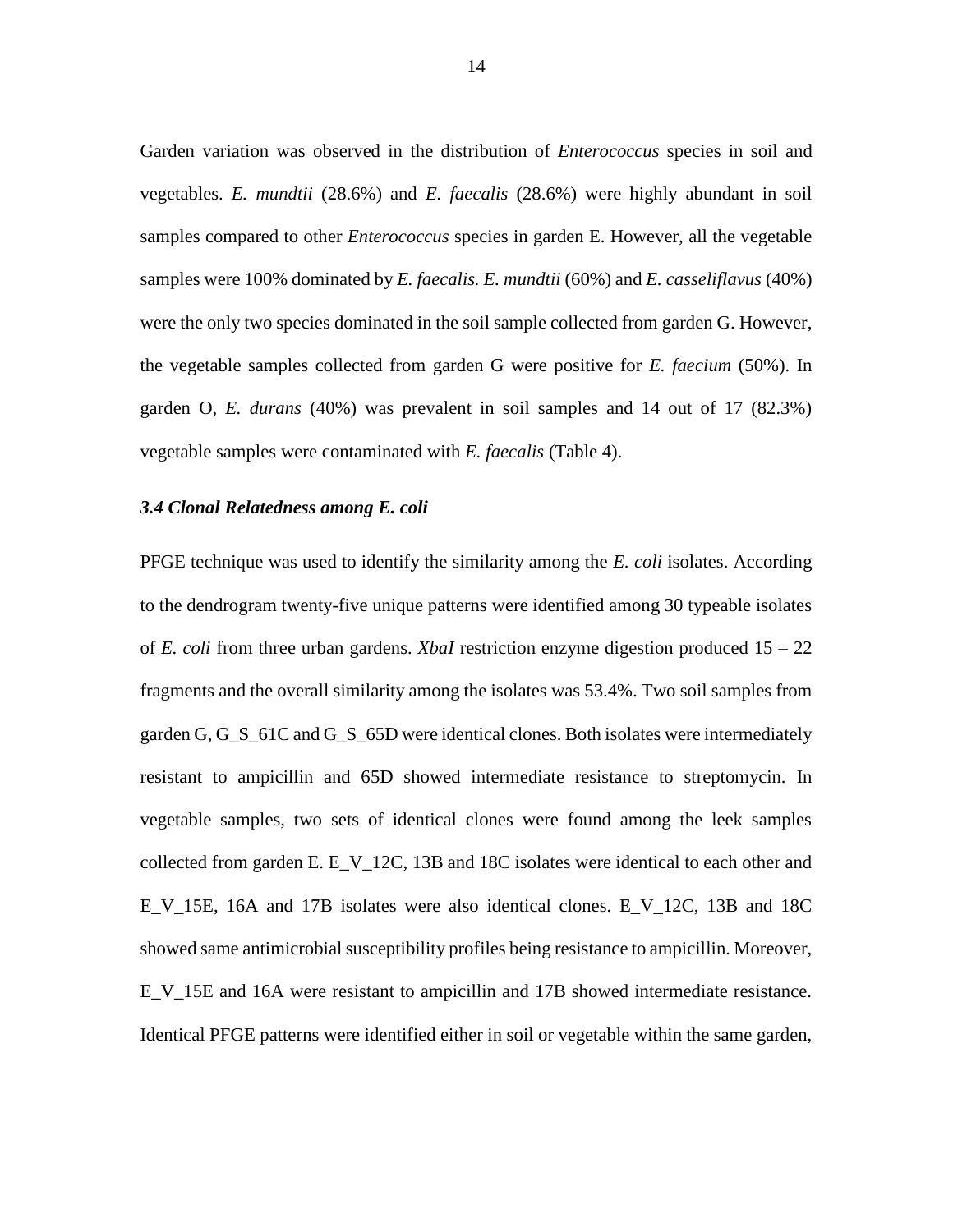Garden variation was observed in the distribution of *Enterococcus* species in soil and vegetables. *E. mundtii* (28.6%) and *E. faecalis* (28.6%) were highly abundant in soil samples compared to other *Enterococcus* species in garden E. However, all the vegetable samples were 100% dominated by *E. faecalis. E. mundtii* (60%) and *E. casseliflavus* (40%) were the only two species dominated in the soil sample collected from garden G. However, the vegetable samples collected from garden G were positive for *E. faecium* (50%). In garden O, *E. durans* (40%) was prevalent in soil samples and 14 out of 17 (82.3%) vegetable samples were contaminated with *E. faecalis* (Table 4).

#### *3.4 Clonal Relatedness among E. coli*

PFGE technique was used to identify the similarity among the *E. coli* isolates. According to the dendrogram twenty-five unique patterns were identified among 30 typeable isolates of *E. coli* from three urban gardens. *XbaI* restriction enzyme digestion produced 15 – 22 fragments and the overall similarity among the isolates was 53.4%. Two soil samples from garden G, G\_S\_61C and G\_S\_65D were identical clones. Both isolates were intermediately resistant to ampicillin and 65D showed intermediate resistance to streptomycin. In vegetable samples, two sets of identical clones were found among the leek samples collected from garden E. E\_V\_12C, 13B and 18C isolates were identical to each other and E\_V\_15E, 16A and 17B isolates were also identical clones. E\_V\_12C, 13B and 18C showed same antimicrobial susceptibility profiles being resistance to ampicillin. Moreover, E\_V\_15E and 16A were resistant to ampicillin and 17B showed intermediate resistance. Identical PFGE patterns were identified either in soil or vegetable within the same garden,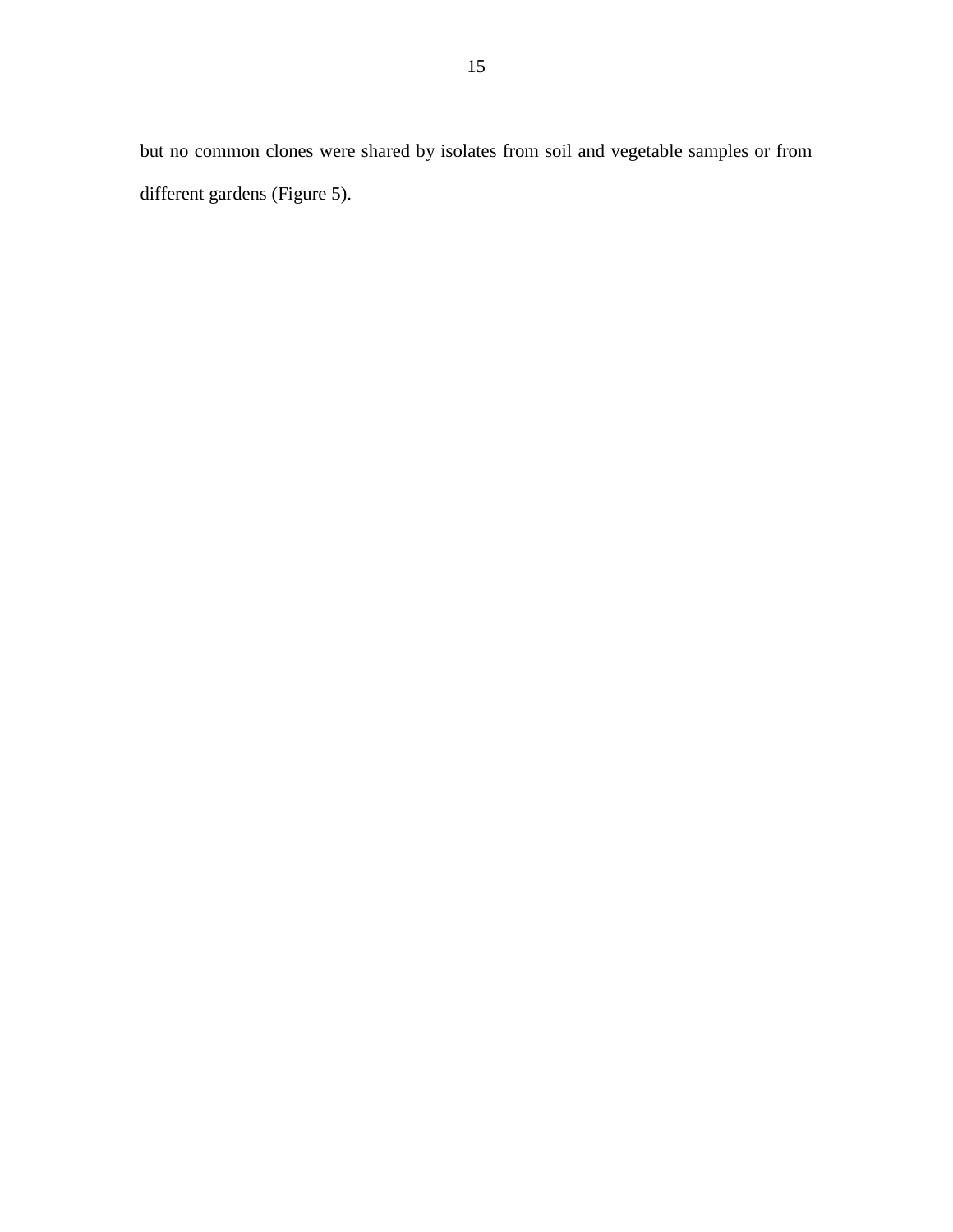but no common clones were shared by isolates from soil and vegetable samples or from different gardens (Figure 5).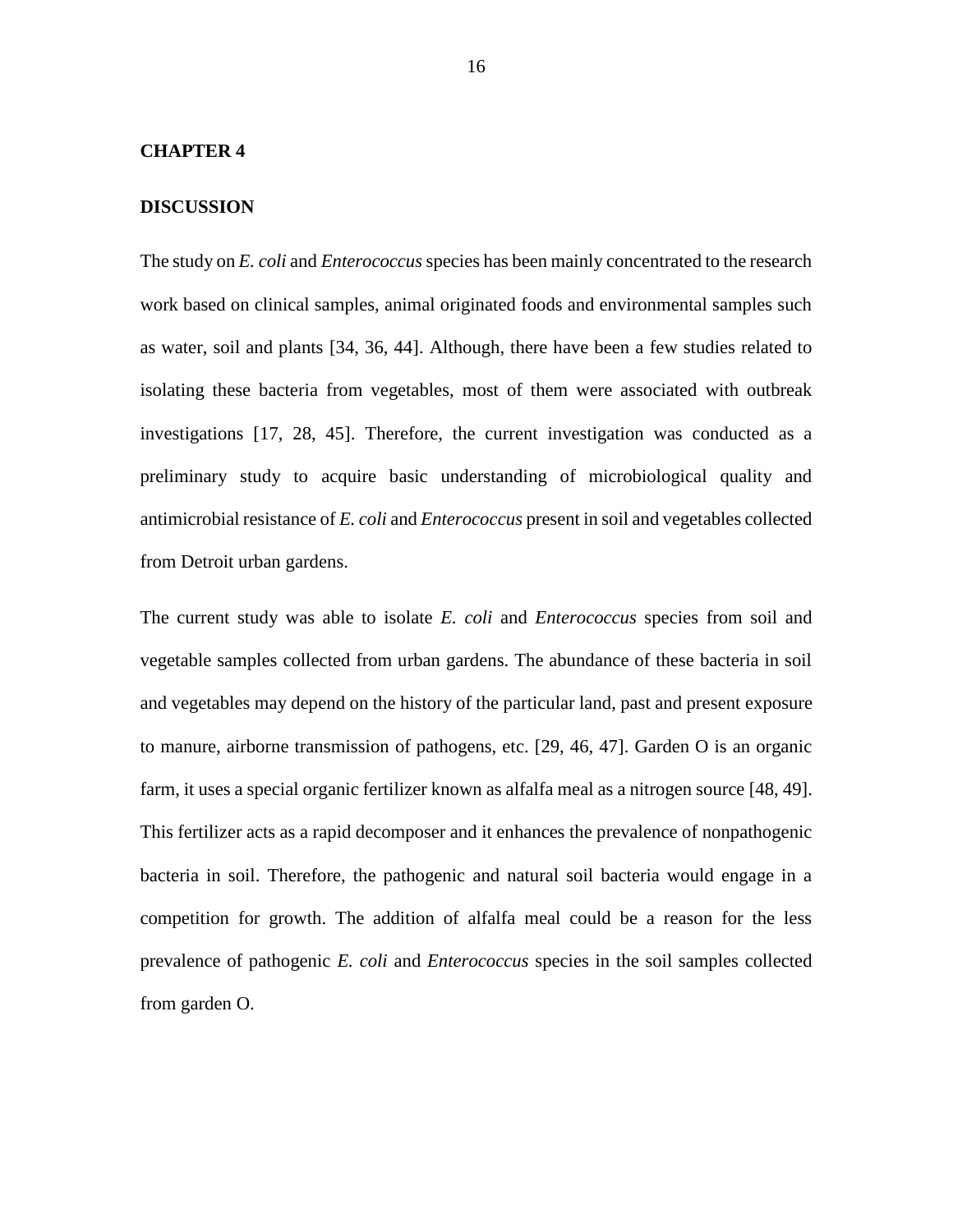#### **CHAPTER 4**

#### **DISCUSSION**

The study on *E. coli* and *Enterococcus* species has been mainly concentrated to the research work based on clinical samples, animal originated foods and environmental samples such as water, soil and plants [34, 36, 44]. Although, there have been a few studies related to isolating these bacteria from vegetables, most of them were associated with outbreak investigations [17, 28, 45]. Therefore, the current investigation was conducted as a preliminary study to acquire basic understanding of microbiological quality and antimicrobial resistance of *E. coli* and *Enterococcus* present in soil and vegetables collected from Detroit urban gardens.

The current study was able to isolate *E. coli* and *Enterococcus* species from soil and vegetable samples collected from urban gardens. The abundance of these bacteria in soil and vegetables may depend on the history of the particular land, past and present exposure to manure, airborne transmission of pathogens, etc. [29, 46, 47]. Garden O is an organic farm, it uses a special organic fertilizer known as alfalfa meal as a nitrogen source [48, 49]. This fertilizer acts as a rapid decomposer and it enhances the prevalence of nonpathogenic bacteria in soil. Therefore, the pathogenic and natural soil bacteria would engage in a competition for growth. The addition of alfalfa meal could be a reason for the less prevalence of pathogenic *E. coli* and *Enterococcus* species in the soil samples collected from garden O.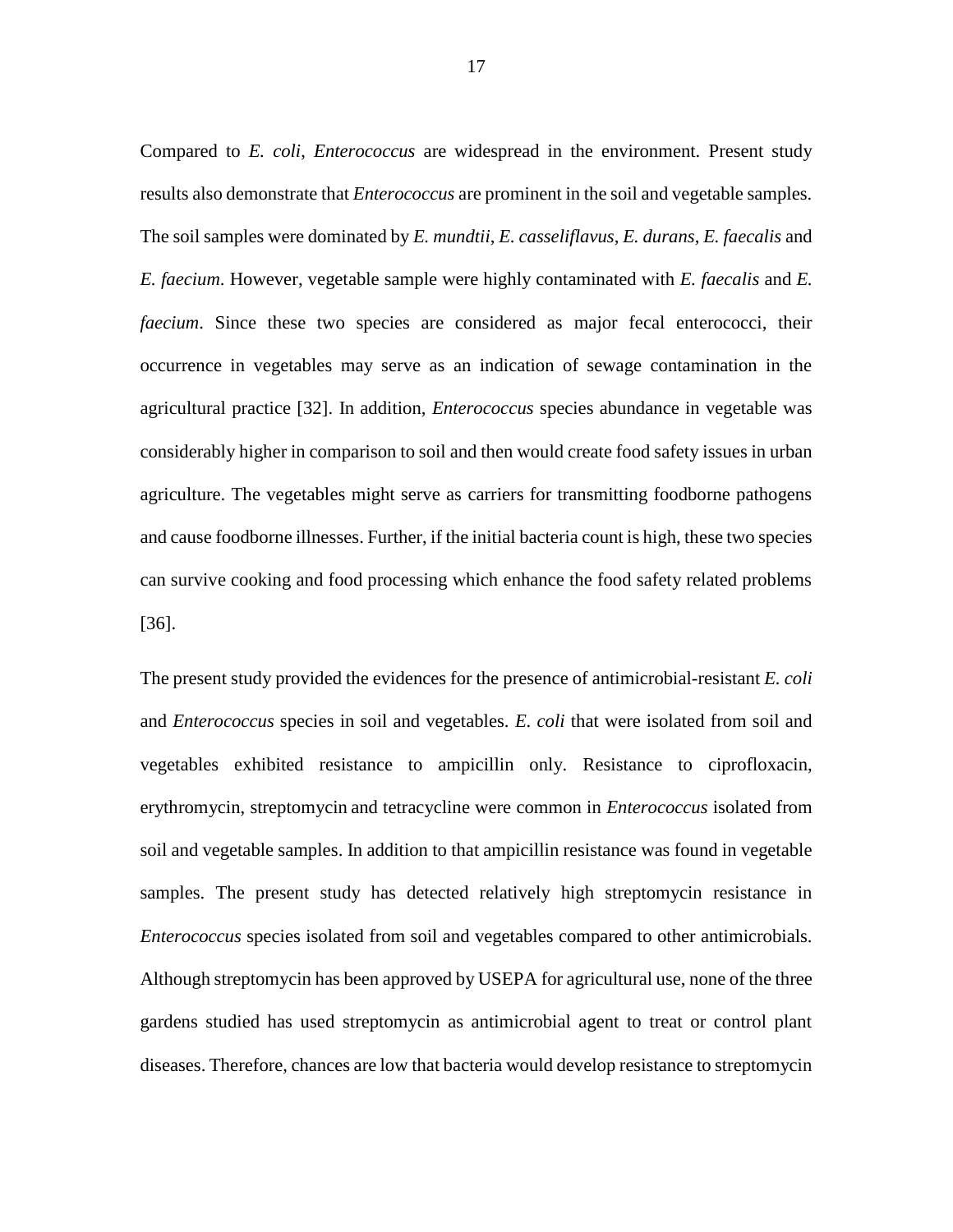Compared to *E. coli*, *Enterococcus* are widespread in the environment. Present study results also demonstrate that *Enterococcus* are prominent in the soil and vegetable samples. The soil samples were dominated by *E. mundtii*, *E. casseliflavus*, *E. durans*, *E. faecalis* and *E. faecium*. However, vegetable sample were highly contaminated with *E. faecalis* and *E. faecium*. Since these two species are considered as major fecal enterococci, their occurrence in vegetables may serve as an indication of sewage contamination in the agricultural practice [32]. In addition, *Enterococcus* species abundance in vegetable was considerably higher in comparison to soil and then would create food safety issues in urban agriculture. The vegetables might serve as carriers for transmitting foodborne pathogens and cause foodborne illnesses. Further, if the initial bacteria count is high, these two species can survive cooking and food processing which enhance the food safety related problems [36].

The present study provided the evidences for the presence of antimicrobial-resistant *E. coli* and *Enterococcus* species in soil and vegetables. *E. coli* that were isolated from soil and vegetables exhibited resistance to ampicillin only. Resistance to ciprofloxacin, erythromycin, streptomycin and tetracycline were common in *Enterococcus* isolated from soil and vegetable samples. In addition to that ampicillin resistance was found in vegetable samples. The present study has detected relatively high streptomycin resistance in *Enterococcus* species isolated from soil and vegetables compared to other antimicrobials. Although streptomycin has been approved by USEPA for agricultural use, none of the three gardens studied has used streptomycin as antimicrobial agent to treat or control plant diseases. Therefore, chances are low that bacteria would develop resistance to streptomycin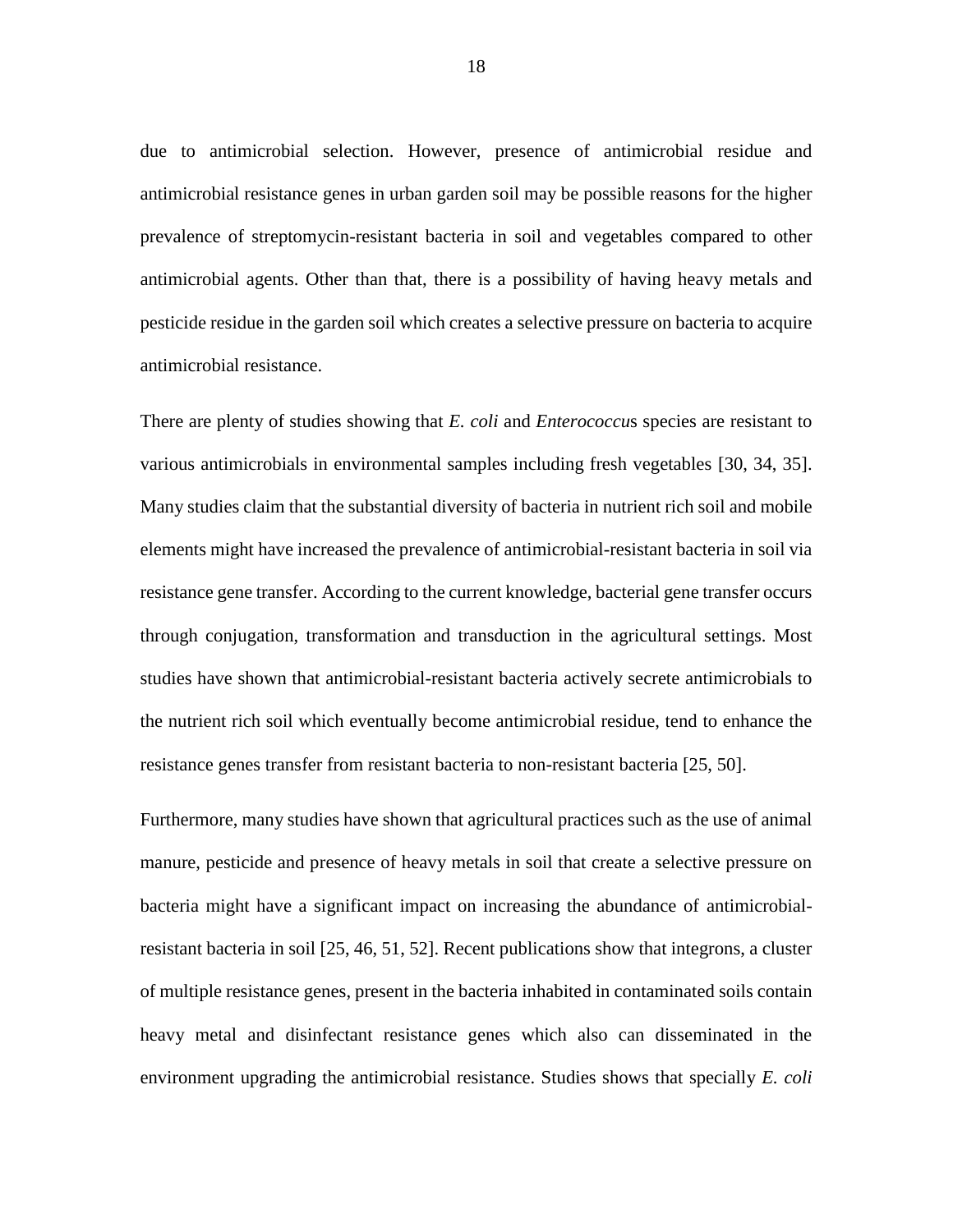due to antimicrobial selection. However, presence of antimicrobial residue and antimicrobial resistance genes in urban garden soil may be possible reasons for the higher prevalence of streptomycin-resistant bacteria in soil and vegetables compared to other antimicrobial agents. Other than that, there is a possibility of having heavy metals and pesticide residue in the garden soil which creates a selective pressure on bacteria to acquire antimicrobial resistance.

There are plenty of studies showing that *E. coli* and *Enterococcu*s species are resistant to various antimicrobials in environmental samples including fresh vegetables [30, 34, 35]. Many studies claim that the substantial diversity of bacteria in nutrient rich soil and mobile elements might have increased the prevalence of antimicrobial-resistant bacteria in soil via resistance gene transfer. According to the current knowledge, bacterial gene transfer occurs through conjugation, transformation and transduction in the agricultural settings. Most studies have shown that antimicrobial-resistant bacteria actively secrete antimicrobials to the nutrient rich soil which eventually become antimicrobial residue, tend to enhance the resistance genes transfer from resistant bacteria to non-resistant bacteria [25, 50].

Furthermore, many studies have shown that agricultural practices such as the use of animal manure, pesticide and presence of heavy metals in soil that create a selective pressure on bacteria might have a significant impact on increasing the abundance of antimicrobialresistant bacteria in soil [25, 46, 51, 52]. Recent publications show that integrons, a cluster of multiple resistance genes, present in the bacteria inhabited in contaminated soils contain heavy metal and disinfectant resistance genes which also can disseminated in the environment upgrading the antimicrobial resistance. Studies shows that specially *E. coli*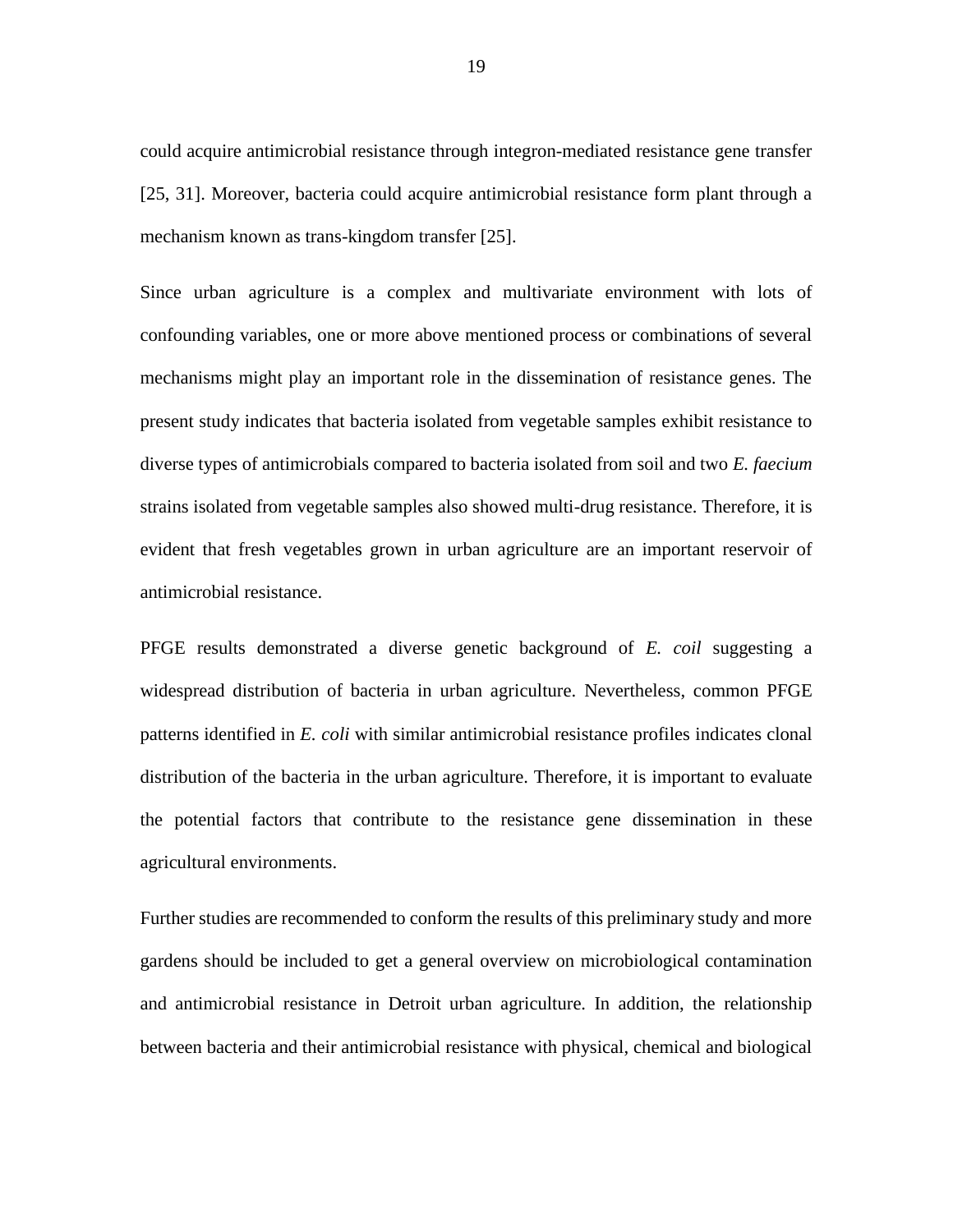could acquire antimicrobial resistance through integron-mediated resistance gene transfer [25, 31]. Moreover, bacteria could acquire antimicrobial resistance form plant through a mechanism known as trans-kingdom transfer [25].

Since urban agriculture is a complex and multivariate environment with lots of confounding variables, one or more above mentioned process or combinations of several mechanisms might play an important role in the dissemination of resistance genes. The present study indicates that bacteria isolated from vegetable samples exhibit resistance to diverse types of antimicrobials compared to bacteria isolated from soil and two *E. faecium* strains isolated from vegetable samples also showed multi-drug resistance. Therefore, it is evident that fresh vegetables grown in urban agriculture are an important reservoir of antimicrobial resistance.

PFGE results demonstrated a diverse genetic background of *E. coil* suggesting a widespread distribution of bacteria in urban agriculture. Nevertheless, common PFGE patterns identified in *E. coli* with similar antimicrobial resistance profiles indicates clonal distribution of the bacteria in the urban agriculture. Therefore, it is important to evaluate the potential factors that contribute to the resistance gene dissemination in these agricultural environments.

Further studies are recommended to conform the results of this preliminary study and more gardens should be included to get a general overview on microbiological contamination and antimicrobial resistance in Detroit urban agriculture. In addition, the relationship between bacteria and their antimicrobial resistance with physical, chemical and biological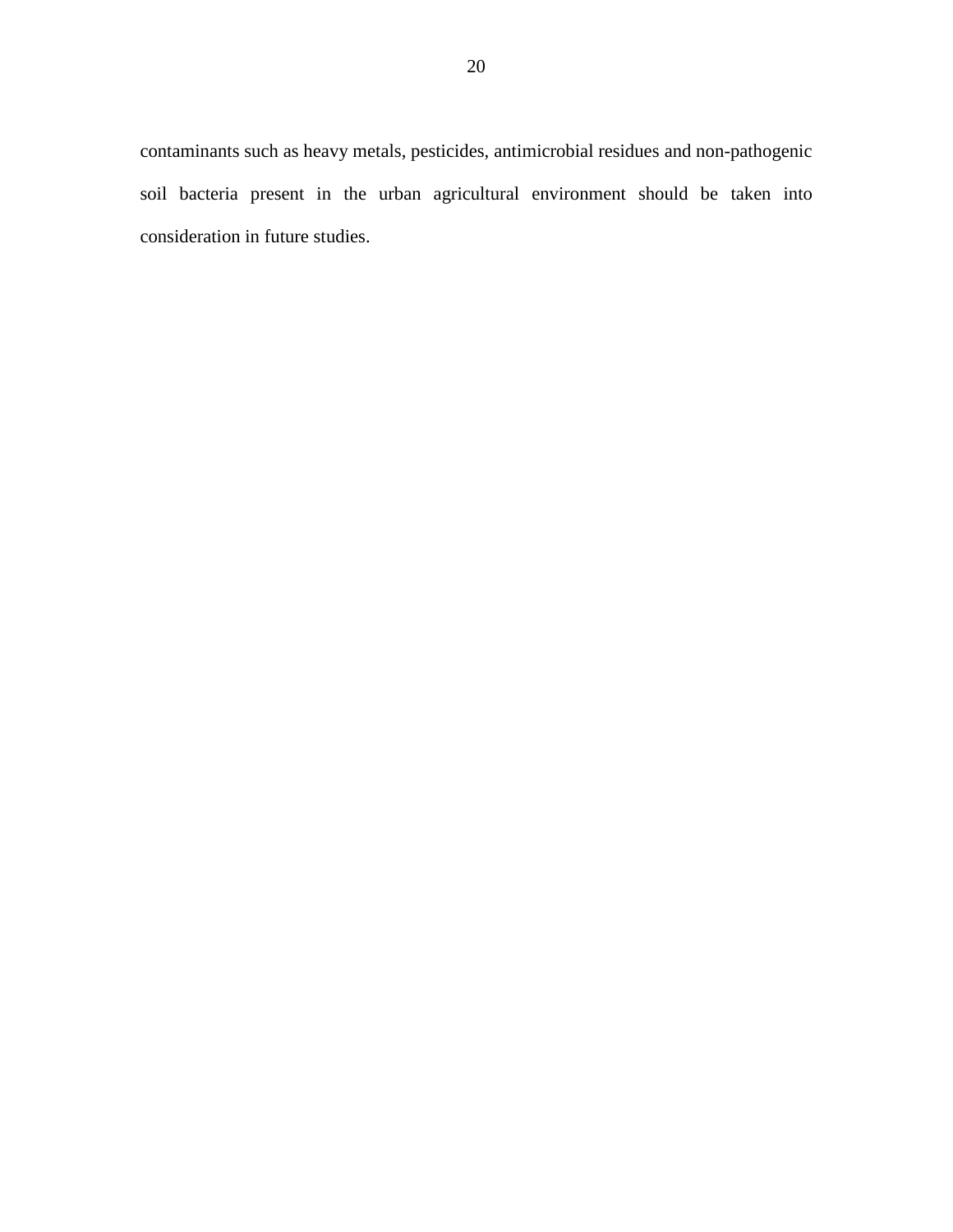contaminants such as heavy metals, pesticides, antimicrobial residues and non-pathogenic soil bacteria present in the urban agricultural environment should be taken into consideration in future studies.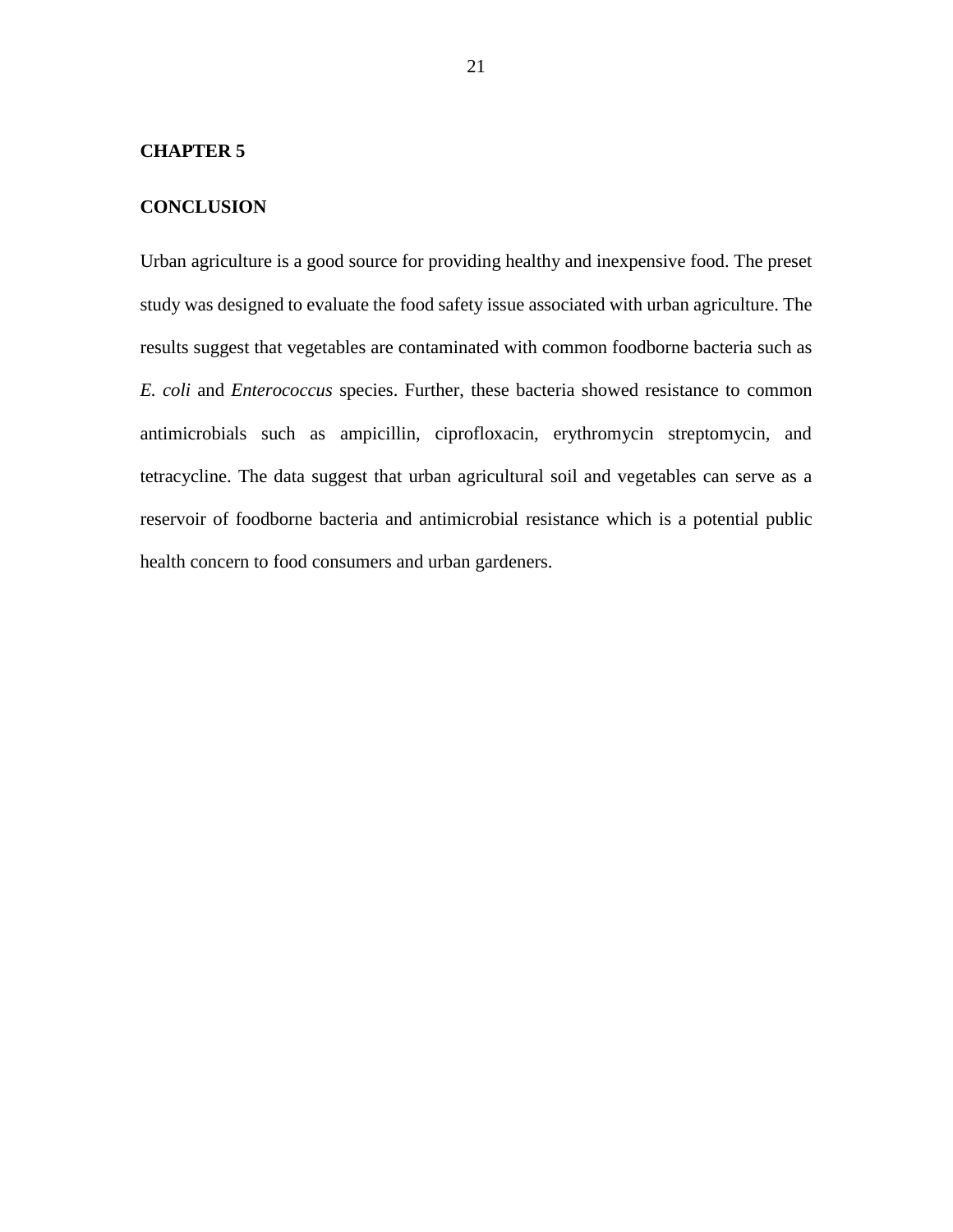#### **CHAPTER 5**

## **CONCLUSION**

Urban agriculture is a good source for providing healthy and inexpensive food. The preset study was designed to evaluate the food safety issue associated with urban agriculture. The results suggest that vegetables are contaminated with common foodborne bacteria such as *E. coli* and *Enterococcus* species. Further, these bacteria showed resistance to common antimicrobials such as ampicillin, ciprofloxacin, erythromycin streptomycin, and tetracycline. The data suggest that urban agricultural soil and vegetables can serve as a reservoir of foodborne bacteria and antimicrobial resistance which is a potential public health concern to food consumers and urban gardeners.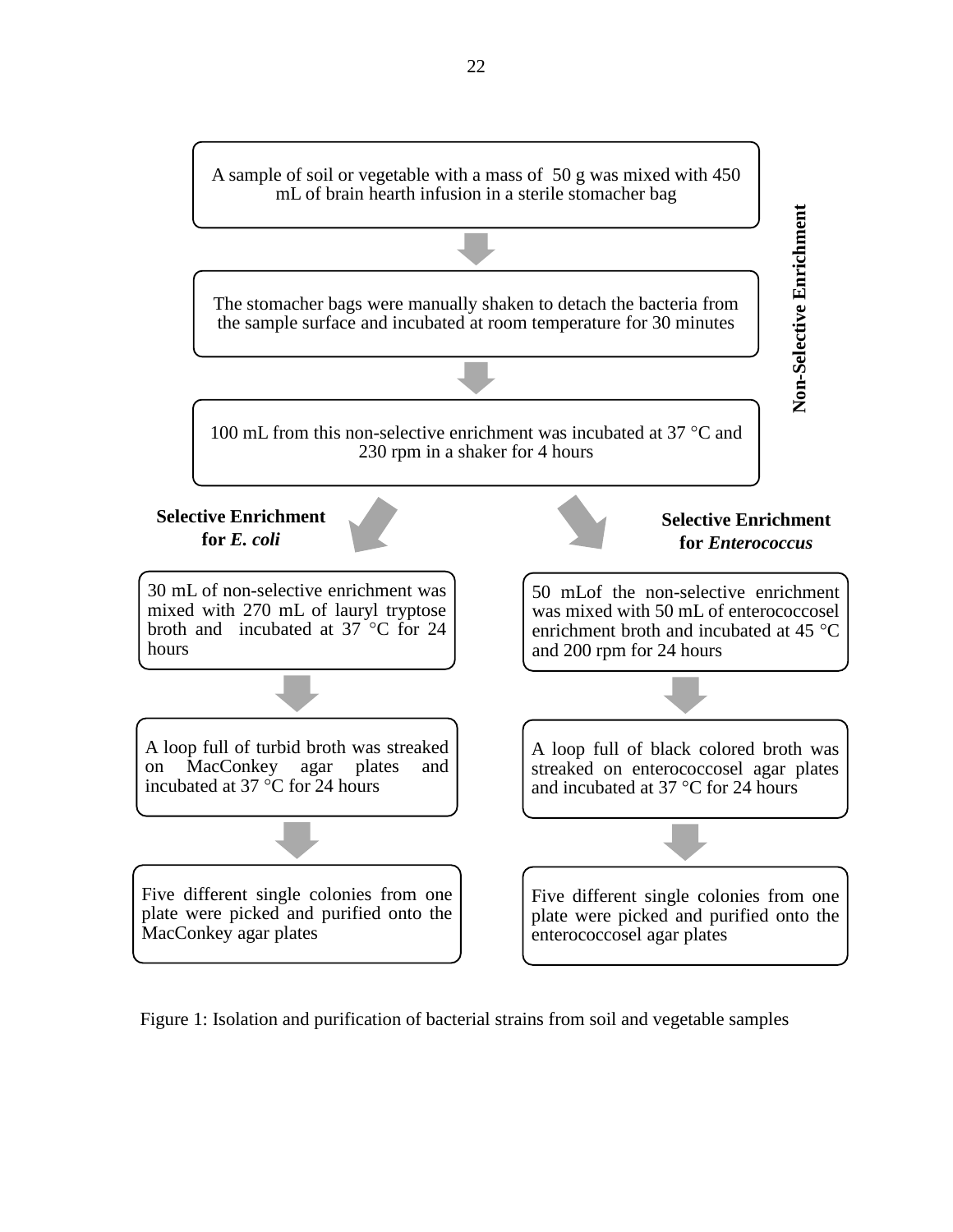

Figure 1: Isolation and purification of bacterial strains from soil and vegetable samples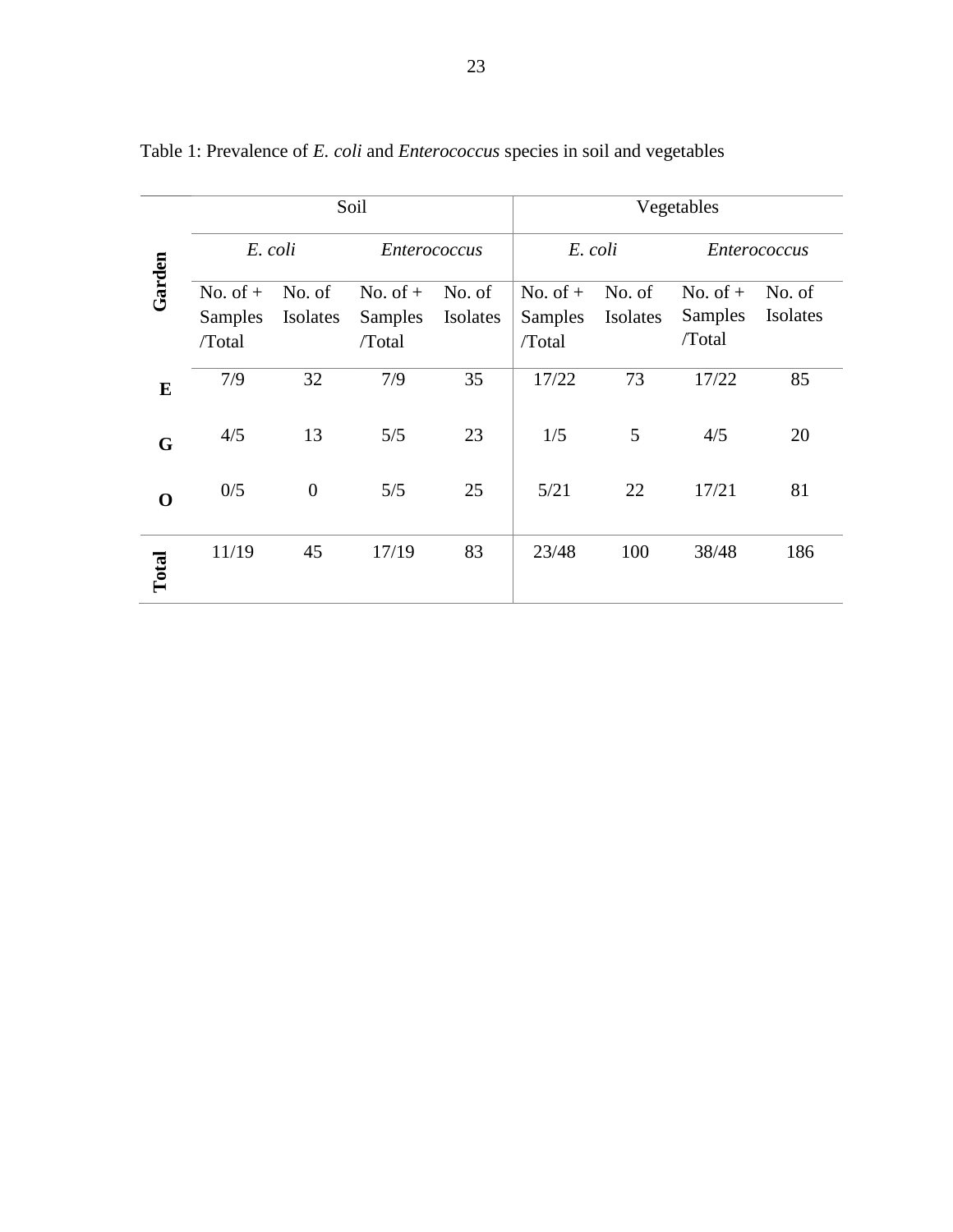|             |                       |                         | Soil                         |                    | Vegetables                   |                    |                       |                    |  |  |
|-------------|-----------------------|-------------------------|------------------------------|--------------------|------------------------------|--------------------|-----------------------|--------------------|--|--|
| Garden      | E. coli               |                         | <b>Enterococcus</b>          |                    | E. coli                      |                    | <i>Enterococcus</i>   |                    |  |  |
|             | No. of $+$<br>Samples | No. of<br>Isolates      | No. of $+$<br><b>Samples</b> | No. of<br>Isolates | No. of $+$<br><b>Samples</b> | No. of<br>Isolates | No. of $+$<br>Samples | No. of<br>Isolates |  |  |
|             | /Total                |                         | /Total                       |                    | /Total                       |                    | /Total                |                    |  |  |
| E           | 7/9                   | 7/9<br>32               |                              | 17/22<br>35        |                              | 73<br>17/22        |                       | 85                 |  |  |
| G           | 4/5                   | 13                      | 5/5                          | 23                 | 1/5                          | 5                  | 4/5                   | 20                 |  |  |
| $\mathbf 0$ | 0/5                   | 5/5<br>$\boldsymbol{0}$ |                              | 25                 | 5/21                         | 22                 | 17/21                 | 81                 |  |  |
| Total       | 11/19                 | 45                      | 17/19                        | 83                 | 23/48                        | 100                | 38/48                 | 186                |  |  |

Table 1: Prevalence of *E. coli* and *Enterococcus* species in soil and vegetables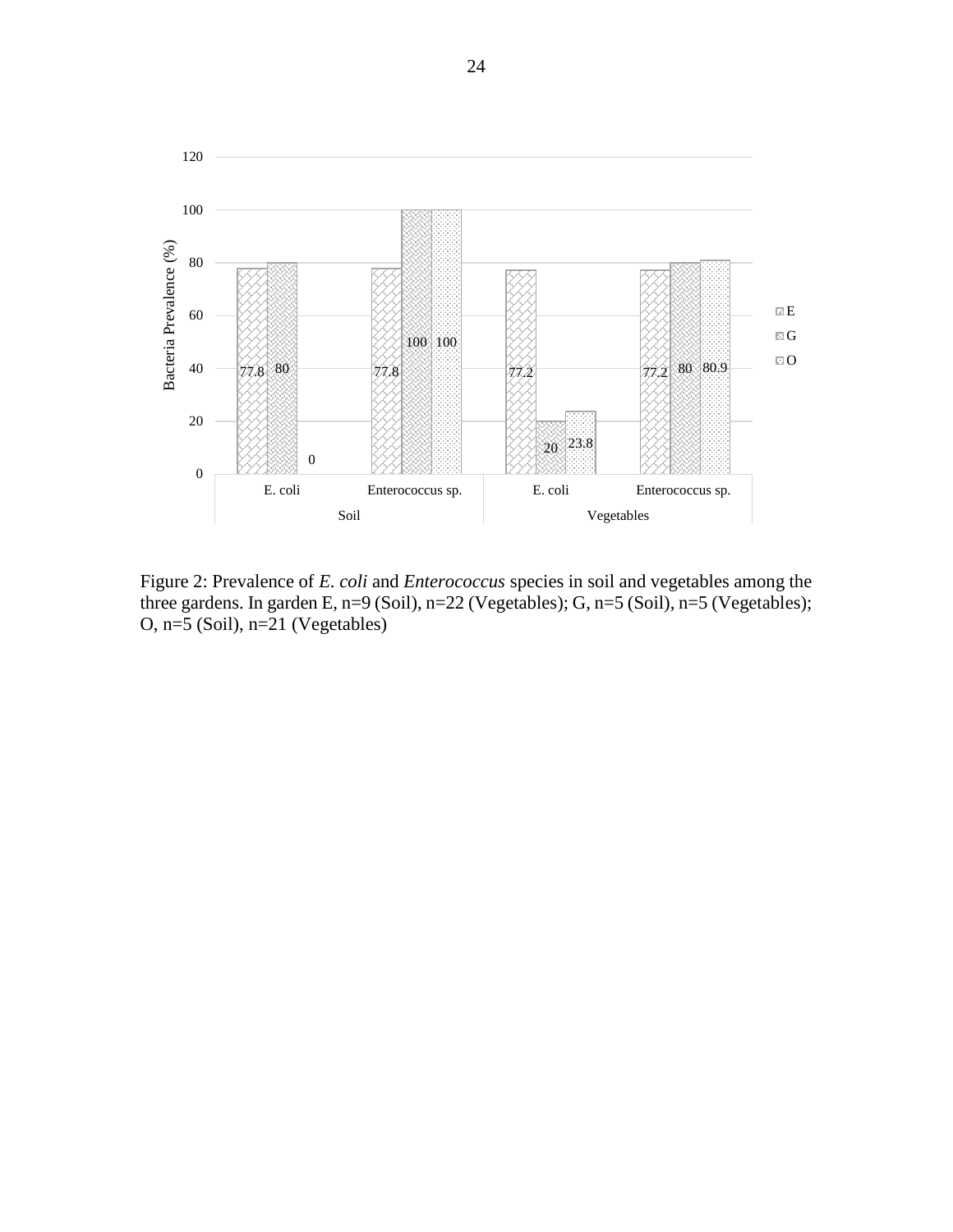

Figure 2: Prevalence of *E. coli* and *Enterococcus* species in soil and vegetables among the three gardens. In garden E, n=9 (Soil), n=22 (Vegetables); G, n=5 (Soil), n=5 (Vegetables); O, n=5 (Soil), n=21 (Vegetables)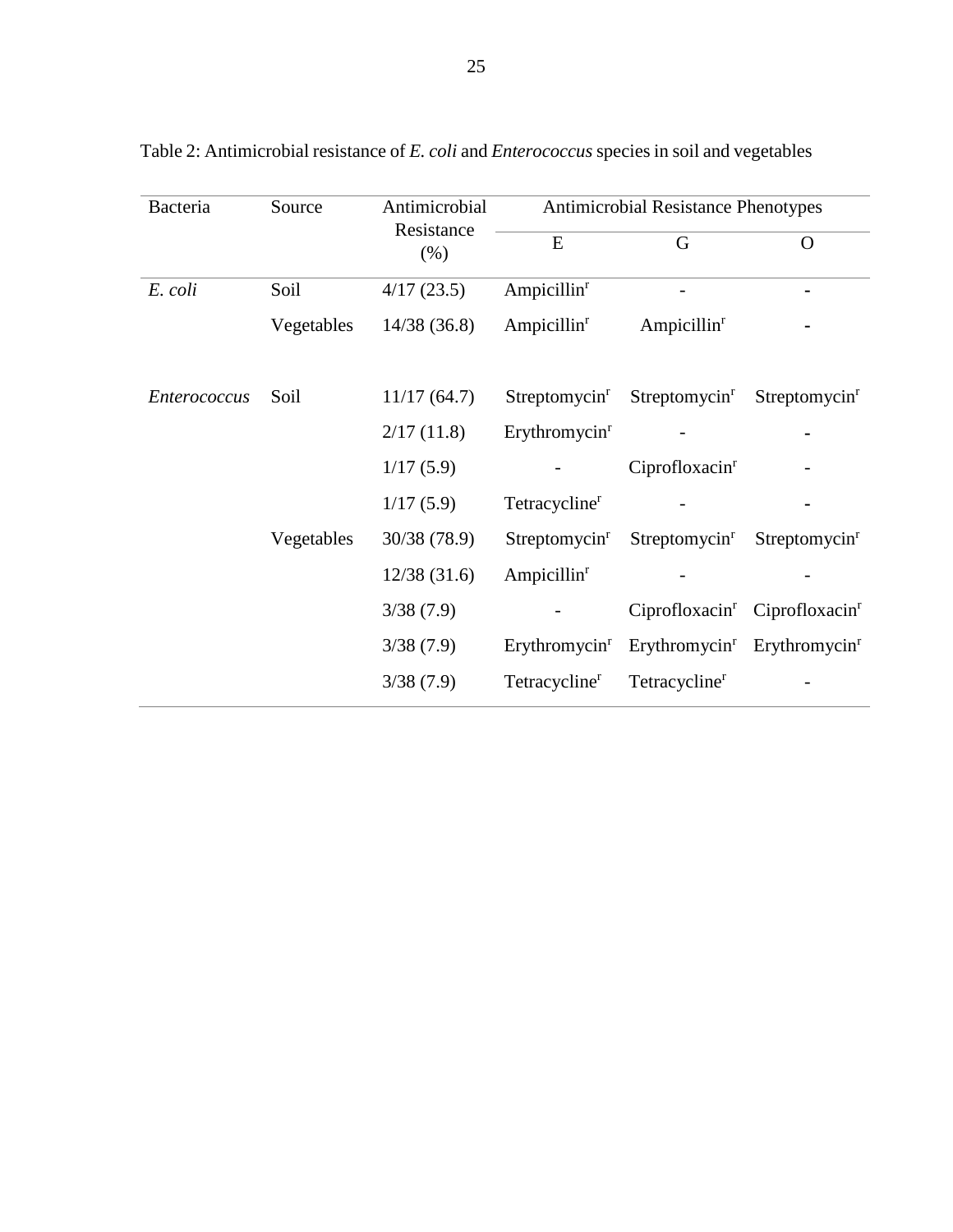| Bacteria            | Source     | Antimicrobial      | Antimicrobial Resistance Phenotypes |                            |                            |  |  |  |
|---------------------|------------|--------------------|-------------------------------------|----------------------------|----------------------------|--|--|--|
|                     |            | Resistance<br>(% ) | E                                   | G                          | $\Omega$                   |  |  |  |
| E. coli             | Soil       | 4/17(23.5)         | Ampicillin <sup>r</sup>             |                            |                            |  |  |  |
|                     | Vegetables | 14/38(36.8)        | Ampicillin $r$                      | Ampicillin <sup>r</sup>    |                            |  |  |  |
| <i>Enterococcus</i> | Soil       | 11/17(64.7)        | Streptomycin <sup>r</sup>           | Streptomycin <sup>r</sup>  | Streptomycin <sup>r</sup>  |  |  |  |
|                     |            | 2/17(11.8)         | Erythromycin <sup>r</sup>           |                            |                            |  |  |  |
|                     |            | 1/17(5.9)          |                                     | Ciprofloxacin <sup>r</sup> |                            |  |  |  |
|                     |            | 1/17(5.9)          | Tetracycline <sup>r</sup>           |                            |                            |  |  |  |
|                     | Vegetables | 30/38 (78.9)       | Streptomycin <sup>r</sup>           | Streptomycin <sup>r</sup>  | Streptomycin <sup>r</sup>  |  |  |  |
|                     |            | 12/38(31.6)        | Ampicillin <sup>r</sup>             |                            |                            |  |  |  |
|                     |            | 3/38(7.9)          |                                     | Ciprofloxacin <sup>r</sup> | Ciprofloxacin <sup>r</sup> |  |  |  |
|                     |            | 3/38(7.9)          | Erythromycin <sup>r</sup>           | Erythromycin <sup>r</sup>  | Erythromycin <sup>r</sup>  |  |  |  |
|                     |            | 3/38(7.9)          | Tetracycline <sup>r</sup>           | Tetracycline <sup>r</sup>  |                            |  |  |  |

Table 2: Antimicrobial resistance of *E. coli* and *Enterococcus* species in soil and vegetables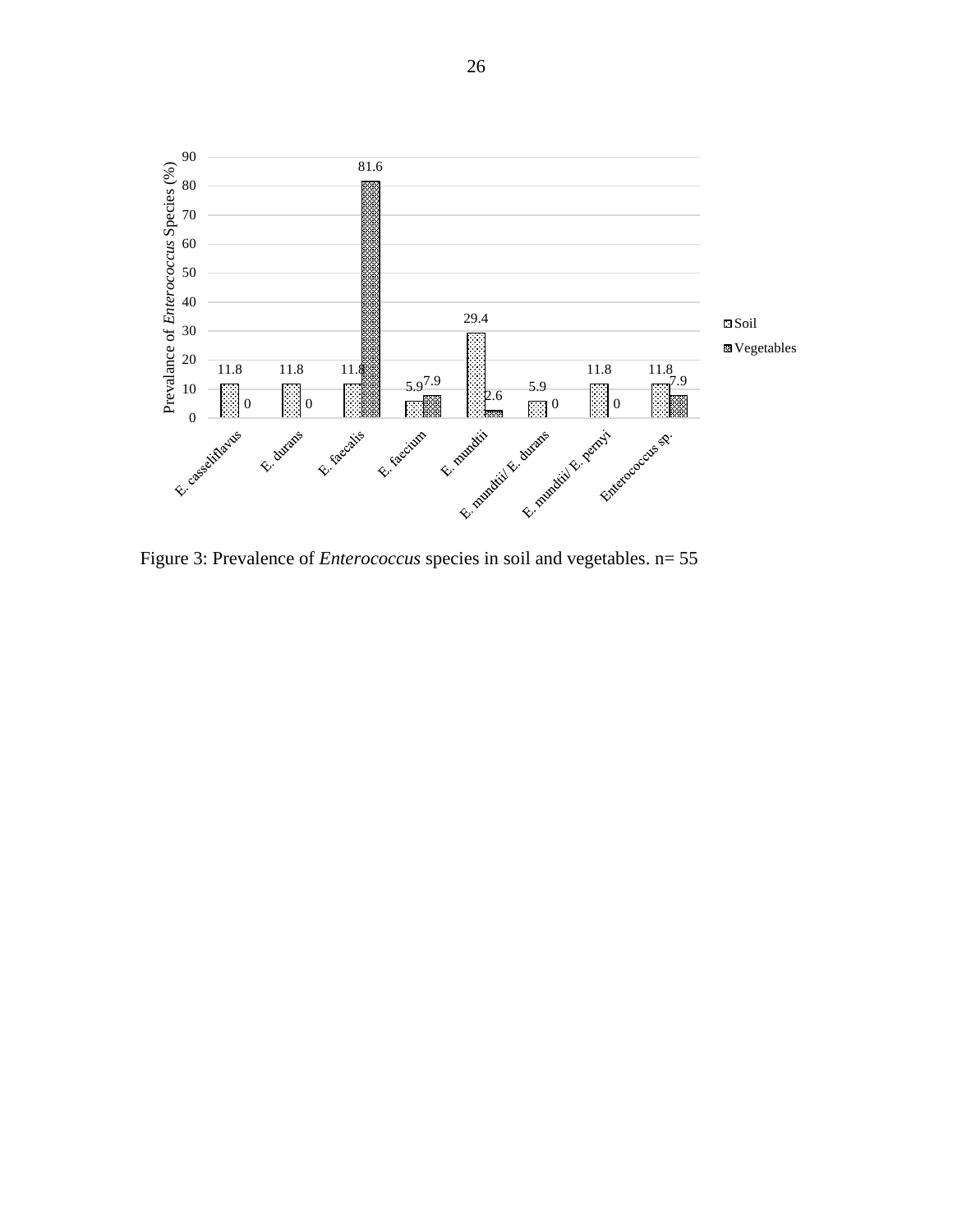

Figure 3: Prevalence of *Enterococcus* species in soil and vegetables. n= 55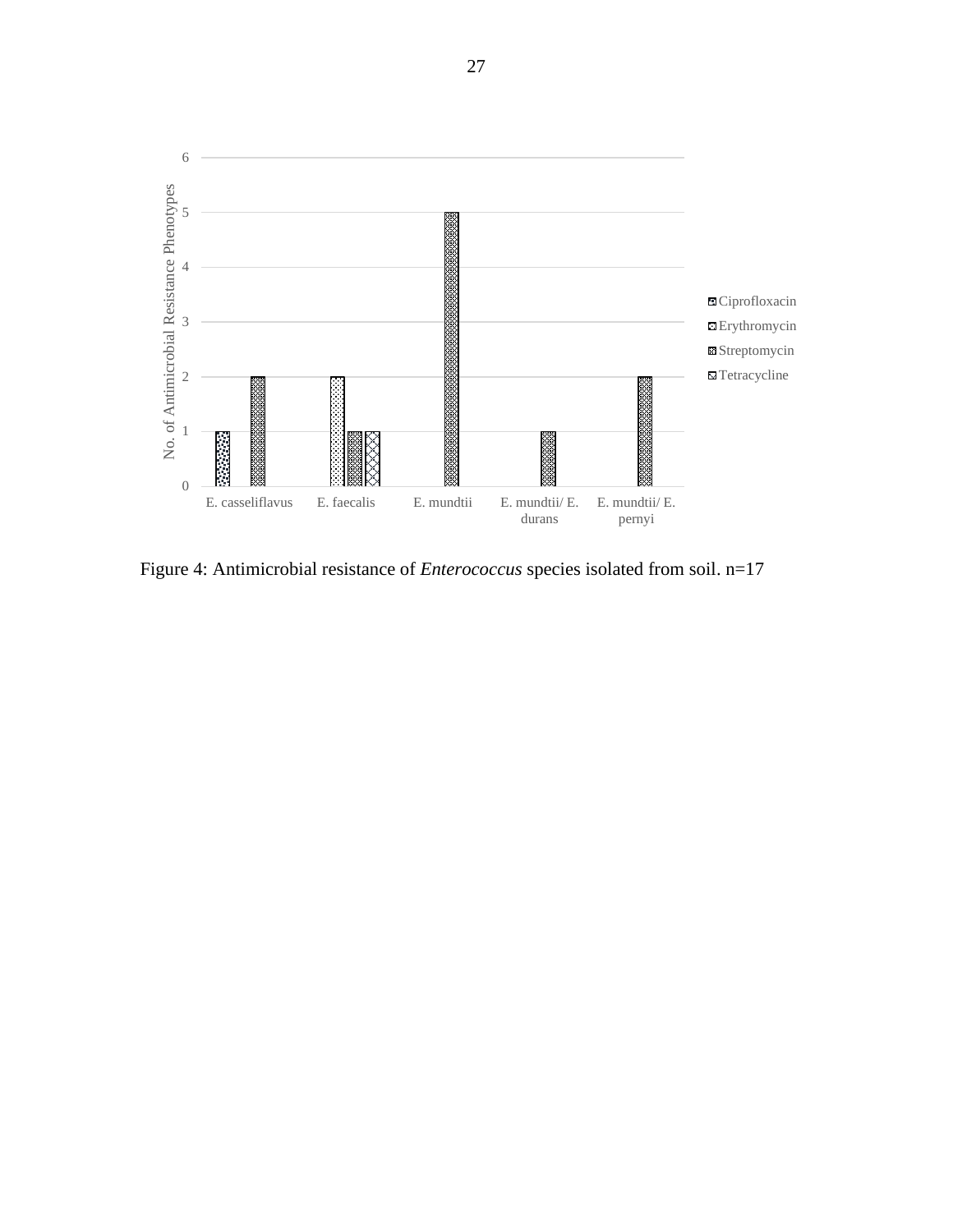

Figure 4: Antimicrobial resistance of *Enterococcus* species isolated from soil. n=17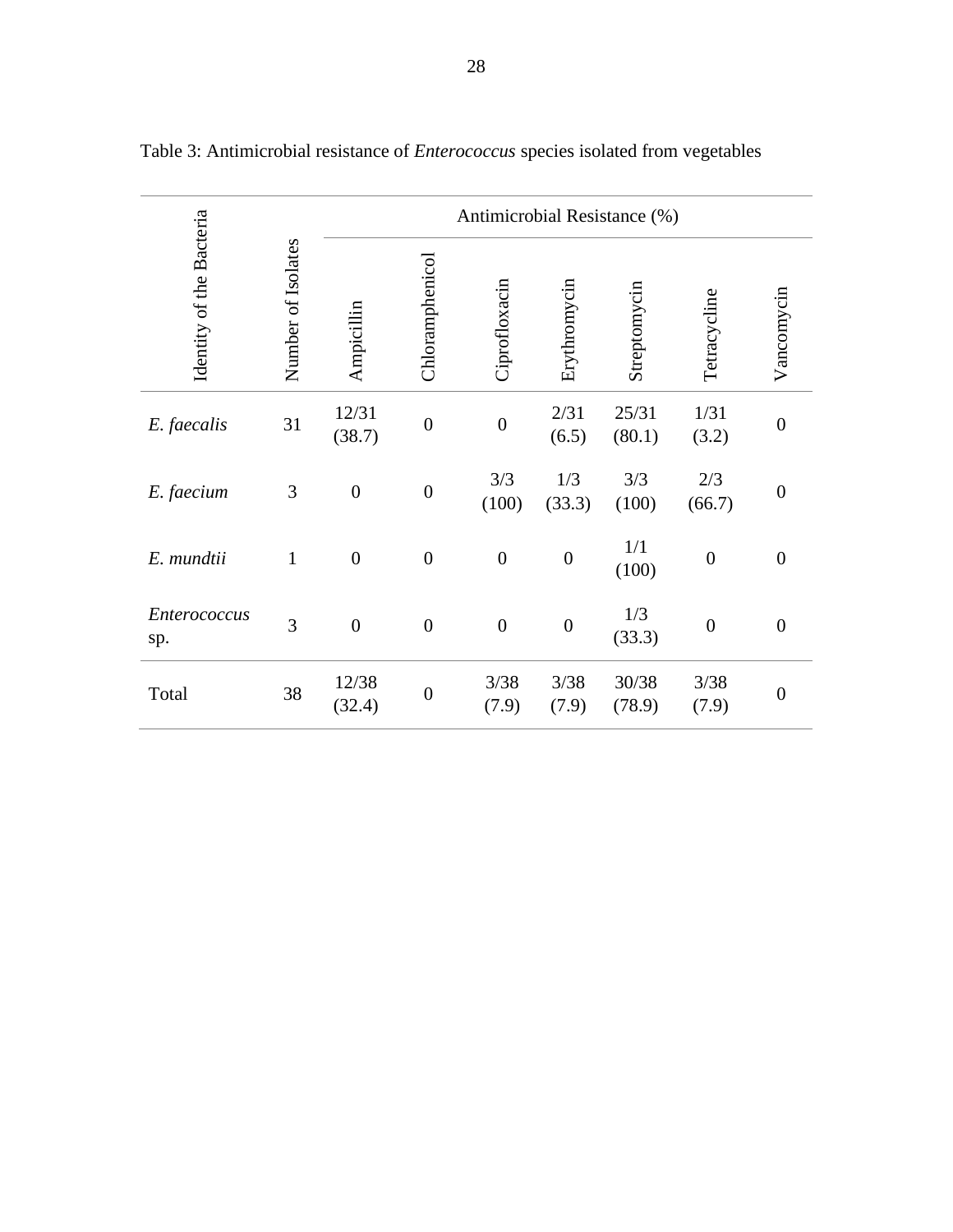|                          |                    | Antimicrobial Resistance (%) |                  |                  |                  |                 |                  |                  |  |  |
|--------------------------|--------------------|------------------------------|------------------|------------------|------------------|-----------------|------------------|------------------|--|--|
| Identity of the Bacteria | Number of Isolates | Ampicillin                   | Chloramphenicol  | Ciprofloxacin    | Erythromycin     | Streptomycin    | Tetracycline     | Vancomycin       |  |  |
| E. faecalis              | 31                 | 12/31<br>(38.7)              | $\boldsymbol{0}$ | $\overline{0}$   | 2/31<br>(6.5)    | 25/31<br>(80.1) | 1/31<br>(3.2)    | $\boldsymbol{0}$ |  |  |
| E. faecium               | 3                  | $\boldsymbol{0}$             | $\boldsymbol{0}$ | 3/3<br>(100)     | 1/3<br>(33.3)    | 3/3<br>(100)    | 2/3<br>(66.7)    | $\boldsymbol{0}$ |  |  |
| E. mundtii               | $\mathbf{1}$       | $\boldsymbol{0}$             | $\boldsymbol{0}$ | $\boldsymbol{0}$ | $\boldsymbol{0}$ | 1/1<br>(100)    | $\boldsymbol{0}$ | $\overline{0}$   |  |  |
| Enterococcus<br>sp.      | 3                  | $\boldsymbol{0}$             | $\boldsymbol{0}$ | $\boldsymbol{0}$ | $\boldsymbol{0}$ | 1/3<br>(33.3)   | $\boldsymbol{0}$ | $\boldsymbol{0}$ |  |  |
| Total                    | 38                 | 12/38<br>(32.4)              | $\boldsymbol{0}$ | 3/38<br>(7.9)    | 3/38<br>(7.9)    | 30/38<br>(78.9) | 3/38<br>(7.9)    | $\boldsymbol{0}$ |  |  |

Table 3: Antimicrobial resistance of *Enterococcus* species isolated from vegetables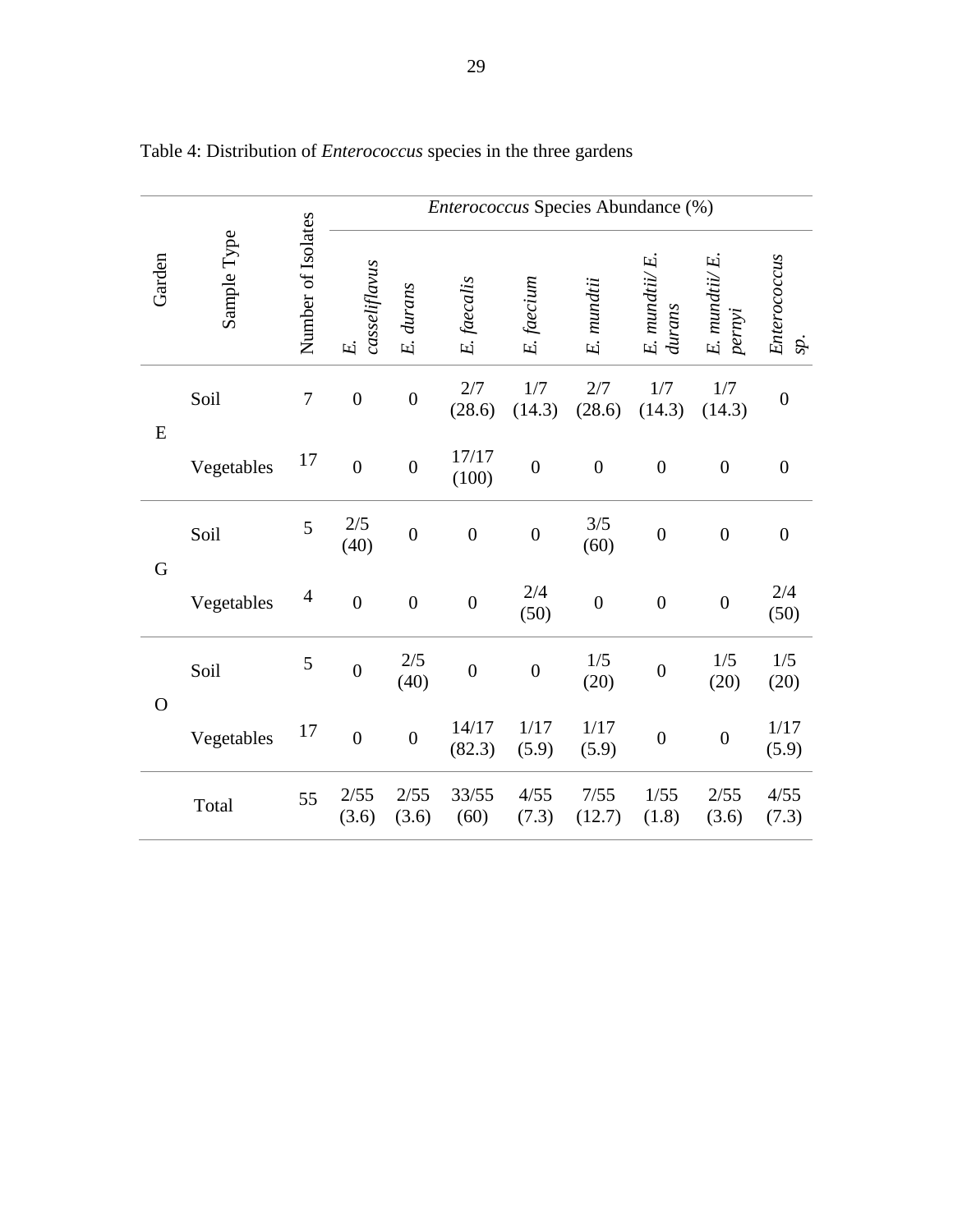|                | Sample Type |                          | Enterococcus Species Abundance (%) |                  |                  |                  |                  |                               |                               |                     |  |
|----------------|-------------|--------------------------|------------------------------------|------------------|------------------|------------------|------------------|-------------------------------|-------------------------------|---------------------|--|
| Garden         |             | Number of Isolates       | casseliflavus<br>E.                | E. durans        | E. faecalis      | E. faecium       | E. mundtii       | $E.$ mundti $i/E$ .<br>durans | $E.$ mundti $i/E$ .<br>pernyi | Enterococcus<br>sp. |  |
| E              | Soil        | $\boldsymbol{7}$         | $\boldsymbol{0}$                   | $\boldsymbol{0}$ | 2/7<br>(28.6)    | 1/7<br>(14.3)    | 2/7<br>(28.6)    | 1/7<br>(14.3)                 | 1/7<br>(14.3)                 | $\boldsymbol{0}$    |  |
|                | Vegetables  | 17                       | $\boldsymbol{0}$                   | $\overline{0}$   | 17/17<br>(100)   | $\boldsymbol{0}$ | $\boldsymbol{0}$ | $\boldsymbol{0}$              | $\boldsymbol{0}$              | $\boldsymbol{0}$    |  |
| $\mathbf G$    | Soil        | 5                        | 2/5<br>(40)                        | $\overline{0}$   | $\boldsymbol{0}$ | $\boldsymbol{0}$ | 3/5<br>(60)      | $\boldsymbol{0}$              | $\boldsymbol{0}$              | $\boldsymbol{0}$    |  |
|                | Vegetables  | $\overline{\mathcal{L}}$ | $\boldsymbol{0}$                   | $\boldsymbol{0}$ | $\boldsymbol{0}$ | 2/4<br>(50)      | $\boldsymbol{0}$ | $\boldsymbol{0}$              | $\boldsymbol{0}$              | 2/4<br>(50)         |  |
| $\overline{O}$ | Soil        | 5                        | $\boldsymbol{0}$                   | $2/5$<br>(40)    | $\boldsymbol{0}$ | $\boldsymbol{0}$ | 1/5<br>(20)      | $\boldsymbol{0}$              | 1/5<br>(20)                   | 1/5<br>(20)         |  |
|                | Vegetables  | 17                       | $\boldsymbol{0}$                   | $\boldsymbol{0}$ | 14/17<br>(82.3)  | 1/17<br>(5.9)    | 1/17<br>(5.9)    | $\boldsymbol{0}$              | $\boldsymbol{0}$              | $1/17$<br>(5.9)     |  |
|                | Total       | 55                       | 2/55<br>(3.6)                      | 2/55<br>(3.6)    | 33/55<br>(60)    | 4/55<br>(7.3)    | 7/55<br>(12.7)   | 1/55<br>(1.8)                 | 2/55<br>(3.6)                 | 4/55<br>(7.3)       |  |

Table 4: Distribution of *Enterococcus* species in the three gardens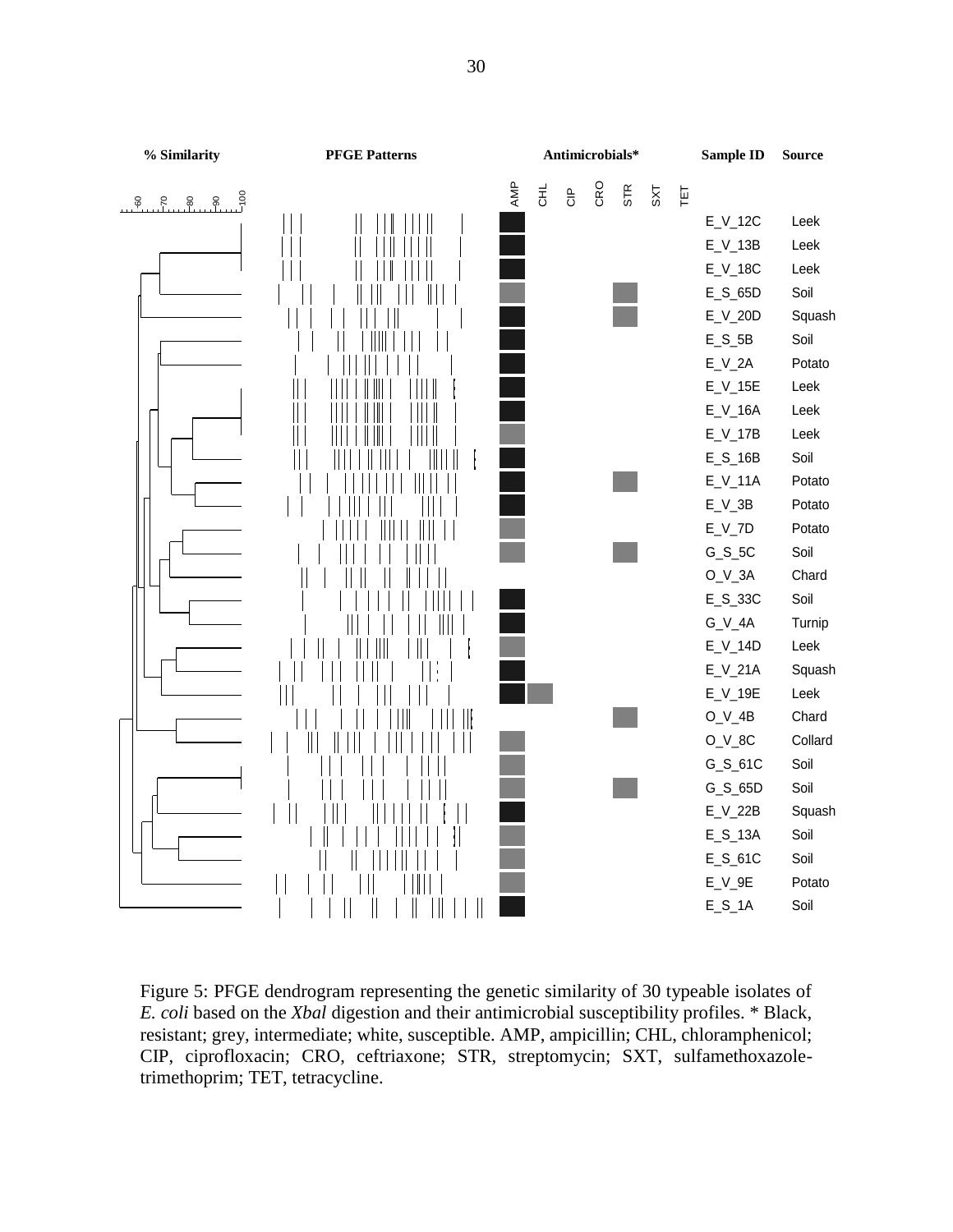

Figure 5: PFGE dendrogram representing the genetic similarity of 30 typeable isolates of *E. coli* based on the *Xbal* digestion and their antimicrobial susceptibility profiles. \* Black, resistant; grey, intermediate; white, susceptible. AMP, ampicillin; CHL, chloramphenicol; CIP, ciprofloxacin; CRO, ceftriaxone; STR, streptomycin; SXT, sulfamethoxazoletrimethoprim; TET, tetracycline.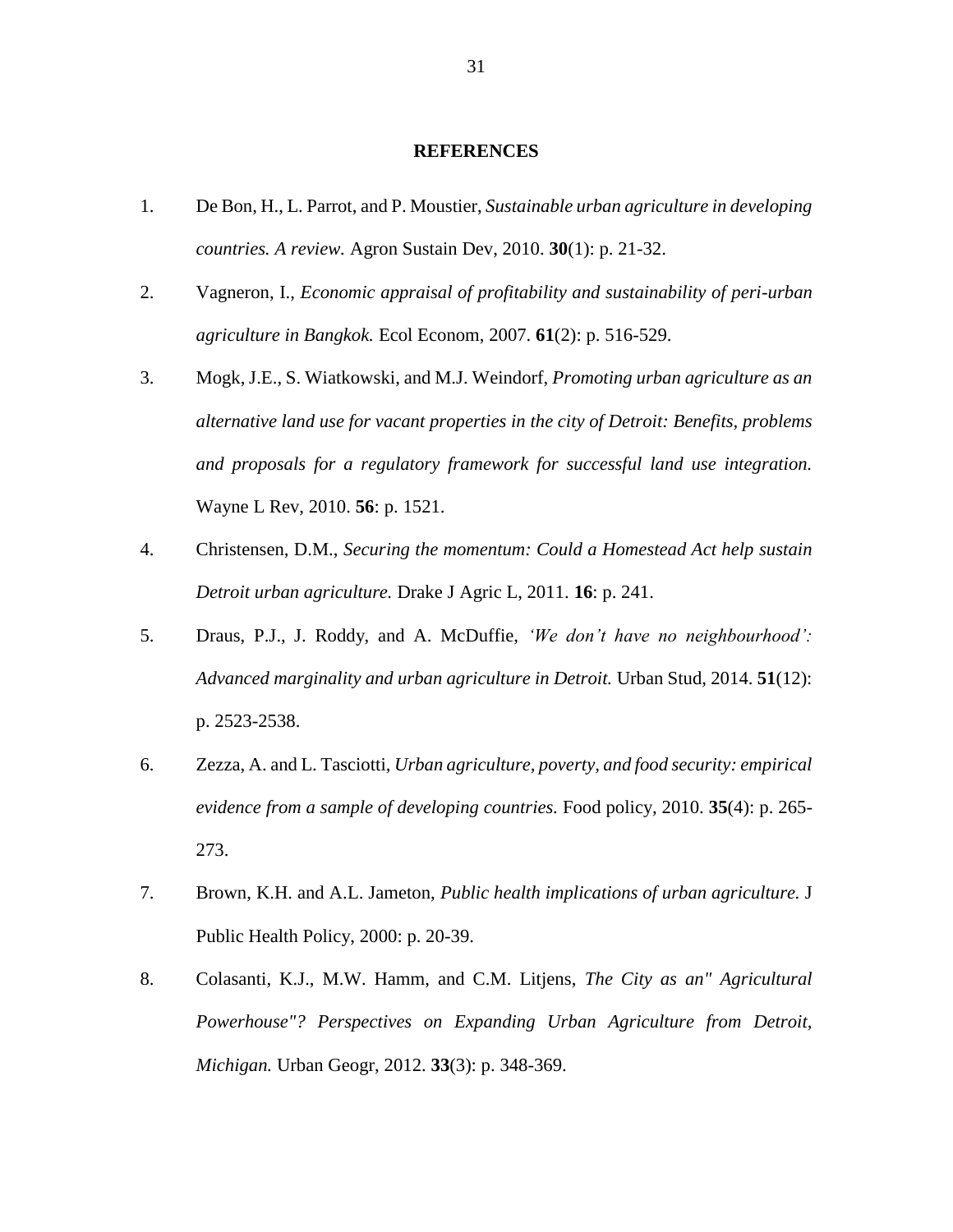#### **REFERENCES**

- 1. De Bon, H., L. Parrot, and P. Moustier, *Sustainable urban agriculture in developing countries. A review.* Agron Sustain Dev, 2010. **30**(1): p. 21-32.
- 2. Vagneron, I., *Economic appraisal of profitability and sustainability of peri-urban agriculture in Bangkok.* Ecol Econom, 2007. **61**(2): p. 516-529.
- 3. Mogk, J.E., S. Wiatkowski, and M.J. Weindorf, *Promoting urban agriculture as an alternative land use for vacant properties in the city of Detroit: Benefits, problems and proposals for a regulatory framework for successful land use integration.* Wayne L Rev, 2010. **56**: p. 1521.
- 4. Christensen, D.M., *Securing the momentum: Could a Homestead Act help sustain Detroit urban agriculture.* Drake J Agric L, 2011. **16**: p. 241.
- 5. Draus, P.J., J. Roddy, and A. McDuffie, *'We don't have no neighbourhood': Advanced marginality and urban agriculture in Detroit.* Urban Stud, 2014. **51**(12): p. 2523-2538.
- 6. Zezza, A. and L. Tasciotti, *Urban agriculture, poverty, and food security: empirical evidence from a sample of developing countries.* Food policy, 2010. **35**(4): p. 265- 273.
- 7. Brown, K.H. and A.L. Jameton, *Public health implications of urban agriculture.* J Public Health Policy, 2000: p. 20-39.
- 8. Colasanti, K.J., M.W. Hamm, and C.M. Litjens, *The City as an" Agricultural Powerhouse"? Perspectives on Expanding Urban Agriculture from Detroit, Michigan.* Urban Geogr, 2012. **33**(3): p. 348-369.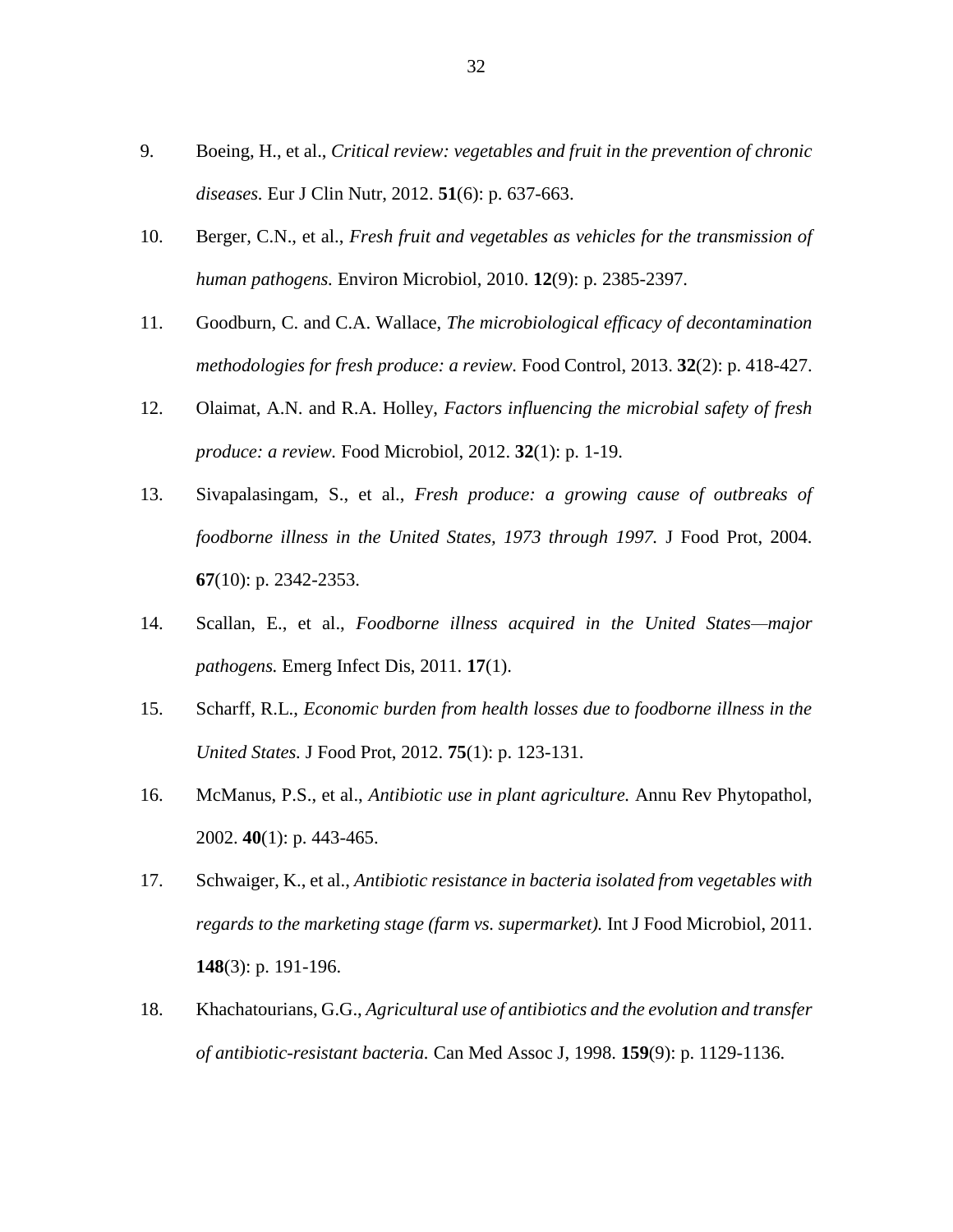- 9. Boeing, H., et al., *Critical review: vegetables and fruit in the prevention of chronic diseases.* Eur J Clin Nutr, 2012. **51**(6): p. 637-663.
- 10. Berger, C.N., et al., *Fresh fruit and vegetables as vehicles for the transmission of human pathogens.* Environ Microbiol, 2010. **12**(9): p. 2385-2397.
- 11. Goodburn, C. and C.A. Wallace, *The microbiological efficacy of decontamination methodologies for fresh produce: a review.* Food Control, 2013. **32**(2): p. 418-427.
- 12. Olaimat, A.N. and R.A. Holley, *Factors influencing the microbial safety of fresh produce: a review.* Food Microbiol, 2012. **32**(1): p. 1-19.
- 13. Sivapalasingam, S., et al., *Fresh produce: a growing cause of outbreaks of foodborne illness in the United States, 1973 through 1997.* J Food Prot, 2004. **67**(10): p. 2342-2353.
- 14. Scallan, E., et al., *Foodborne illness acquired in the United States—major pathogens.* Emerg Infect Dis, 2011. **17**(1).
- 15. Scharff, R.L., *Economic burden from health losses due to foodborne illness in the United States.* J Food Prot, 2012. **75**(1): p. 123-131.
- 16. McManus, P.S., et al., *Antibiotic use in plant agriculture.* Annu Rev Phytopathol, 2002. **40**(1): p. 443-465.
- 17. Schwaiger, K., et al., *Antibiotic resistance in bacteria isolated from vegetables with regards to the marketing stage (farm vs. supermarket).* Int J Food Microbiol, 2011. **148**(3): p. 191-196.
- 18. Khachatourians, G.G., *Agricultural use of antibiotics and the evolution and transfer of antibiotic-resistant bacteria.* Can Med Assoc J, 1998. **159**(9): p. 1129-1136.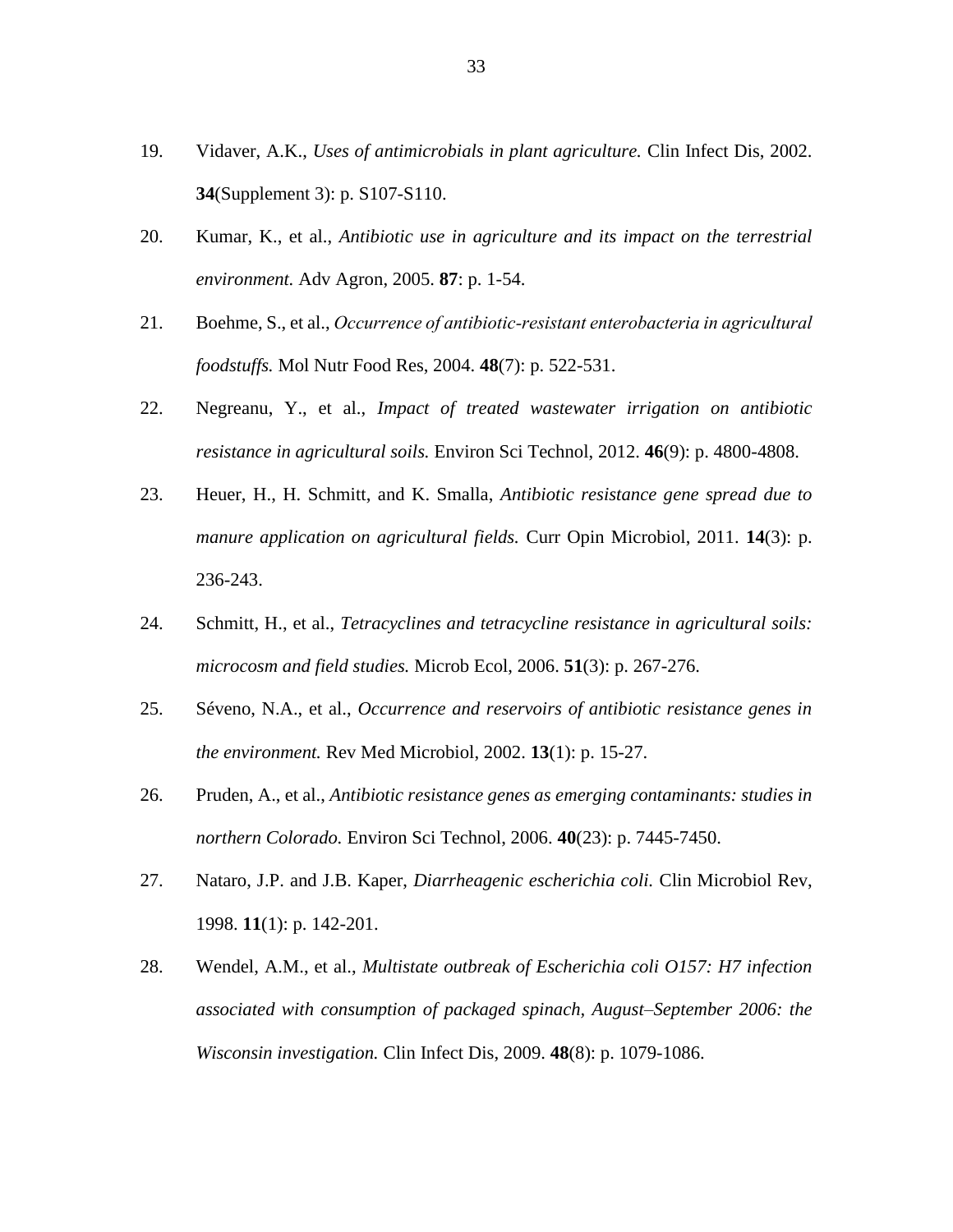- 19. Vidaver, A.K., *Uses of antimicrobials in plant agriculture.* Clin Infect Dis, 2002. **34**(Supplement 3): p. S107-S110.
- 20. Kumar, K., et al., *Antibiotic use in agriculture and its impact on the terrestrial environment.* Adv Agron, 2005. **87**: p. 1-54.
- 21. Boehme, S., et al., *Occurrence of antibiotic‐resistant enterobacteria in agricultural foodstuffs.* Mol Nutr Food Res, 2004. **48**(7): p. 522-531.
- 22. Negreanu, Y., et al., *Impact of treated wastewater irrigation on antibiotic resistance in agricultural soils.* Environ Sci Technol, 2012. **46**(9): p. 4800-4808.
- 23. Heuer, H., H. Schmitt, and K. Smalla, *Antibiotic resistance gene spread due to manure application on agricultural fields.* Curr Opin Microbiol, 2011. **14**(3): p. 236-243.
- 24. Schmitt, H., et al., *Tetracyclines and tetracycline resistance in agricultural soils: microcosm and field studies.* Microb Ecol, 2006. **51**(3): p. 267-276.
- 25. Séveno, N.A., et al., *Occurrence and reservoirs of antibiotic resistance genes in the environment.* Rev Med Microbiol, 2002. **13**(1): p. 15-27.
- 26. Pruden, A., et al., *Antibiotic resistance genes as emerging contaminants: studies in northern Colorado.* Environ Sci Technol, 2006. **40**(23): p. 7445-7450.
- 27. Nataro, J.P. and J.B. Kaper, *Diarrheagenic escherichia coli.* Clin Microbiol Rev, 1998. **11**(1): p. 142-201.
- 28. Wendel, A.M., et al., *Multistate outbreak of Escherichia coli O157: H7 infection associated with consumption of packaged spinach, August–September 2006: the Wisconsin investigation.* Clin Infect Dis, 2009. **48**(8): p. 1079-1086.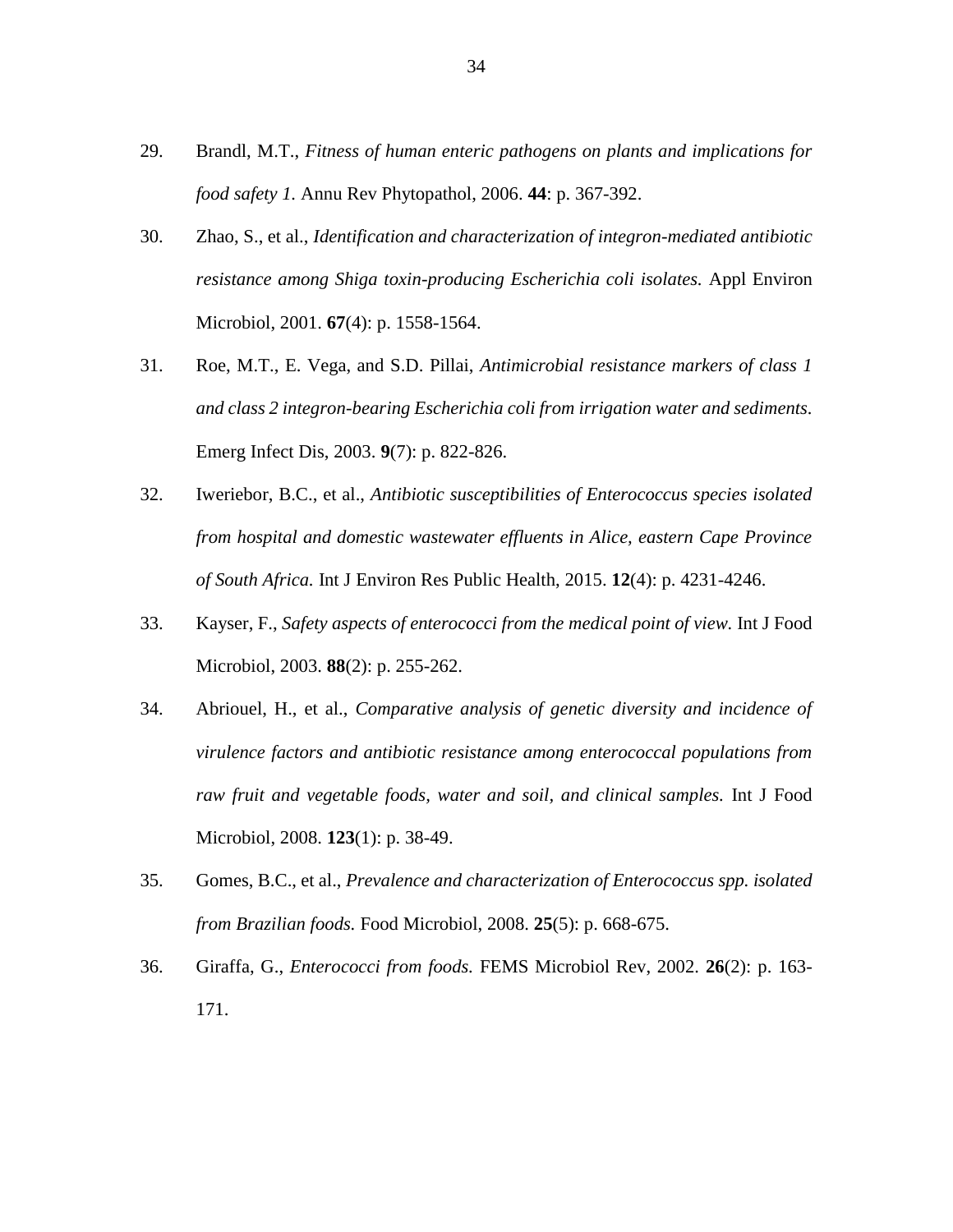- 29. Brandl, M.T., *Fitness of human enteric pathogens on plants and implications for food safety 1.* Annu Rev Phytopathol, 2006. **44**: p. 367-392.
- 30. Zhao, S., et al., *Identification and characterization of integron-mediated antibiotic resistance among Shiga toxin-producing Escherichia coli isolates.* Appl Environ Microbiol, 2001. **67**(4): p. 1558-1564.
- 31. Roe, M.T., E. Vega, and S.D. Pillai, *Antimicrobial resistance markers of class 1 and class 2 integron-bearing Escherichia coli from irrigation water and sediments.* Emerg Infect Dis, 2003. **9**(7): p. 822-826.
- 32. Iweriebor, B.C., et al., *Antibiotic susceptibilities of Enterococcus species isolated from hospital and domestic wastewater effluents in Alice, eastern Cape Province of South Africa.* Int J Environ Res Public Health, 2015. **12**(4): p. 4231-4246.
- 33. Kayser, F., *Safety aspects of enterococci from the medical point of view.* Int J Food Microbiol, 2003. **88**(2): p. 255-262.
- 34. Abriouel, H., et al., *Comparative analysis of genetic diversity and incidence of virulence factors and antibiotic resistance among enterococcal populations from raw fruit and vegetable foods, water and soil, and clinical samples.* Int J Food Microbiol, 2008. **123**(1): p. 38-49.
- 35. Gomes, B.C., et al., *Prevalence and characterization of Enterococcus spp. isolated from Brazilian foods.* Food Microbiol, 2008. **25**(5): p. 668-675.
- 36. Giraffa, G., *Enterococci from foods.* FEMS Microbiol Rev, 2002. **26**(2): p. 163- 171.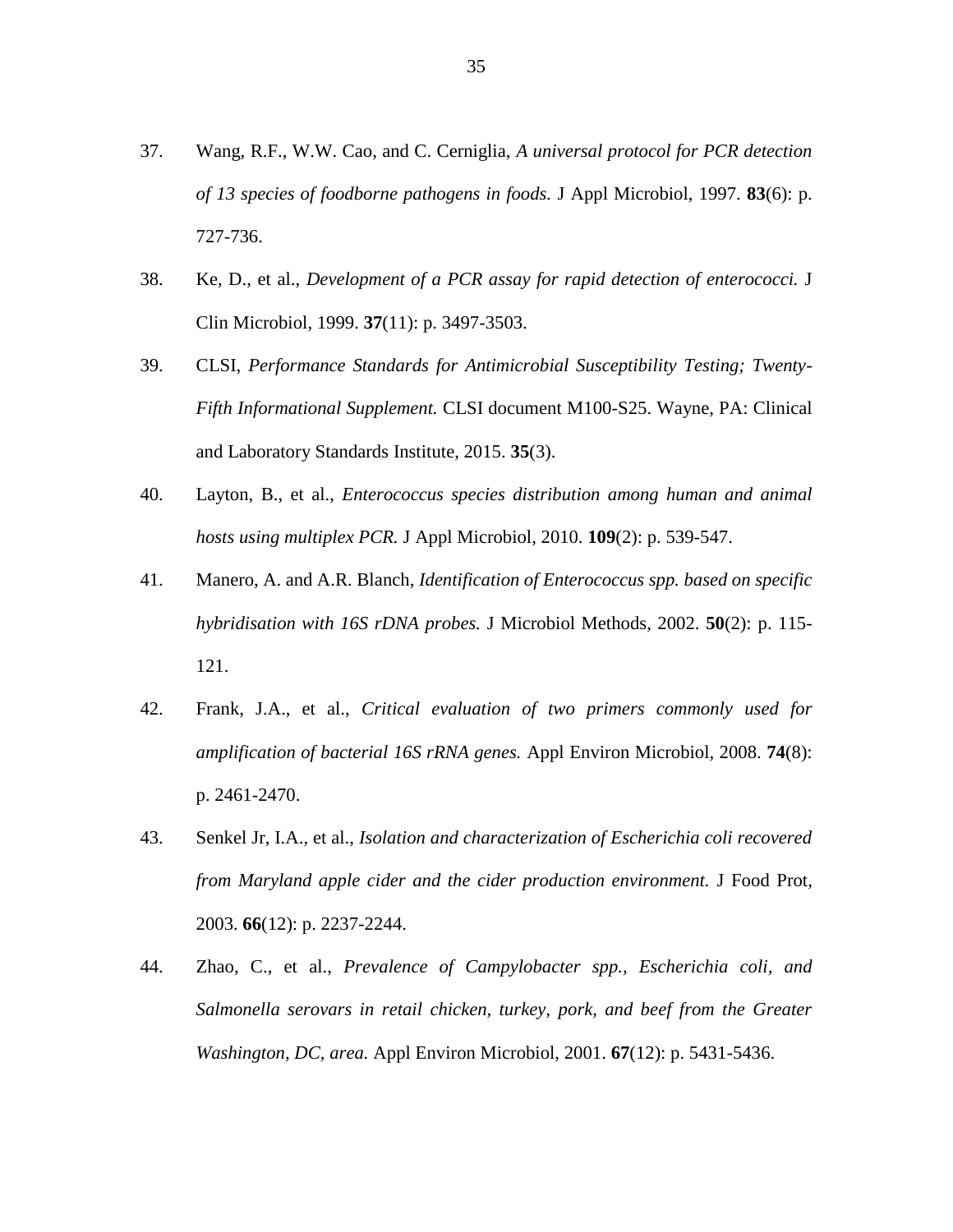- 37. Wang, R.F., W.W. Cao, and C. Cerniglia, *A universal protocol for PCR detection of 13 species of foodborne pathogens in foods.* J Appl Microbiol, 1997. **83**(6): p. 727-736.
- 38. Ke, D., et al., *Development of a PCR assay for rapid detection of enterococci.* J Clin Microbiol, 1999. **37**(11): p. 3497-3503.
- 39. CLSI, *Performance Standards for Antimicrobial Susceptibility Testing; Twenty-Fifth Informational Supplement.* CLSI document M100-S25. Wayne, PA: Clinical and Laboratory Standards Institute, 2015. **35**(3).
- 40. Layton, B., et al., *Enterococcus species distribution among human and animal hosts using multiplex PCR.* J Appl Microbiol, 2010. **109**(2): p. 539-547.
- 41. Manero, A. and A.R. Blanch, *Identification of Enterococcus spp. based on specific hybridisation with 16S rDNA probes.* J Microbiol Methods, 2002. **50**(2): p. 115- 121.
- 42. Frank, J.A., et al., *Critical evaluation of two primers commonly used for amplification of bacterial 16S rRNA genes.* Appl Environ Microbiol, 2008. **74**(8): p. 2461-2470.
- 43. Senkel Jr, I.A., et al., *Isolation and characterization of Escherichia coli recovered from Maryland apple cider and the cider production environment.* J Food Prot, 2003. **66**(12): p. 2237-2244.
- 44. Zhao, C., et al., *Prevalence of Campylobacter spp., Escherichia coli, and Salmonella serovars in retail chicken, turkey, pork, and beef from the Greater Washington, DC, area.* Appl Environ Microbiol, 2001. **67**(12): p. 5431-5436.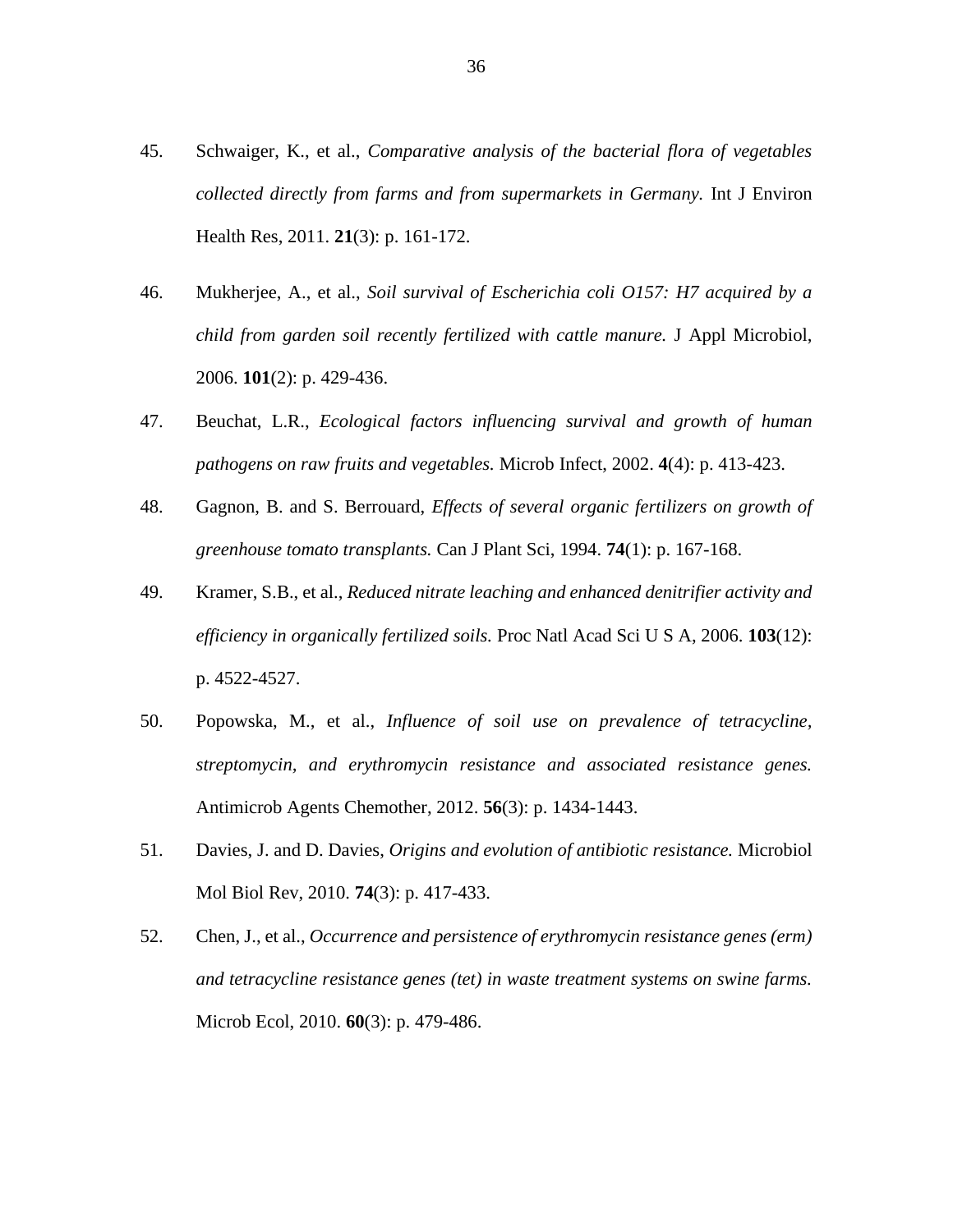- 45. Schwaiger, K., et al., *Comparative analysis of the bacterial flora of vegetables collected directly from farms and from supermarkets in Germany.* Int J Environ Health Res, 2011. **21**(3): p. 161-172.
- 46. Mukherjee, A., et al., *Soil survival of Escherichia coli O157: H7 acquired by a child from garden soil recently fertilized with cattle manure.* J Appl Microbiol, 2006. **101**(2): p. 429-436.
- 47. Beuchat, L.R., *Ecological factors influencing survival and growth of human pathogens on raw fruits and vegetables.* Microb Infect, 2002. **4**(4): p. 413-423.
- 48. Gagnon, B. and S. Berrouard, *Effects of several organic fertilizers on growth of greenhouse tomato transplants.* Can J Plant Sci, 1994. **74**(1): p. 167-168.
- 49. Kramer, S.B., et al., *Reduced nitrate leaching and enhanced denitrifier activity and efficiency in organically fertilized soils.* Proc Natl Acad Sci U S A, 2006. **103**(12): p. 4522-4527.
- 50. Popowska, M., et al., *Influence of soil use on prevalence of tetracycline, streptomycin, and erythromycin resistance and associated resistance genes.* Antimicrob Agents Chemother, 2012. **56**(3): p. 1434-1443.
- 51. Davies, J. and D. Davies, *Origins and evolution of antibiotic resistance.* Microbiol Mol Biol Rev, 2010. **74**(3): p. 417-433.
- 52. Chen, J., et al., *Occurrence and persistence of erythromycin resistance genes (erm) and tetracycline resistance genes (tet) in waste treatment systems on swine farms.* Microb Ecol, 2010. **60**(3): p. 479-486.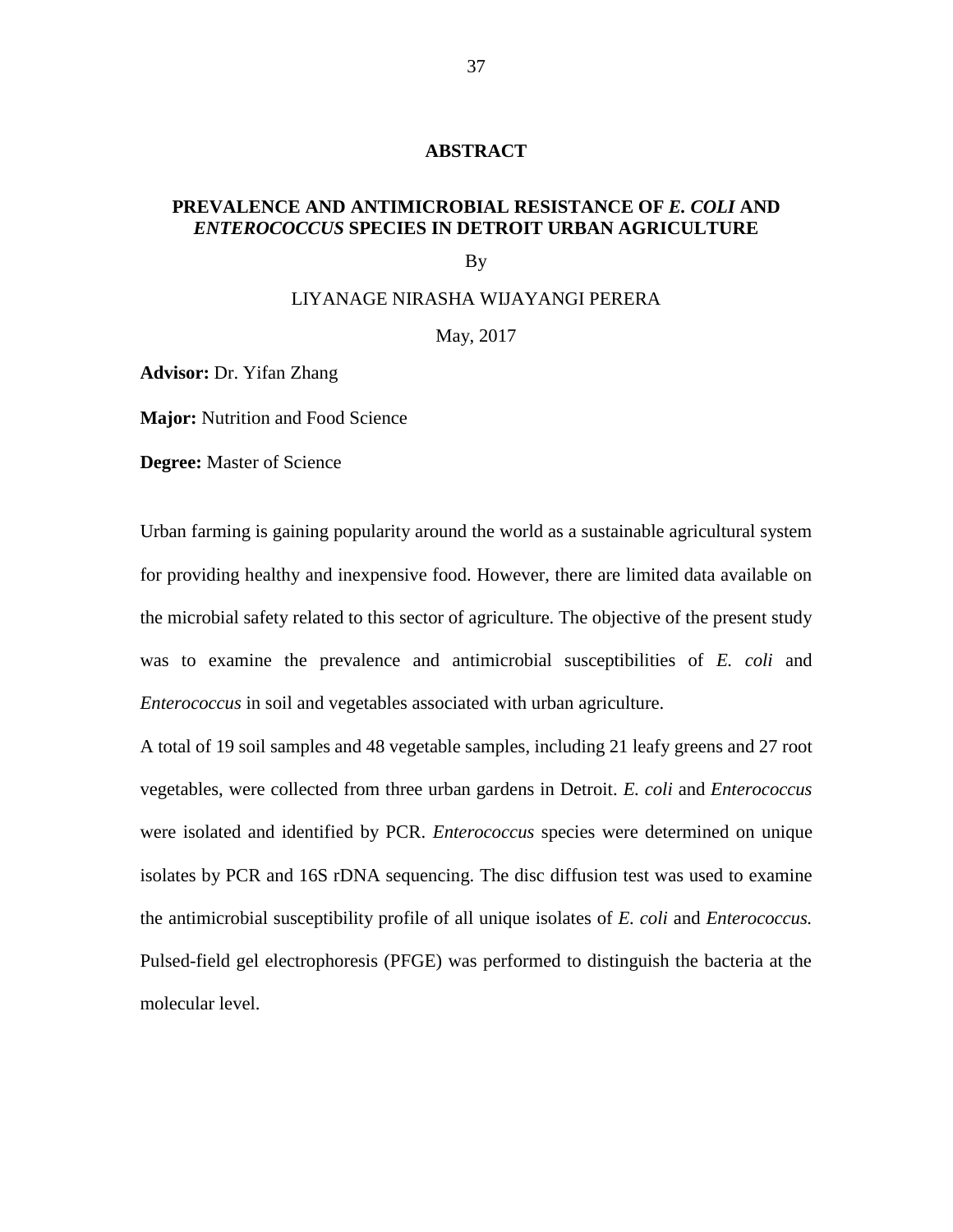#### **ABSTRACT**

# **PREVALENCE AND ANTIMICROBIAL RESISTANCE OF** *E. COLI* **AND**  *ENTEROCOCCUS* **SPECIES IN DETROIT URBAN AGRICULTURE**

By

#### LIYANAGE NIRASHA WIJAYANGI PERERA

May, 2017

**Advisor:** Dr. Yifan Zhang

**Major:** Nutrition and Food Science

**Degree:** Master of Science

Urban farming is gaining popularity around the world as a sustainable agricultural system for providing healthy and inexpensive food. However, there are limited data available on the microbial safety related to this sector of agriculture. The objective of the present study was to examine the prevalence and antimicrobial susceptibilities of *E. coli* and *Enterococcus* in soil and vegetables associated with urban agriculture.

A total of 19 soil samples and 48 vegetable samples, including 21 leafy greens and 27 root vegetables, were collected from three urban gardens in Detroit. *E. coli* and *Enterococcus* were isolated and identified by PCR. *Enterococcus* species were determined on unique isolates by PCR and 16S rDNA sequencing. The disc diffusion test was used to examine the antimicrobial susceptibility profile of all unique isolates of *E. coli* and *Enterococcus.*  Pulsed-field gel electrophoresis (PFGE) was performed to distinguish the bacteria at the molecular level.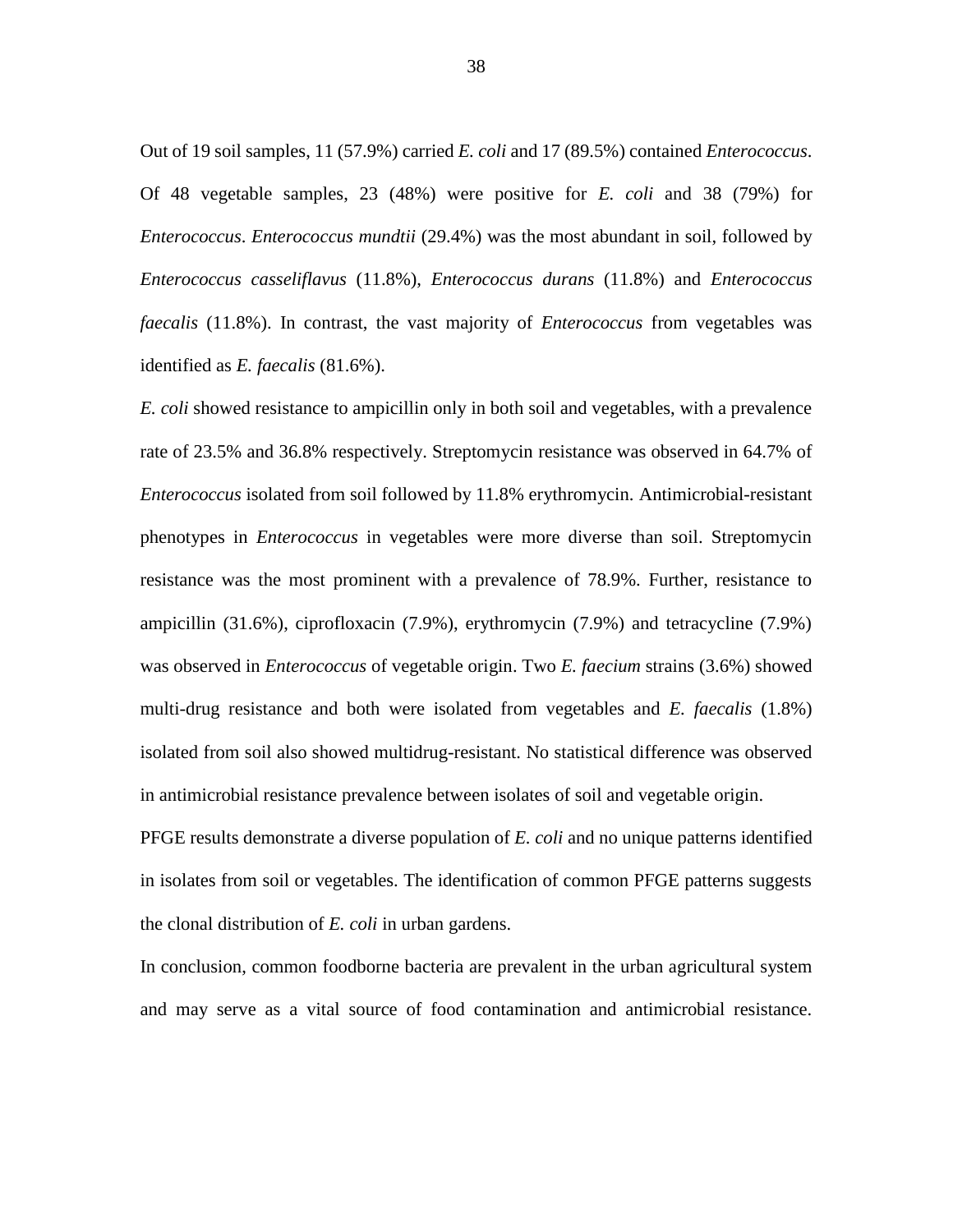Out of 19 soil samples, 11 (57.9%) carried *E. coli* and 17 (89.5%) contained *Enterococcus*. Of 48 vegetable samples, 23 (48%) were positive for *E. coli* and 38 (79%) for *Enterococcus*. *Enterococcus mundtii* (29.4%) was the most abundant in soil, followed by *Enterococcus casseliflavus* (11.8%), *Enterococcus durans* (11.8%) and *Enterococcus faecalis* (11.8%). In contrast, the vast majority of *Enterococcus* from vegetables was identified as *E. faecalis* (81.6%).

*E. coli* showed resistance to ampicillin only in both soil and vegetables, with a prevalence rate of 23.5% and 36.8% respectively. Streptomycin resistance was observed in 64.7% of *Enterococcus* isolated from soil followed by 11.8% erythromycin. Antimicrobial-resistant phenotypes in *Enterococcus* in vegetables were more diverse than soil. Streptomycin resistance was the most prominent with a prevalence of 78.9%. Further, resistance to ampicillin (31.6%), ciprofloxacin (7.9%), erythromycin (7.9%) and tetracycline (7.9%) was observed in *Enterococcus* of vegetable origin. Two *E. faecium* strains (3.6%) showed multi-drug resistance and both were isolated from vegetables and *E. faecalis* (1.8%) isolated from soil also showed multidrug-resistant. No statistical difference was observed in antimicrobial resistance prevalence between isolates of soil and vegetable origin.

PFGE results demonstrate a diverse population of *E. coli* and no unique patterns identified in isolates from soil or vegetables. The identification of common PFGE patterns suggests the clonal distribution of *E. coli* in urban gardens.

In conclusion, common foodborne bacteria are prevalent in the urban agricultural system and may serve as a vital source of food contamination and antimicrobial resistance.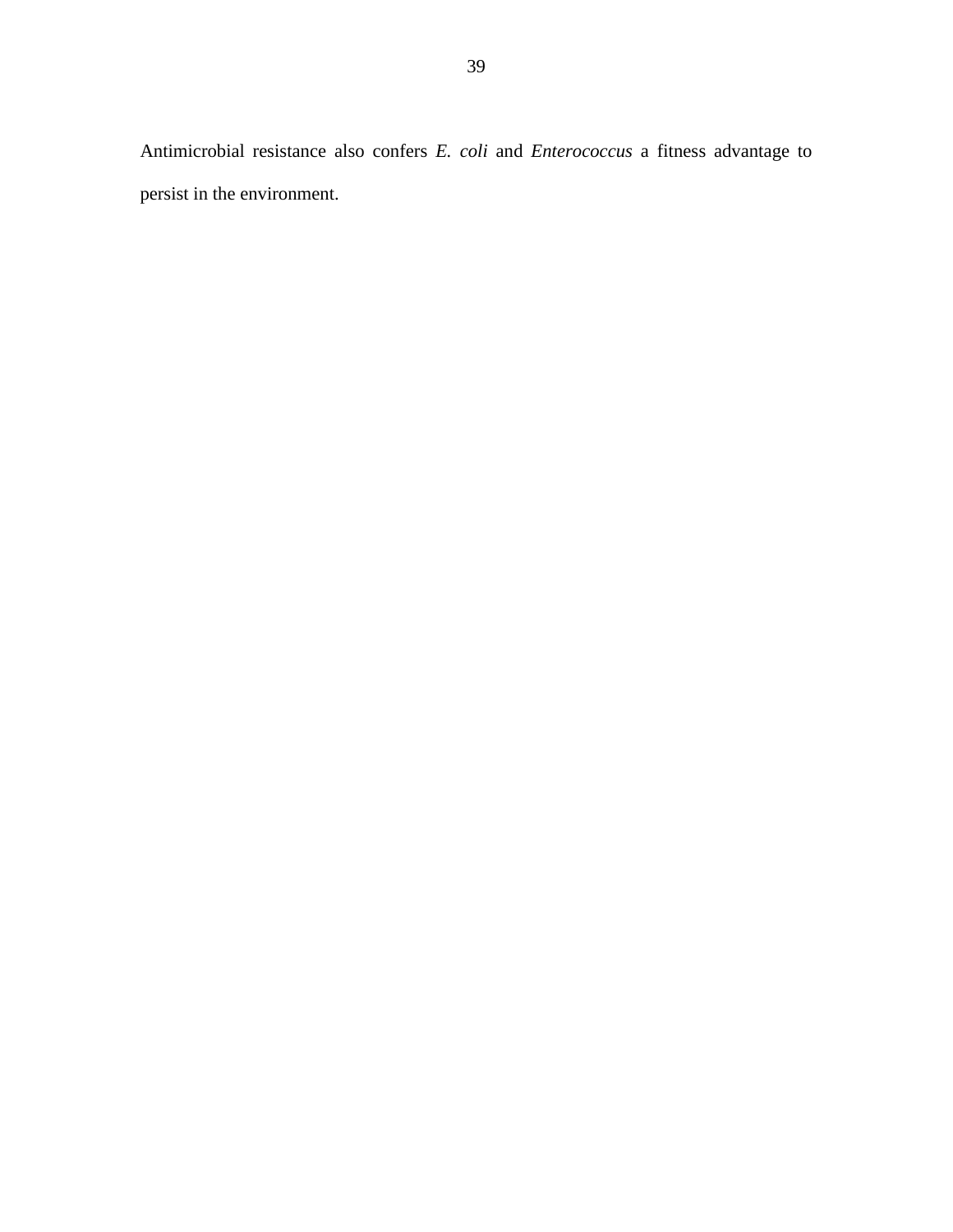Antimicrobial resistance also confers *E. coli* and *Enterococcus* a fitness advantage to persist in the environment.